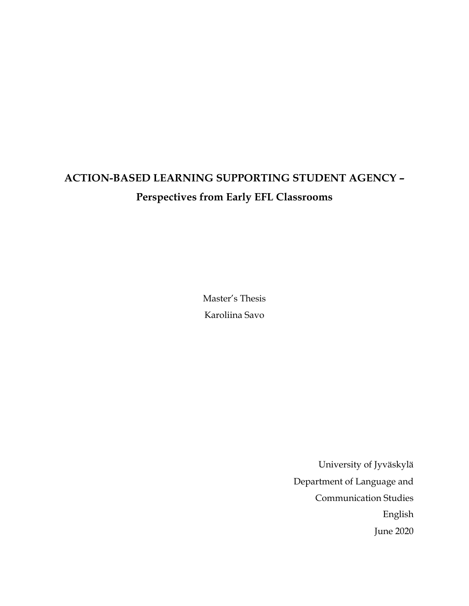# **ACTION-BASED LEARNING SUPPORTING STUDENT AGENCY – Perspectives from Early EFL Classrooms**

Master's Thesis Karoliina Savo

> University of Jyväskylä Department of Language and Communication Studies English June 2020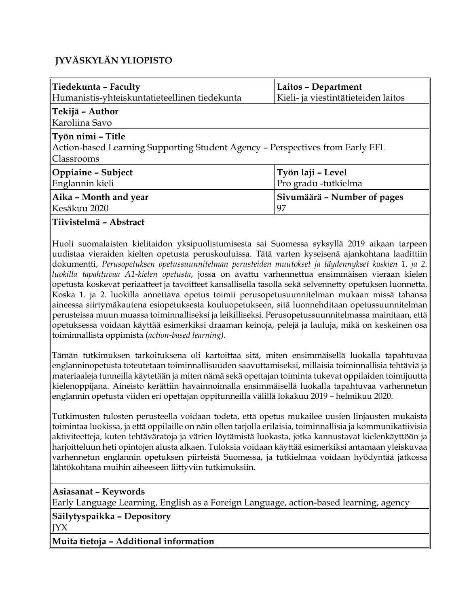### **JYVÄSKYLÄN YLIOPISTO**

| ∥Tiedekunta – Faculty                                                                                             | Laitos - Department                 |  |  |  |  |
|-------------------------------------------------------------------------------------------------------------------|-------------------------------------|--|--|--|--|
| Humanistis-yhteiskuntatieteellinen tiedekunta                                                                     | Kieli- ja viestintätieteiden laitos |  |  |  |  |
| ∥Tekijä – Author<br> Karoliina Savo                                                                               |                                     |  |  |  |  |
| ∥Työn nimi – Title<br>Action-based Learning Supporting Student Agency - Perspectives from Early EFL<br>Classrooms |                                     |  |  |  |  |
| Oppiaine – Subject                                                                                                | Työn laji - Level                   |  |  |  |  |
| Englannin kieli                                                                                                   | Pro gradu -tutkielma                |  |  |  |  |
| Aika - Month and year                                                                                             | Sivumäärä – Number of pages         |  |  |  |  |
| Kesäkuu 2020                                                                                                      | 97                                  |  |  |  |  |

#### **Tiivistelmä – Abstract**

Huoli suomalaisten kielitaidon yksipuolistumisesta sai Suomessa syksyllä 2019 aikaan tarpeen uudistaa vieraiden kielten opetusta peruskouluissa. Tätä varten kyseisenä ajankohtana laadittiin dokumentti, *Perusopetuksen opetussuunnitelman perusteiden muutokset ja täydennykset koskien 1. ja 2. luokilla tapahtuvaa A1-kielen opetusta*, jossa on avattu varhennettua ensimmäisen vieraan kielen opetusta koskevat periaatteet ja tavoitteet kansallisella tasolla sekä selvennetty opetuksen luonnetta. Koska 1. ja 2. luokilla annettava opetus toimii perusopetusuunnitelman mukaan missä tahansa aineessa siirtymäkautena esiopetuksesta kouluopetukseen, sitä luonnehditaan opetussuunnitelman perusteissa muun muassa toiminnalliseksi ja leikilliseksi. Perusopetussuunnitelmassa mainitaan, että opetuksessa voidaan käyttää esimerkiksi draaman keinoja, pelejä ja lauluja, mikä on keskeinen osa toiminnallista oppimista (*action-based learning).* 

Tämän tutkimuksen tarkoituksena oli kartoittaa sitä, miten ensimmäisellä luokalla tapahtuvaa englanninopetusta toteutetaan toiminnallisuuden saavuttamiseksi, millaisia toiminnallisia tehtäviä ja materiaaleja tunneilla käytetään ja miten nämä sekä opettajan toiminta tukevat oppilaiden toimijuutta kielenoppijana. Aineisto kerättiin havainnoimalla ensimmäisellä luokalla tapahtuvaa varhennetun englannin opetusta viiden eri opettajan oppitunneilla välillä lokakuu 2019 – helmikuu 2020.

Tutkimusten tulosten perusteella voidaan todeta, että opetus mukailee uusien linjausten mukaista toimintaa luokissa, ja että oppilaille on näin ollen tarjolla erilaisia, toiminnallisia ja kommunikatiivisia aktiviteetteja, kuten tehtäväratoja ja värien löytämistä luokasta, jotka kannustavat kielenkäyttöön ja harjoitteluun heti opintojen alusta alkaen. Tuloksia voidaan käyttää esimerkiksi antamaan yleiskuvaa varhennetun englannin opetuksen piirteistä Suomessa, ja tutkielmaa voidaan hyödyntää jatkossa lähtökohtana muihin aiheeseen liittyviin tutkimuksiin.

#### **Asiasanat – Keywords**

Early Language Learning, English as a Foreign Language, action-based learning, agency

#### **Säilytyspaikka – Depository** JYX

**Muita tietoja – Additional information**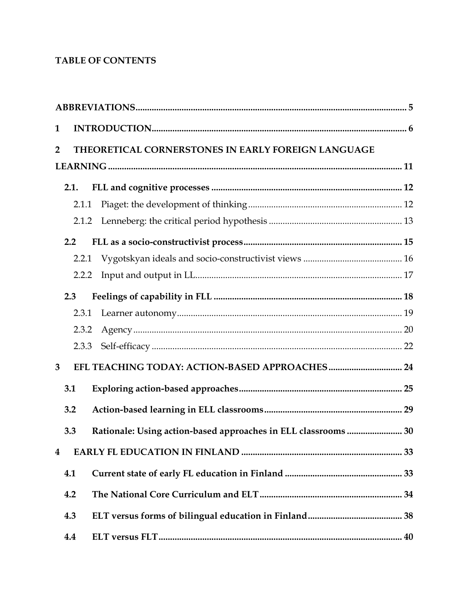### **TABLE OF CONTENTS**

| 1              |       |                                                                |  |  |  |
|----------------|-------|----------------------------------------------------------------|--|--|--|
| $\overline{2}$ |       | THEORETICAL CORNERSTONES IN EARLY FOREIGN LANGUAGE             |  |  |  |
|                |       |                                                                |  |  |  |
|                | 2.1.  |                                                                |  |  |  |
|                | 2.1.1 |                                                                |  |  |  |
|                |       |                                                                |  |  |  |
|                | 2.2   |                                                                |  |  |  |
|                |       |                                                                |  |  |  |
|                | 2.2.2 |                                                                |  |  |  |
|                | 2.3   |                                                                |  |  |  |
|                | 2.3.1 |                                                                |  |  |  |
|                | 2.3.2 |                                                                |  |  |  |
|                | 2.3.3 |                                                                |  |  |  |
| 3              |       |                                                                |  |  |  |
|                | 3.1   |                                                                |  |  |  |
|                | 3.2   |                                                                |  |  |  |
|                | 3.3   | Rationale: Using action-based approaches in ELL classrooms  30 |  |  |  |
| 4              |       |                                                                |  |  |  |
|                | 4.1   |                                                                |  |  |  |
|                | 4.2   |                                                                |  |  |  |
|                | 4.3   |                                                                |  |  |  |
|                | 4.4   |                                                                |  |  |  |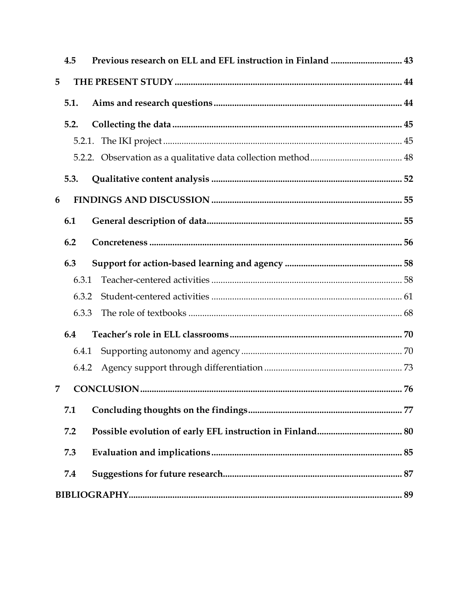|   | 4.5   | Previous research on ELL and EFL instruction in Finland  43 |  |
|---|-------|-------------------------------------------------------------|--|
| 5 |       |                                                             |  |
|   | 5.1.  |                                                             |  |
|   | 5.2.  |                                                             |  |
|   |       |                                                             |  |
|   |       |                                                             |  |
|   | 5.3.  |                                                             |  |
| 6 |       |                                                             |  |
|   | 6.1   |                                                             |  |
|   | 6.2   |                                                             |  |
|   | 6.3   |                                                             |  |
|   | 6.3.1 |                                                             |  |
|   | 6.3.2 |                                                             |  |
|   | 6.3.3 |                                                             |  |
|   | 6.4   |                                                             |  |
|   | 6.4.1 |                                                             |  |
|   | 6.4.2 |                                                             |  |
| 7 |       |                                                             |  |
|   | 7.1   |                                                             |  |
|   | 7.2   |                                                             |  |
|   | 7.3   |                                                             |  |
|   | 7.4   |                                                             |  |
|   |       |                                                             |  |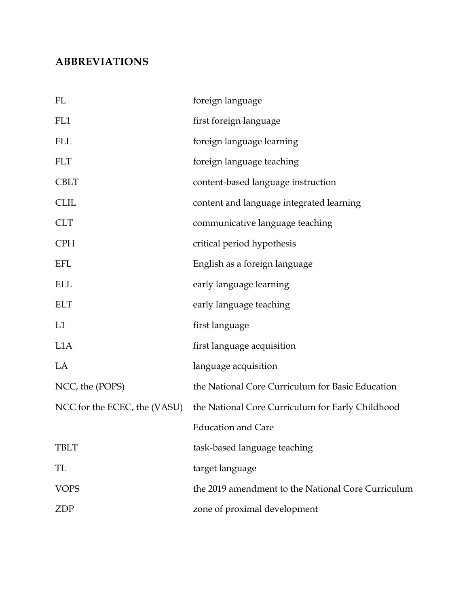## **ABBREVIATIONS**

| FL                           | foreign language                                   |
|------------------------------|----------------------------------------------------|
| FL1                          | first foreign language                             |
| <b>FLL</b>                   | foreign language learning                          |
| <b>FLT</b>                   | foreign language teaching                          |
| <b>CBLT</b>                  | content-based language instruction                 |
| <b>CLIL</b>                  | content and language integrated learning           |
| <b>CLT</b>                   | communicative language teaching                    |
| <b>CPH</b>                   | critical period hypothesis                         |
| EFL                          | English as a foreign language                      |
| <b>ELL</b>                   | early language learning                            |
| <b>ELT</b>                   | early language teaching                            |
| L1                           | first language                                     |
| L <sub>1</sub> A             | first language acquisition                         |
| LA                           | language acquisition                               |
| NCC, the (POPS)              | the National Core Curriculum for Basic Education   |
| NCC for the ECEC, the (VASU) | the National Core Curriculum for Early Childhood   |
|                              | <b>Education and Care</b>                          |
| <b>TBLT</b>                  | task-based language teaching                       |
| TL                           | target language                                    |
| <b>VOPS</b>                  | the 2019 amendment to the National Core Curriculum |
| ZDP                          | zone of proximal development                       |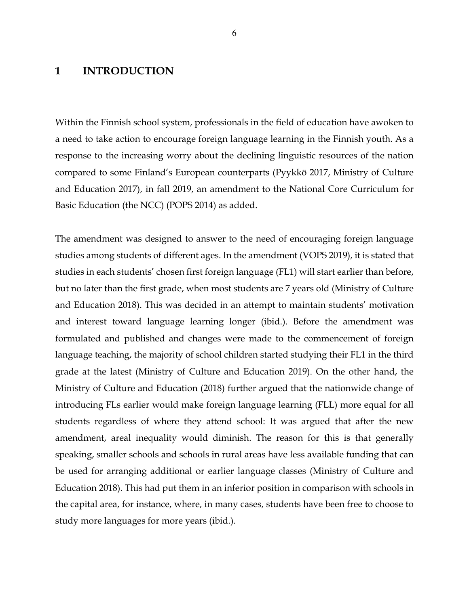#### **1 INTRODUCTION**

Within the Finnish school system, professionals in the field of education have awoken to a need to take action to encourage foreign language learning in the Finnish youth. As a response to the increasing worry about the declining linguistic resources of the nation compared to some Finland's European counterparts (Pyykkö 2017, Ministry of Culture and Education 2017), in fall 2019, an amendment to the National Core Curriculum for Basic Education (the NCC) (POPS 2014) as added.

The amendment was designed to answer to the need of encouraging foreign language studies among students of different ages. In the amendment (VOPS 2019), it is stated that studies in each students' chosen first foreign language (FL1) will start earlier than before, but no later than the first grade, when most students are 7 years old (Ministry of Culture and Education 2018). This was decided in an attempt to maintain students' motivation and interest toward language learning longer (ibid.). Before the amendment was formulated and published and changes were made to the commencement of foreign language teaching, the majority of school children started studying their FL1 in the third grade at the latest (Ministry of Culture and Education 2019). On the other hand, the Ministry of Culture and Education (2018) further argued that the nationwide change of introducing FLs earlier would make foreign language learning (FLL) more equal for all students regardless of where they attend school: It was argued that after the new amendment, areal inequality would diminish. The reason for this is that generally speaking, smaller schools and schools in rural areas have less available funding that can be used for arranging additional or earlier language classes (Ministry of Culture and Education 2018). This had put them in an inferior position in comparison with schools in the capital area, for instance, where, in many cases, students have been free to choose to study more languages for more years (ibid.).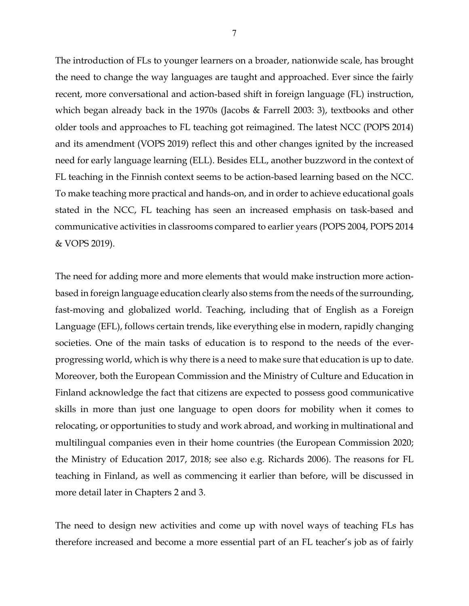The introduction of FLs to younger learners on a broader, nationwide scale, has brought the need to change the way languages are taught and approached. Ever since the fairly recent, more conversational and action-based shift in foreign language (FL) instruction, which began already back in the 1970s (Jacobs & Farrell 2003: 3), textbooks and other older tools and approaches to FL teaching got reimagined. The latest NCC (POPS 2014) and its amendment (VOPS 2019) reflect this and other changes ignited by the increased need for early language learning (ELL). Besides ELL, another buzzword in the context of FL teaching in the Finnish context seems to be action-based learning based on the NCC. To make teaching more practical and hands-on, and in order to achieve educational goals stated in the NCC, FL teaching has seen an increased emphasis on task-based and communicative activities in classrooms compared to earlier years (POPS 2004, POPS 2014 & VOPS 2019).

The need for adding more and more elements that would make instruction more actionbased in foreign language education clearly also stems from the needs of the surrounding, fast-moving and globalized world. Teaching, including that of English as a Foreign Language (EFL), follows certain trends, like everything else in modern, rapidly changing societies. One of the main tasks of education is to respond to the needs of the everprogressing world, which is why there is a need to make sure that education is up to date. Moreover, both the European Commission and the Ministry of Culture and Education in Finland acknowledge the fact that citizens are expected to possess good communicative skills in more than just one language to open doors for mobility when it comes to relocating, or opportunities to study and work abroad, and working in multinational and multilingual companies even in their home countries (the European Commission 2020; the Ministry of Education 2017, 2018; see also e.g. Richards 2006). The reasons for FL teaching in Finland, as well as commencing it earlier than before, will be discussed in more detail later in Chapters 2 and 3.

The need to design new activities and come up with novel ways of teaching FLs has therefore increased and become a more essential part of an FL teacher's job as of fairly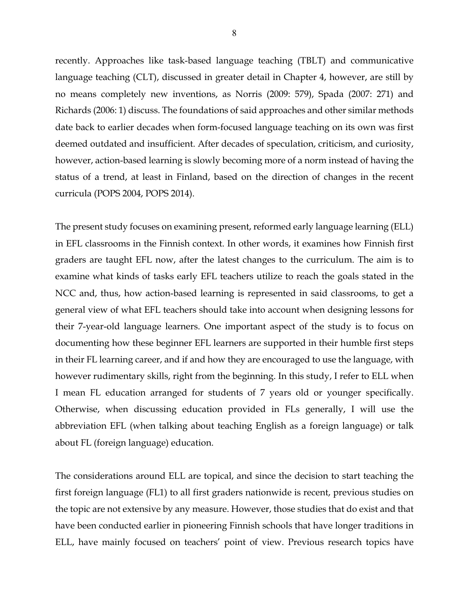recently. Approaches like task-based language teaching (TBLT) and communicative language teaching (CLT), discussed in greater detail in Chapter 4, however, are still by no means completely new inventions, as Norris (2009: 579), Spada (2007: 271) and Richards (2006: 1) discuss. The foundations of said approaches and other similar methods date back to earlier decades when form-focused language teaching on its own was first deemed outdated and insufficient. After decades of speculation, criticism, and curiosity, however, action-based learning is slowly becoming more of a norm instead of having the status of a trend, at least in Finland, based on the direction of changes in the recent curricula (POPS 2004, POPS 2014).

The present study focuses on examining present, reformed early language learning (ELL) in EFL classrooms in the Finnish context. In other words, it examines how Finnish first graders are taught EFL now, after the latest changes to the curriculum. The aim is to examine what kinds of tasks early EFL teachers utilize to reach the goals stated in the NCC and, thus, how action-based learning is represented in said classrooms, to get a general view of what EFL teachers should take into account when designing lessons for their 7-year-old language learners. One important aspect of the study is to focus on documenting how these beginner EFL learners are supported in their humble first steps in their FL learning career, and if and how they are encouraged to use the language, with however rudimentary skills, right from the beginning. In this study, I refer to ELL when I mean FL education arranged for students of 7 years old or younger specifically. Otherwise, when discussing education provided in FLs generally, I will use the abbreviation EFL (when talking about teaching English as a foreign language) or talk about FL (foreign language) education.

The considerations around ELL are topical, and since the decision to start teaching the first foreign language (FL1) to all first graders nationwide is recent, previous studies on the topic are not extensive by any measure. However, those studies that do exist and that have been conducted earlier in pioneering Finnish schools that have longer traditions in ELL, have mainly focused on teachers' point of view. Previous research topics have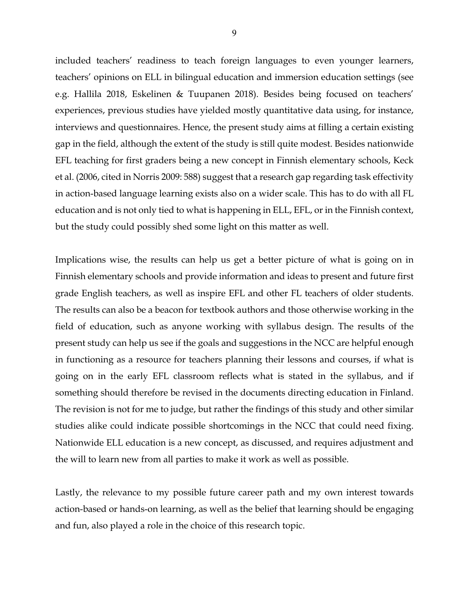included teachers' readiness to teach foreign languages to even younger learners, teachers' opinions on ELL in bilingual education and immersion education settings (see e.g. Hallila 2018, Eskelinen & Tuupanen 2018). Besides being focused on teachers' experiences, previous studies have yielded mostly quantitative data using, for instance, interviews and questionnaires. Hence, the present study aims at filling a certain existing gap in the field, although the extent of the study is still quite modest. Besides nationwide EFL teaching for first graders being a new concept in Finnish elementary schools, Keck et al. (2006, cited in Norris 2009: 588) suggest that a research gap regarding task effectivity in action-based language learning exists also on a wider scale. This has to do with all FL education and is not only tied to what is happening in ELL, EFL, or in the Finnish context, but the study could possibly shed some light on this matter as well.

Implications wise, the results can help us get a better picture of what is going on in Finnish elementary schools and provide information and ideas to present and future first grade English teachers, as well as inspire EFL and other FL teachers of older students. The results can also be a beacon for textbook authors and those otherwise working in the field of education, such as anyone working with syllabus design. The results of the present study can help us see if the goals and suggestions in the NCC are helpful enough in functioning as a resource for teachers planning their lessons and courses, if what is going on in the early EFL classroom reflects what is stated in the syllabus, and if something should therefore be revised in the documents directing education in Finland. The revision is not for me to judge, but rather the findings of this study and other similar studies alike could indicate possible shortcomings in the NCC that could need fixing. Nationwide ELL education is a new concept, as discussed, and requires adjustment and the will to learn new from all parties to make it work as well as possible.

Lastly, the relevance to my possible future career path and my own interest towards action-based or hands-on learning, as well as the belief that learning should be engaging and fun, also played a role in the choice of this research topic.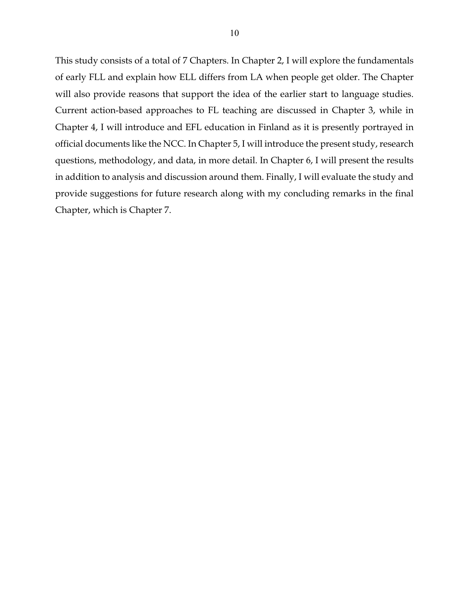This study consists of a total of 7 Chapters. In Chapter 2, I will explore the fundamentals of early FLL and explain how ELL differs from LA when people get older. The Chapter will also provide reasons that support the idea of the earlier start to language studies. Current action-based approaches to FL teaching are discussed in Chapter 3, while in Chapter 4, I will introduce and EFL education in Finland as it is presently portrayed in official documents like the NCC. In Chapter 5, I will introduce the present study, research questions, methodology, and data, in more detail. In Chapter 6, I will present the results in addition to analysis and discussion around them. Finally, I will evaluate the study and provide suggestions for future research along with my concluding remarks in the final Chapter, which is Chapter 7.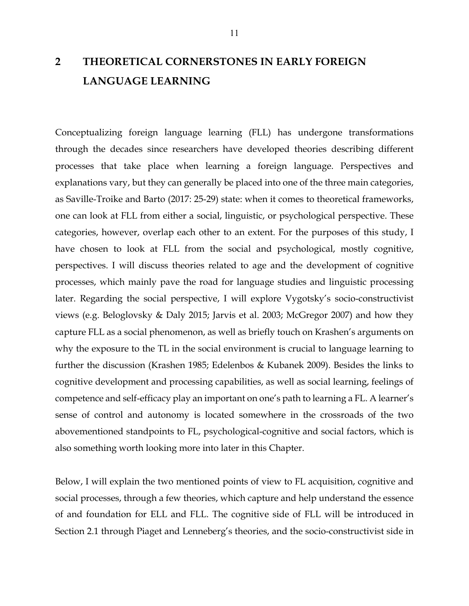## **2 THEORETICAL CORNERSTONES IN EARLY FOREIGN LANGUAGE LEARNING**

Conceptualizing foreign language learning (FLL) has undergone transformations through the decades since researchers have developed theories describing different processes that take place when learning a foreign language. Perspectives and explanations vary, but they can generally be placed into one of the three main categories, as Saville-Troike and Barto (2017: 25-29) state: when it comes to theoretical frameworks, one can look at FLL from either a social, linguistic, or psychological perspective. These categories, however, overlap each other to an extent. For the purposes of this study, I have chosen to look at FLL from the social and psychological, mostly cognitive, perspectives. I will discuss theories related to age and the development of cognitive processes, which mainly pave the road for language studies and linguistic processing later. Regarding the social perspective, I will explore Vygotsky's socio-constructivist views (e.g. Beloglovsky & Daly 2015; Jarvis et al. 2003; McGregor 2007) and how they capture FLL as a social phenomenon, as well as briefly touch on Krashen's arguments on why the exposure to the TL in the social environment is crucial to language learning to further the discussion (Krashen 1985; Edelenbos & Kubanek 2009). Besides the links to cognitive development and processing capabilities, as well as social learning, feelings of competence and self-efficacy play an important on one's path to learning a FL. A learner's sense of control and autonomy is located somewhere in the crossroads of the two abovementioned standpoints to FL, psychological-cognitive and social factors, which is also something worth looking more into later in this Chapter.

Below, I will explain the two mentioned points of view to FL acquisition, cognitive and social processes, through a few theories, which capture and help understand the essence of and foundation for ELL and FLL. The cognitive side of FLL will be introduced in Section 2.1 through Piaget and Lenneberg's theories, and the socio-constructivist side in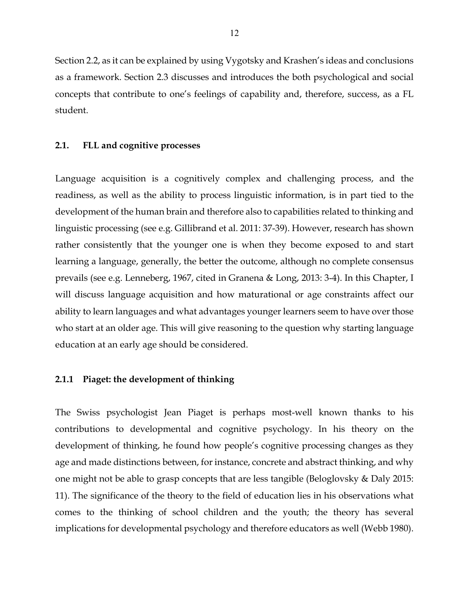Section 2.2, as it can be explained by using Vygotsky and Krashen's ideas and conclusions as a framework. Section 2.3 discusses and introduces the both psychological and social concepts that contribute to one's feelings of capability and, therefore, success, as a FL student.

#### **2.1. FLL and cognitive processes**

Language acquisition is a cognitively complex and challenging process, and the readiness, as well as the ability to process linguistic information, is in part tied to the development of the human brain and therefore also to capabilities related to thinking and linguistic processing (see e.g. Gillibrand et al. 2011: 37-39). However, research has shown rather consistently that the younger one is when they become exposed to and start learning a language, generally, the better the outcome, although no complete consensus prevails (see e.g. Lenneberg, 1967, cited in Granena & Long, 2013: 3-4). In this Chapter, I will discuss language acquisition and how maturational or age constraints affect our ability to learn languages and what advantages younger learners seem to have over those who start at an older age. This will give reasoning to the question why starting language education at an early age should be considered.

#### **2.1.1 Piaget: the development of thinking**

The Swiss psychologist Jean Piaget is perhaps most-well known thanks to his contributions to developmental and cognitive psychology. In his theory on the development of thinking, he found how people's cognitive processing changes as they age and made distinctions between, for instance, concrete and abstract thinking, and why one might not be able to grasp concepts that are less tangible (Beloglovsky & Daly 2015: 11). The significance of the theory to the field of education lies in his observations what comes to the thinking of school children and the youth; the theory has several implications for developmental psychology and therefore educators as well (Webb 1980).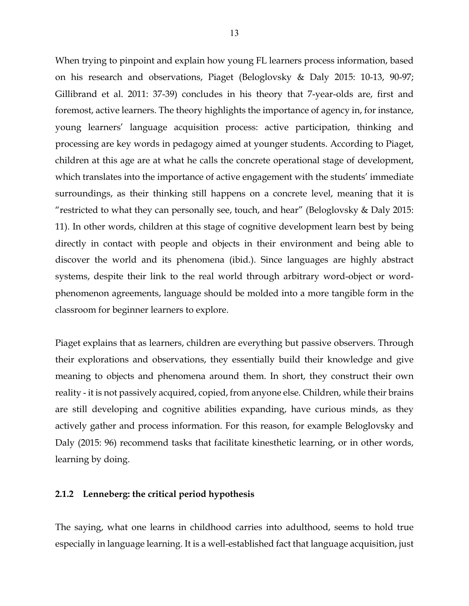When trying to pinpoint and explain how young FL learners process information, based on his research and observations, Piaget (Beloglovsky & Daly 2015: 10-13, 90-97; Gillibrand et al. 2011: 37-39) concludes in his theory that 7-year-olds are, first and foremost, active learners. The theory highlights the importance of agency in, for instance, young learners' language acquisition process: active participation, thinking and processing are key words in pedagogy aimed at younger students. According to Piaget, children at this age are at what he calls the concrete operational stage of development, which translates into the importance of active engagement with the students' immediate surroundings, as their thinking still happens on a concrete level, meaning that it is "restricted to what they can personally see, touch, and hear" (Beloglovsky & Daly 2015: 11). In other words, children at this stage of cognitive development learn best by being directly in contact with people and objects in their environment and being able to discover the world and its phenomena (ibid.). Since languages are highly abstract systems, despite their link to the real world through arbitrary word-object or wordphenomenon agreements, language should be molded into a more tangible form in the classroom for beginner learners to explore.

Piaget explains that as learners, children are everything but passive observers. Through their explorations and observations, they essentially build their knowledge and give meaning to objects and phenomena around them. In short, they construct their own reality - it is not passively acquired, copied, from anyone else. Children, while their brains are still developing and cognitive abilities expanding, have curious minds, as they actively gather and process information. For this reason, for example Beloglovsky and Daly (2015: 96) recommend tasks that facilitate kinesthetic learning, or in other words, learning by doing.

#### **2.1.2 Lenneberg: the critical period hypothesis**

The saying, what one learns in childhood carries into adulthood, seems to hold true especially in language learning. It is a well-established fact that language acquisition, just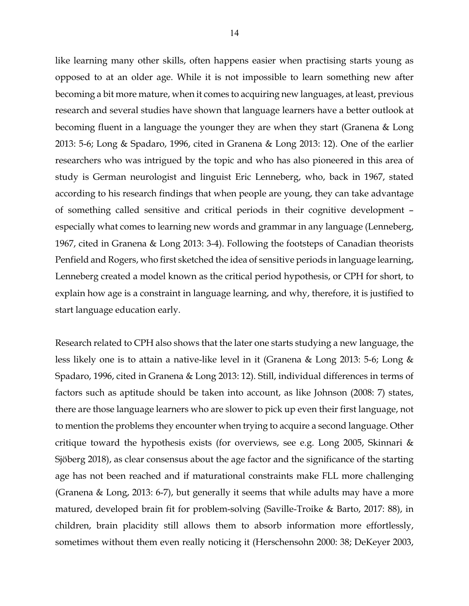like learning many other skills, often happens easier when practising starts young as opposed to at an older age. While it is not impossible to learn something new after becoming a bit more mature, when it comes to acquiring new languages, at least, previous research and several studies have shown that language learners have a better outlook at becoming fluent in a language the younger they are when they start (Granena & Long 2013: 5-6; Long & Spadaro, 1996, cited in Granena & Long 2013: 12). One of the earlier researchers who was intrigued by the topic and who has also pioneered in this area of study is German neurologist and linguist Eric Lenneberg, who, back in 1967, stated according to his research findings that when people are young, they can take advantage of something called sensitive and critical periods in their cognitive development – especially what comes to learning new words and grammar in any language (Lenneberg, 1967, cited in Granena & Long 2013: 3-4). Following the footsteps of Canadian theorists Penfield and Rogers, who first sketched the idea of sensitive periods in language learning, Lenneberg created a model known as the critical period hypothesis, or CPH for short, to explain how age is a constraint in language learning, and why, therefore, it is justified to start language education early.

Research related to CPH also shows that the later one starts studying a new language, the less likely one is to attain a native-like level in it (Granena & Long 2013: 5-6; Long & Spadaro, 1996, cited in Granena & Long 2013: 12). Still, individual differences in terms of factors such as aptitude should be taken into account, as like Johnson (2008: 7) states, there are those language learners who are slower to pick up even their first language, not to mention the problems they encounter when trying to acquire a second language. Other critique toward the hypothesis exists (for overviews, see e.g. Long 2005, Skinnari & Sjöberg 2018), as clear consensus about the age factor and the significance of the starting age has not been reached and if maturational constraints make FLL more challenging (Granena & Long, 2013: 6-7), but generally it seems that while adults may have a more matured, developed brain fit for problem-solving (Saville-Troike & Barto, 2017: 88), in children, brain placidity still allows them to absorb information more effortlessly, sometimes without them even really noticing it (Herschensohn 2000: 38; DeKeyer 2003,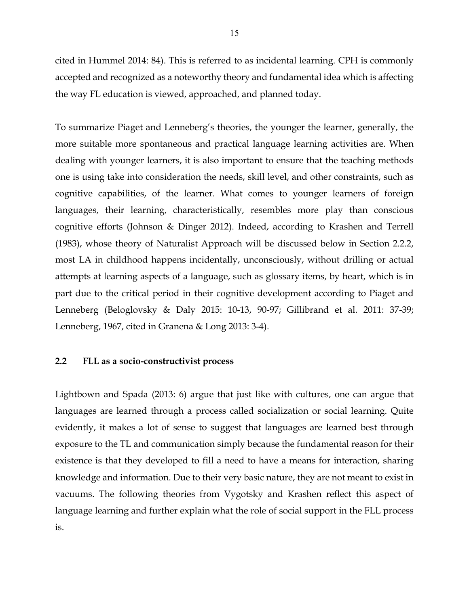cited in Hummel 2014: 84). This is referred to as incidental learning. CPH is commonly accepted and recognized as a noteworthy theory and fundamental idea which is affecting the way FL education is viewed, approached, and planned today.

To summarize Piaget and Lenneberg's theories, the younger the learner, generally, the more suitable more spontaneous and practical language learning activities are. When dealing with younger learners, it is also important to ensure that the teaching methods one is using take into consideration the needs, skill level, and other constraints, such as cognitive capabilities, of the learner. What comes to younger learners of foreign languages, their learning, characteristically, resembles more play than conscious cognitive efforts (Johnson & Dinger 2012). Indeed, according to Krashen and Terrell (1983), whose theory of Naturalist Approach will be discussed below in Section 2.2.2, most LA in childhood happens incidentally, unconsciously, without drilling or actual attempts at learning aspects of a language, such as glossary items, by heart, which is in part due to the critical period in their cognitive development according to Piaget and Lenneberg (Beloglovsky & Daly 2015: 10-13, 90-97; Gillibrand et al. 2011: 37-39; Lenneberg, 1967, cited in Granena & Long 2013: 3-4).

#### **2.2 FLL as a socio-constructivist process**

Lightbown and Spada (2013: 6) argue that just like with cultures, one can argue that languages are learned through a process called socialization or social learning. Quite evidently, it makes a lot of sense to suggest that languages are learned best through exposure to the TL and communication simply because the fundamental reason for their existence is that they developed to fill a need to have a means for interaction, sharing knowledge and information. Due to their very basic nature, they are not meant to exist in vacuums. The following theories from Vygotsky and Krashen reflect this aspect of language learning and further explain what the role of social support in the FLL process is.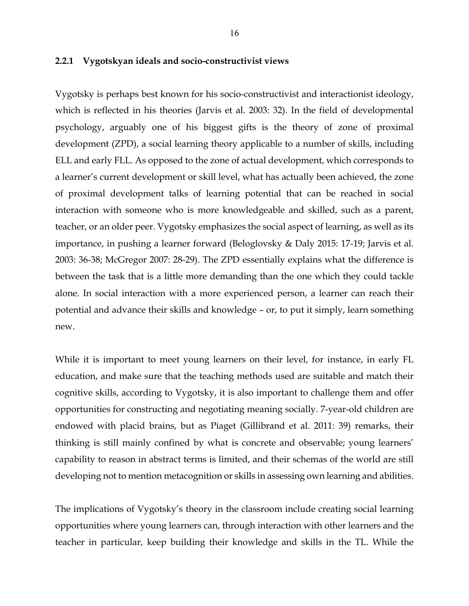#### **2.2.1 Vygotskyan ideals and socio-constructivist views**

Vygotsky is perhaps best known for his socio-constructivist and interactionist ideology, which is reflected in his theories (Jarvis et al. 2003: 32). In the field of developmental psychology, arguably one of his biggest gifts is the theory of zone of proximal development (ZPD), a social learning theory applicable to a number of skills, including ELL and early FLL. As opposed to the zone of actual development, which corresponds to a learner's current development or skill level, what has actually been achieved, the zone of proximal development talks of learning potential that can be reached in social interaction with someone who is more knowledgeable and skilled, such as a parent, teacher, or an older peer. Vygotsky emphasizes the social aspect of learning, as well as its importance, in pushing a learner forward (Beloglovsky & Daly 2015: 17-19; Jarvis et al. 2003: 36-38; McGregor 2007: 28-29). The ZPD essentially explains what the difference is between the task that is a little more demanding than the one which they could tackle alone. In social interaction with a more experienced person, a learner can reach their potential and advance their skills and knowledge – or, to put it simply, learn something new.

While it is important to meet young learners on their level, for instance, in early FL education, and make sure that the teaching methods used are suitable and match their cognitive skills, according to Vygotsky, it is also important to challenge them and offer opportunities for constructing and negotiating meaning socially. 7-year-old children are endowed with placid brains, but as Piaget (Gillibrand et al. 2011: 39) remarks, their thinking is still mainly confined by what is concrete and observable; young learners' capability to reason in abstract terms is limited, and their schemas of the world are still developing not to mention metacognition or skills in assessing own learning and abilities.

The implications of Vygotsky's theory in the classroom include creating social learning opportunities where young learners can, through interaction with other learners and the teacher in particular, keep building their knowledge and skills in the TL. While the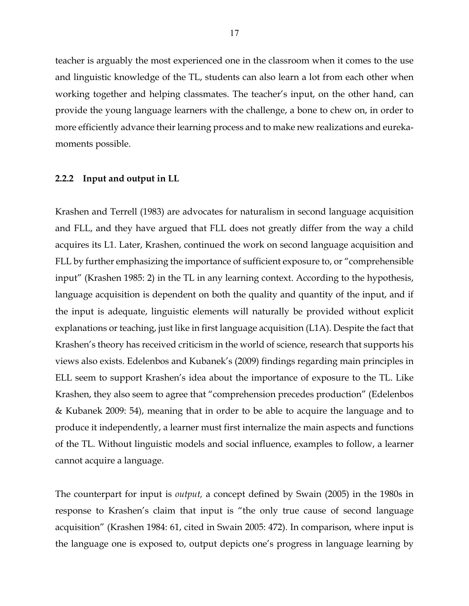teacher is arguably the most experienced one in the classroom when it comes to the use and linguistic knowledge of the TL, students can also learn a lot from each other when working together and helping classmates. The teacher's input, on the other hand, can provide the young language learners with the challenge, a bone to chew on, in order to more efficiently advance their learning process and to make new realizations and eurekamoments possible.

#### **2.2.2 Input and output in LL**

Krashen and Terrell (1983) are advocates for naturalism in second language acquisition and FLL, and they have argued that FLL does not greatly differ from the way a child acquires its L1. Later, Krashen, continued the work on second language acquisition and FLL by further emphasizing the importance of sufficient exposure to, or "comprehensible input" (Krashen 1985: 2) in the TL in any learning context. According to the hypothesis, language acquisition is dependent on both the quality and quantity of the input, and if the input is adequate, linguistic elements will naturally be provided without explicit explanations or teaching, just like in first language acquisition (L1A). Despite the fact that Krashen's theory has received criticism in the world of science, research that supports his views also exists. Edelenbos and Kubanek's (2009) findings regarding main principles in ELL seem to support Krashen's idea about the importance of exposure to the TL. Like Krashen, they also seem to agree that "comprehension precedes production" (Edelenbos & Kubanek 2009: 54), meaning that in order to be able to acquire the language and to produce it independently, a learner must first internalize the main aspects and functions of the TL. Without linguistic models and social influence, examples to follow, a learner cannot acquire a language.

The counterpart for input is *output,* a concept defined by Swain (2005) in the 1980s in response to Krashen's claim that input is "the only true cause of second language acquisition" (Krashen 1984: 61, cited in Swain 2005: 472). In comparison, where input is the language one is exposed to, output depicts one's progress in language learning by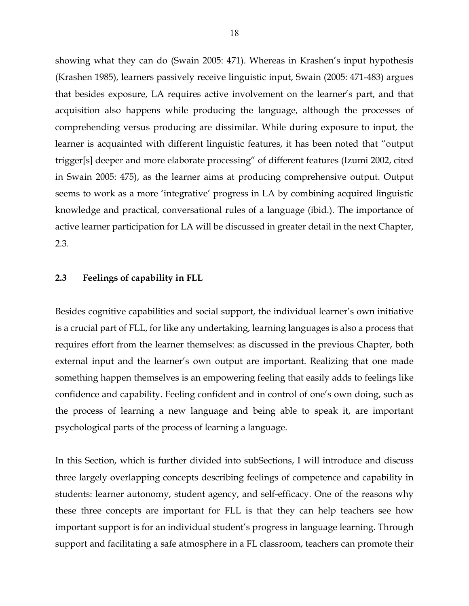showing what they can do (Swain 2005: 471). Whereas in Krashen's input hypothesis (Krashen 1985), learners passively receive linguistic input, Swain (2005: 471-483) argues that besides exposure, LA requires active involvement on the learner's part, and that acquisition also happens while producing the language, although the processes of comprehending versus producing are dissimilar. While during exposure to input, the learner is acquainted with different linguistic features, it has been noted that "output trigger[s] deeper and more elaborate processing" of different features (Izumi 2002, cited in Swain 2005: 475), as the learner aims at producing comprehensive output. Output seems to work as a more 'integrative' progress in LA by combining acquired linguistic knowledge and practical, conversational rules of a language (ibid.). The importance of active learner participation for LA will be discussed in greater detail in the next Chapter, 2.3.

#### **2.3 Feelings of capability in FLL**

Besides cognitive capabilities and social support, the individual learner's own initiative is a crucial part of FLL, for like any undertaking, learning languages is also a process that requires effort from the learner themselves: as discussed in the previous Chapter, both external input and the learner's own output are important. Realizing that one made something happen themselves is an empowering feeling that easily adds to feelings like confidence and capability. Feeling confident and in control of one's own doing, such as the process of learning a new language and being able to speak it, are important psychological parts of the process of learning a language.

In this Section, which is further divided into subSections, I will introduce and discuss three largely overlapping concepts describing feelings of competence and capability in students: learner autonomy, student agency, and self-efficacy. One of the reasons why these three concepts are important for FLL is that they can help teachers see how important support is for an individual student's progress in language learning. Through support and facilitating a safe atmosphere in a FL classroom, teachers can promote their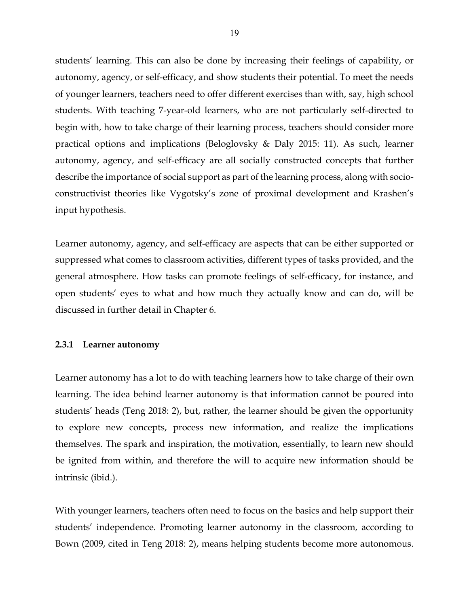students' learning. This can also be done by increasing their feelings of capability, or autonomy, agency, or self-efficacy, and show students their potential. To meet the needs of younger learners, teachers need to offer different exercises than with, say, high school students. With teaching 7-year-old learners, who are not particularly self-directed to begin with, how to take charge of their learning process, teachers should consider more practical options and implications (Beloglovsky & Daly 2015: 11). As such, learner autonomy, agency, and self-efficacy are all socially constructed concepts that further describe the importance of social support as part of the learning process, along with socioconstructivist theories like Vygotsky's zone of proximal development and Krashen's input hypothesis.

Learner autonomy, agency, and self-efficacy are aspects that can be either supported or suppressed what comes to classroom activities, different types of tasks provided, and the general atmosphere. How tasks can promote feelings of self-efficacy, for instance, and open students' eyes to what and how much they actually know and can do, will be discussed in further detail in Chapter 6.

#### **2.3.1 Learner autonomy**

Learner autonomy has a lot to do with teaching learners how to take charge of their own learning. The idea behind learner autonomy is that information cannot be poured into students' heads (Teng 2018: 2), but, rather, the learner should be given the opportunity to explore new concepts, process new information, and realize the implications themselves. The spark and inspiration, the motivation, essentially, to learn new should be ignited from within, and therefore the will to acquire new information should be intrinsic (ibid.).

With younger learners, teachers often need to focus on the basics and help support their students' independence. Promoting learner autonomy in the classroom, according to Bown (2009, cited in Teng 2018: 2), means helping students become more autonomous.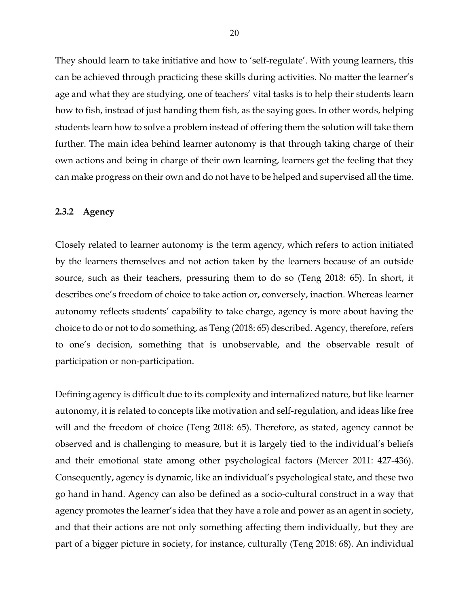They should learn to take initiative and how to 'self-regulate'. With young learners, this can be achieved through practicing these skills during activities. No matter the learner's age and what they are studying, one of teachers' vital tasks is to help their students learn how to fish, instead of just handing them fish, as the saying goes. In other words, helping students learn how to solve a problem instead of offering them the solution will take them further. The main idea behind learner autonomy is that through taking charge of their own actions and being in charge of their own learning, learners get the feeling that they can make progress on their own and do not have to be helped and supervised all the time.

#### **2.3.2 Agency**

Closely related to learner autonomy is the term agency, which refers to action initiated by the learners themselves and not action taken by the learners because of an outside source, such as their teachers, pressuring them to do so (Teng 2018: 65). In short, it describes one's freedom of choice to take action or, conversely, inaction. Whereas learner autonomy reflects students' capability to take charge, agency is more about having the choice to do or not to do something, as Teng (2018: 65) described. Agency, therefore, refers to one's decision, something that is unobservable, and the observable result of participation or non-participation.

Defining agency is difficult due to its complexity and internalized nature, but like learner autonomy, it is related to concepts like motivation and self-regulation, and ideas like free will and the freedom of choice (Teng 2018: 65). Therefore, as stated, agency cannot be observed and is challenging to measure, but it is largely tied to the individual's beliefs and their emotional state among other psychological factors (Mercer 2011: 427-436). Consequently, agency is dynamic, like an individual's psychological state, and these two go hand in hand. Agency can also be defined as a socio-cultural construct in a way that agency promotes the learner's idea that they have a role and power as an agent in society, and that their actions are not only something affecting them individually, but they are part of a bigger picture in society, for instance, culturally (Teng 2018: 68). An individual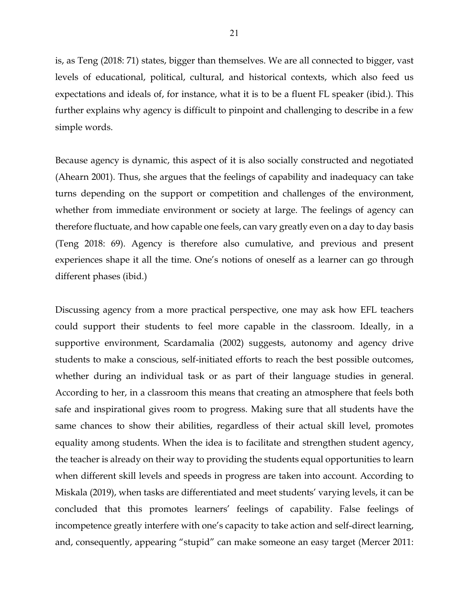is, as Teng (2018: 71) states, bigger than themselves. We are all connected to bigger, vast levels of educational, political, cultural, and historical contexts, which also feed us expectations and ideals of, for instance, what it is to be a fluent FL speaker (ibid.). This further explains why agency is difficult to pinpoint and challenging to describe in a few simple words.

Because agency is dynamic, this aspect of it is also socially constructed and negotiated (Ahearn 2001). Thus, she argues that the feelings of capability and inadequacy can take turns depending on the support or competition and challenges of the environment, whether from immediate environment or society at large. The feelings of agency can therefore fluctuate, and how capable one feels, can vary greatly even on a day to day basis (Teng 2018: 69). Agency is therefore also cumulative, and previous and present experiences shape it all the time. One's notions of oneself as a learner can go through different phases (ibid.)

Discussing agency from a more practical perspective, one may ask how EFL teachers could support their students to feel more capable in the classroom. Ideally, in a supportive environment, Scardamalia (2002) suggests, autonomy and agency drive students to make a conscious, self-initiated efforts to reach the best possible outcomes, whether during an individual task or as part of their language studies in general. According to her, in a classroom this means that creating an atmosphere that feels both safe and inspirational gives room to progress. Making sure that all students have the same chances to show their abilities, regardless of their actual skill level, promotes equality among students. When the idea is to facilitate and strengthen student agency, the teacher is already on their way to providing the students equal opportunities to learn when different skill levels and speeds in progress are taken into account. According to Miskala (2019), when tasks are differentiated and meet students' varying levels, it can be concluded that this promotes learners' feelings of capability. False feelings of incompetence greatly interfere with one's capacity to take action and self-direct learning, and, consequently, appearing "stupid" can make someone an easy target (Mercer 2011: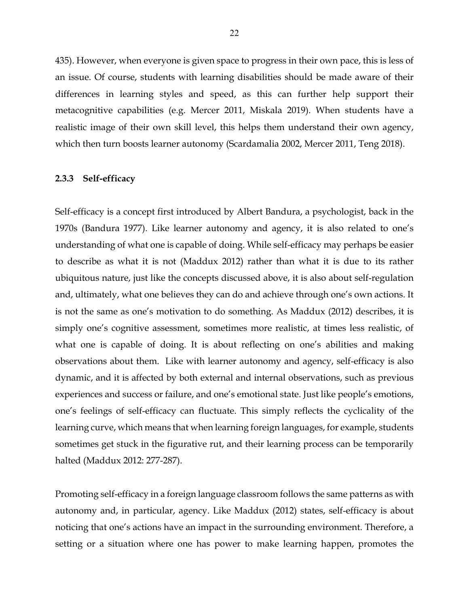435). However, when everyone is given space to progress in their own pace, this is less of an issue. Of course, students with learning disabilities should be made aware of their differences in learning styles and speed, as this can further help support their metacognitive capabilities (e.g. Mercer 2011, Miskala 2019). When students have a realistic image of their own skill level, this helps them understand their own agency, which then turn boosts learner autonomy (Scardamalia 2002, Mercer 2011, Teng 2018).

#### **2.3.3 Self-efficacy**

Self-efficacy is a concept first introduced by Albert Bandura, a psychologist, back in the 1970s (Bandura 1977). Like learner autonomy and agency, it is also related to one's understanding of what one is capable of doing. While self-efficacy may perhaps be easier to describe as what it is not (Maddux 2012) rather than what it is due to its rather ubiquitous nature, just like the concepts discussed above, it is also about self-regulation and, ultimately, what one believes they can do and achieve through one's own actions. It is not the same as one's motivation to do something. As Maddux (2012) describes, it is simply one's cognitive assessment, sometimes more realistic, at times less realistic, of what one is capable of doing. It is about reflecting on one's abilities and making observations about them. Like with learner autonomy and agency, self-efficacy is also dynamic, and it is affected by both external and internal observations, such as previous experiences and success or failure, and one's emotional state. Just like people's emotions, one's feelings of self-efficacy can fluctuate. This simply reflects the cyclicality of the learning curve, which means that when learning foreign languages, for example, students sometimes get stuck in the figurative rut, and their learning process can be temporarily halted (Maddux 2012: 277-287).

Promoting self-efficacy in a foreign language classroom follows the same patterns as with autonomy and, in particular, agency. Like Maddux (2012) states, self-efficacy is about noticing that one's actions have an impact in the surrounding environment. Therefore, a setting or a situation where one has power to make learning happen, promotes the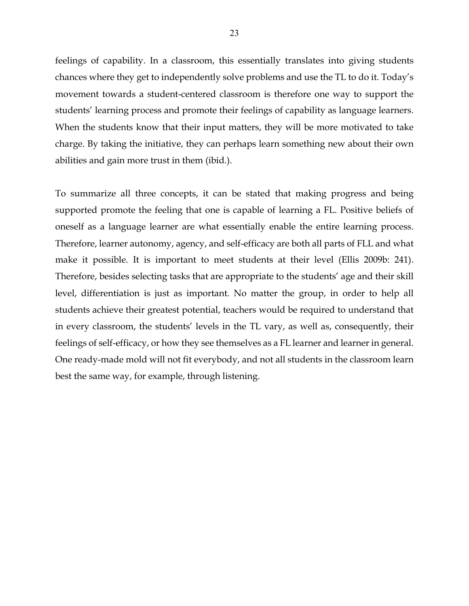feelings of capability. In a classroom, this essentially translates into giving students chances where they get to independently solve problems and use the TL to do it. Today's movement towards a student-centered classroom is therefore one way to support the students' learning process and promote their feelings of capability as language learners. When the students know that their input matters, they will be more motivated to take charge. By taking the initiative, they can perhaps learn something new about their own abilities and gain more trust in them (ibid.).

To summarize all three concepts, it can be stated that making progress and being supported promote the feeling that one is capable of learning a FL. Positive beliefs of oneself as a language learner are what essentially enable the entire learning process. Therefore, learner autonomy, agency, and self-efficacy are both all parts of FLL and what make it possible. It is important to meet students at their level (Ellis 2009b: 241). Therefore, besides selecting tasks that are appropriate to the students' age and their skill level, differentiation is just as important. No matter the group, in order to help all students achieve their greatest potential, teachers would be required to understand that in every classroom, the students' levels in the TL vary, as well as, consequently, their feelings of self-efficacy, or how they see themselves as a FL learner and learner in general. One ready-made mold will not fit everybody, and not all students in the classroom learn best the same way, for example, through listening.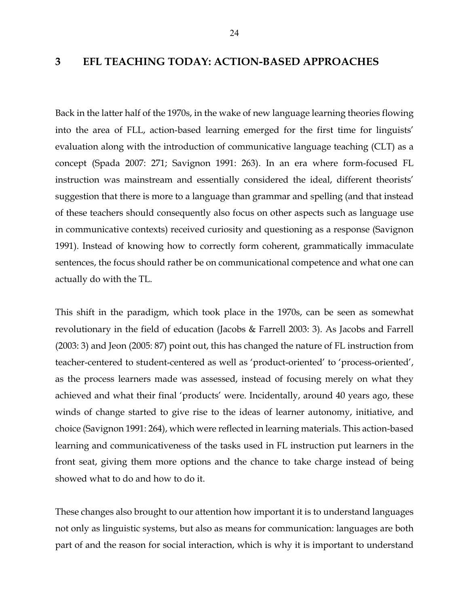#### **3 EFL TEACHING TODAY: ACTION-BASED APPROACHES**

Back in the latter half of the 1970s, in the wake of new language learning theories flowing into the area of FLL, action-based learning emerged for the first time for linguists' evaluation along with the introduction of communicative language teaching (CLT) as a concept (Spada 2007: 271; Savignon 1991: 263). In an era where form-focused FL instruction was mainstream and essentially considered the ideal, different theorists' suggestion that there is more to a language than grammar and spelling (and that instead of these teachers should consequently also focus on other aspects such as language use in communicative contexts) received curiosity and questioning as a response (Savignon 1991). Instead of knowing how to correctly form coherent, grammatically immaculate sentences, the focus should rather be on communicational competence and what one can actually do with the TL.

This shift in the paradigm, which took place in the 1970s, can be seen as somewhat revolutionary in the field of education (Jacobs & Farrell 2003: 3). As Jacobs and Farrell (2003: 3) and Jeon (2005: 87) point out, this has changed the nature of FL instruction from teacher-centered to student-centered as well as 'product-oriented' to 'process-oriented', as the process learners made was assessed, instead of focusing merely on what they achieved and what their final 'products' were. Incidentally, around 40 years ago, these winds of change started to give rise to the ideas of learner autonomy, initiative, and choice (Savignon 1991: 264), which were reflected in learning materials. This action-based learning and communicativeness of the tasks used in FL instruction put learners in the front seat, giving them more options and the chance to take charge instead of being showed what to do and how to do it.

These changes also brought to our attention how important it is to understand languages not only as linguistic systems, but also as means for communication: languages are both part of and the reason for social interaction, which is why it is important to understand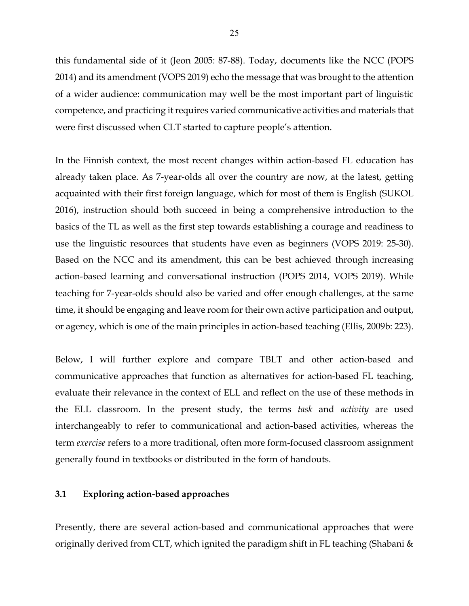this fundamental side of it (Jeon 2005: 87-88). Today, documents like the NCC (POPS 2014) and its amendment (VOPS 2019) echo the message that was brought to the attention of a wider audience: communication may well be the most important part of linguistic competence, and practicing it requires varied communicative activities and materials that were first discussed when CLT started to capture people's attention.

In the Finnish context, the most recent changes within action-based FL education has already taken place. As 7-year-olds all over the country are now, at the latest, getting acquainted with their first foreign language, which for most of them is English (SUKOL 2016), instruction should both succeed in being a comprehensive introduction to the basics of the TL as well as the first step towards establishing a courage and readiness to use the linguistic resources that students have even as beginners (VOPS 2019: 25-30). Based on the NCC and its amendment, this can be best achieved through increasing action-based learning and conversational instruction (POPS 2014, VOPS 2019). While teaching for 7-year-olds should also be varied and offer enough challenges, at the same time, it should be engaging and leave room for their own active participation and output, or agency, which is one of the main principles in action-based teaching (Ellis, 2009b: 223).

Below, I will further explore and compare TBLT and other action-based and communicative approaches that function as alternatives for action-based FL teaching, evaluate their relevance in the context of ELL and reflect on the use of these methods in the ELL classroom. In the present study, the terms *task* and *activity* are used interchangeably to refer to communicational and action-based activities, whereas the term *exercise* refers to a more traditional, often more form-focused classroom assignment generally found in textbooks or distributed in the form of handouts.

#### **3.1 Exploring action-based approaches**

Presently, there are several action-based and communicational approaches that were originally derived from CLT, which ignited the paradigm shift in FL teaching (Shabani &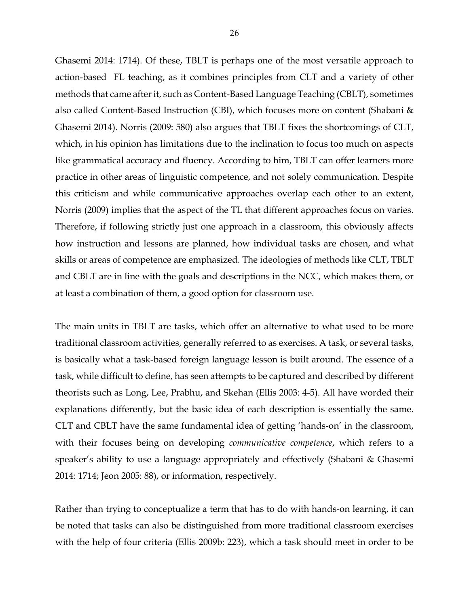Ghasemi 2014: 1714). Of these, TBLT is perhaps one of the most versatile approach to action-based FL teaching, as it combines principles from CLT and a variety of other methods that came after it, such as Content-Based Language Teaching (CBLT), sometimes also called Content-Based Instruction (CBI), which focuses more on content (Shabani & Ghasemi 2014). Norris (2009: 580) also argues that TBLT fixes the shortcomings of CLT, which, in his opinion has limitations due to the inclination to focus too much on aspects like grammatical accuracy and fluency. According to him, TBLT can offer learners more practice in other areas of linguistic competence, and not solely communication. Despite this criticism and while communicative approaches overlap each other to an extent, Norris (2009) implies that the aspect of the TL that different approaches focus on varies. Therefore, if following strictly just one approach in a classroom, this obviously affects how instruction and lessons are planned, how individual tasks are chosen, and what skills or areas of competence are emphasized. The ideologies of methods like CLT, TBLT and CBLT are in line with the goals and descriptions in the NCC, which makes them, or at least a combination of them, a good option for classroom use.

The main units in TBLT are tasks, which offer an alternative to what used to be more traditional classroom activities, generally referred to as exercises. A task, or several tasks, is basically what a task-based foreign language lesson is built around. The essence of a task, while difficult to define, has seen attempts to be captured and described by different theorists such as Long, Lee, Prabhu, and Skehan (Ellis 2003: 4-5). All have worded their explanations differently, but the basic idea of each description is essentially the same. CLT and CBLT have the same fundamental idea of getting 'hands-on' in the classroom, with their focuses being on developing *communicative competence*, which refers to a speaker's ability to use a language appropriately and effectively (Shabani & Ghasemi 2014: 1714; Jeon 2005: 88), or information, respectively.

Rather than trying to conceptualize a term that has to do with hands-on learning, it can be noted that tasks can also be distinguished from more traditional classroom exercises with the help of four criteria (Ellis 2009b: 223), which a task should meet in order to be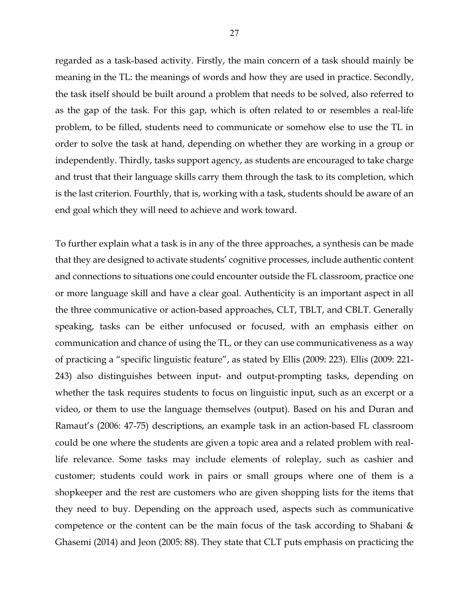regarded as a task-based activity. Firstly, the main concern of a task should mainly be meaning in the TL: the meanings of words and how they are used in practice. Secondly, the task itself should be built around a problem that needs to be solved, also referred to as the gap of the task. For this gap, which is often related to or resembles a real-life problem, to be filled, students need to communicate or somehow else to use the TL in order to solve the task at hand, depending on whether they are working in a group or independently. Thirdly, tasks support agency, as students are encouraged to take charge and trust that their language skills carry them through the task to its completion, which is the last criterion. Fourthly, that is, working with a task, students should be aware of an end goal which they will need to achieve and work toward.

To further explain what a task is in any of the three approaches, a synthesis can be made that they are designed to activate students' cognitive processes, include authentic content and connections to situations one could encounter outside the FL classroom, practice one or more language skill and have a clear goal. Authenticity is an important aspect in all the three communicative or action-based approaches, CLT, TBLT, and CBLT. Generally speaking, tasks can be either unfocused or focused, with an emphasis either on communication and chance of using the TL, or they can use communicativeness as a way of practicing a "specific linguistic feature", as stated by Ellis (2009: 223). Ellis (2009: 221- 243) also distinguishes between input- and output-prompting tasks, depending on whether the task requires students to focus on linguistic input, such as an excerpt or a video, or them to use the language themselves (output). Based on his and Duran and Ramaut's (2006: 47-75) descriptions, an example task in an action-based FL classroom could be one where the students are given a topic area and a related problem with reallife relevance. Some tasks may include elements of roleplay, such as cashier and customer; students could work in pairs or small groups where one of them is a shopkeeper and the rest are customers who are given shopping lists for the items that they need to buy. Depending on the approach used, aspects such as communicative competence or the content can be the main focus of the task according to Shabani & Ghasemi (2014) and Jeon (2005: 88). They state that CLT puts emphasis on practicing the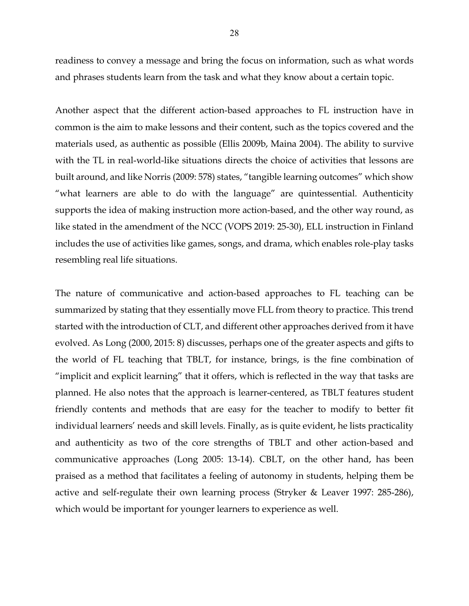readiness to convey a message and bring the focus on information, such as what words and phrases students learn from the task and what they know about a certain topic.

Another aspect that the different action-based approaches to FL instruction have in common is the aim to make lessons and their content, such as the topics covered and the materials used, as authentic as possible (Ellis 2009b, Maina 2004). The ability to survive with the TL in real-world-like situations directs the choice of activities that lessons are built around, and like Norris (2009: 578) states, "tangible learning outcomes" which show "what learners are able to do with the language" are quintessential. Authenticity supports the idea of making instruction more action-based, and the other way round, as like stated in the amendment of the NCC (VOPS 2019: 25-30), ELL instruction in Finland includes the use of activities like games, songs, and drama, which enables role-play tasks resembling real life situations.

The nature of communicative and action-based approaches to FL teaching can be summarized by stating that they essentially move FLL from theory to practice. This trend started with the introduction of CLT, and different other approaches derived from it have evolved. As Long (2000, 2015: 8) discusses, perhaps one of the greater aspects and gifts to the world of FL teaching that TBLT, for instance, brings, is the fine combination of "implicit and explicit learning" that it offers, which is reflected in the way that tasks are planned. He also notes that the approach is learner-centered, as TBLT features student friendly contents and methods that are easy for the teacher to modify to better fit individual learners' needs and skill levels. Finally, as is quite evident, he lists practicality and authenticity as two of the core strengths of TBLT and other action-based and communicative approaches (Long 2005: 13-14). CBLT, on the other hand, has been praised as a method that facilitates a feeling of autonomy in students, helping them be active and self-regulate their own learning process (Stryker & Leaver 1997: 285-286), which would be important for younger learners to experience as well.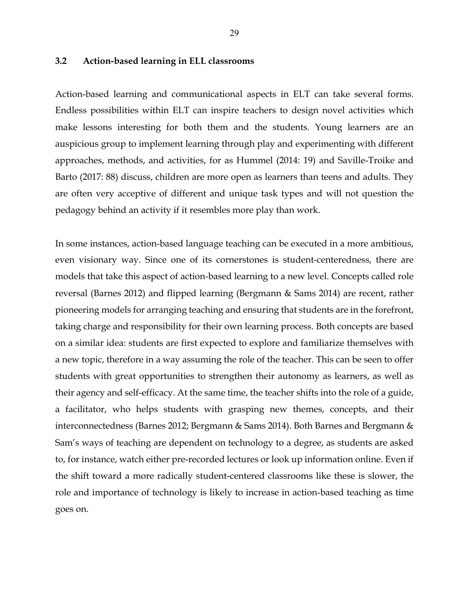#### **3.2 Action-based learning in ELL classrooms**

Action-based learning and communicational aspects in ELT can take several forms. Endless possibilities within ELT can inspire teachers to design novel activities which make lessons interesting for both them and the students. Young learners are an auspicious group to implement learning through play and experimenting with different approaches, methods, and activities, for as Hummel (2014: 19) and Saville-Troike and Barto (2017: 88) discuss, children are more open as learners than teens and adults. They are often very acceptive of different and unique task types and will not question the pedagogy behind an activity if it resembles more play than work.

In some instances, action-based language teaching can be executed in a more ambitious, even visionary way. Since one of its cornerstones is student-centeredness, there are models that take this aspect of action-based learning to a new level. Concepts called role reversal (Barnes 2012) and flipped learning (Bergmann & Sams 2014) are recent, rather pioneering models for arranging teaching and ensuring that students are in the forefront, taking charge and responsibility for their own learning process. Both concepts are based on a similar idea: students are first expected to explore and familiarize themselves with a new topic, therefore in a way assuming the role of the teacher. This can be seen to offer students with great opportunities to strengthen their autonomy as learners, as well as their agency and self-efficacy. At the same time, the teacher shifts into the role of a guide, a facilitator, who helps students with grasping new themes, concepts, and their interconnectedness (Barnes 2012; Bergmann & Sams 2014). Both Barnes and Bergmann & Sam's ways of teaching are dependent on technology to a degree, as students are asked to, for instance, watch either pre-recorded lectures or look up information online. Even if the shift toward a more radically student-centered classrooms like these is slower, the role and importance of technology is likely to increase in action-based teaching as time goes on.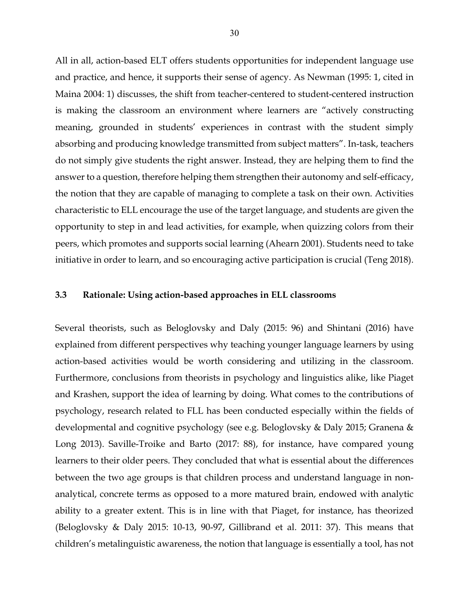All in all, action-based ELT offers students opportunities for independent language use and practice, and hence, it supports their sense of agency. As Newman (1995: 1, cited in Maina 2004: 1) discusses, the shift from teacher-centered to student-centered instruction is making the classroom an environment where learners are "actively constructing meaning, grounded in students' experiences in contrast with the student simply absorbing and producing knowledge transmitted from subject matters". In-task, teachers do not simply give students the right answer. Instead, they are helping them to find the answer to a question, therefore helping them strengthen their autonomy and self-efficacy, the notion that they are capable of managing to complete a task on their own. Activities characteristic to ELL encourage the use of the target language, and students are given the opportunity to step in and lead activities, for example, when quizzing colors from their peers, which promotes and supports social learning (Ahearn 2001). Students need to take initiative in order to learn, and so encouraging active participation is crucial (Teng 2018).

#### **3.3 Rationale: Using action-based approaches in ELL classrooms**

Several theorists, such as Beloglovsky and Daly (2015: 96) and Shintani (2016) have explained from different perspectives why teaching younger language learners by using action-based activities would be worth considering and utilizing in the classroom. Furthermore, conclusions from theorists in psychology and linguistics alike, like Piaget and Krashen, support the idea of learning by doing. What comes to the contributions of psychology, research related to FLL has been conducted especially within the fields of developmental and cognitive psychology (see e.g. Beloglovsky & Daly 2015; Granena & Long 2013). Saville-Troike and Barto (2017: 88), for instance, have compared young learners to their older peers. They concluded that what is essential about the differences between the two age groups is that children process and understand language in nonanalytical, concrete terms as opposed to a more matured brain, endowed with analytic ability to a greater extent. This is in line with that Piaget, for instance, has theorized (Beloglovsky & Daly 2015: 10-13, 90-97, Gillibrand et al. 2011: 37). This means that children's metalinguistic awareness, the notion that language is essentially a tool, has not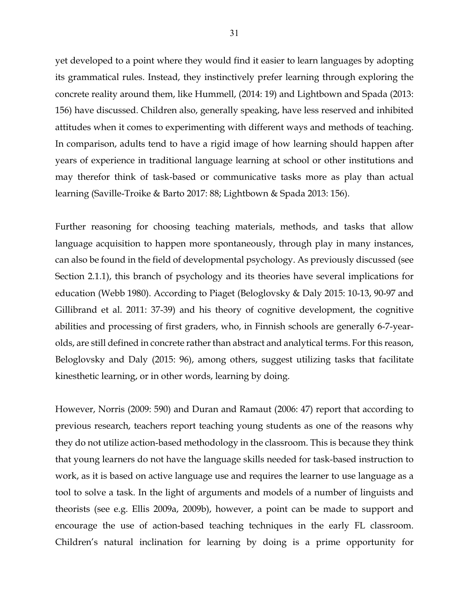yet developed to a point where they would find it easier to learn languages by adopting its grammatical rules. Instead, they instinctively prefer learning through exploring the concrete reality around them, like Hummell, (2014: 19) and Lightbown and Spada (2013: 156) have discussed. Children also, generally speaking, have less reserved and inhibited attitudes when it comes to experimenting with different ways and methods of teaching. In comparison, adults tend to have a rigid image of how learning should happen after years of experience in traditional language learning at school or other institutions and may therefor think of task-based or communicative tasks more as play than actual learning (Saville-Troike & Barto 2017: 88; Lightbown & Spada 2013: 156).

Further reasoning for choosing teaching materials, methods, and tasks that allow language acquisition to happen more spontaneously, through play in many instances, can also be found in the field of developmental psychology. As previously discussed (see Section 2.1.1), this branch of psychology and its theories have several implications for education (Webb 1980). According to Piaget (Beloglovsky & Daly 2015: 10-13, 90-97 and Gillibrand et al. 2011: 37-39) and his theory of cognitive development, the cognitive abilities and processing of first graders, who, in Finnish schools are generally 6-7-yearolds, are still defined in concrete rather than abstract and analytical terms. For this reason, Beloglovsky and Daly (2015: 96), among others, suggest utilizing tasks that facilitate kinesthetic learning, or in other words, learning by doing.

However, Norris (2009: 590) and Duran and Ramaut (2006: 47) report that according to previous research, teachers report teaching young students as one of the reasons why they do not utilize action-based methodology in the classroom. This is because they think that young learners do not have the language skills needed for task-based instruction to work, as it is based on active language use and requires the learner to use language as a tool to solve a task. In the light of arguments and models of a number of linguists and theorists (see e.g. Ellis 2009a, 2009b), however, a point can be made to support and encourage the use of action-based teaching techniques in the early FL classroom. Children's natural inclination for learning by doing is a prime opportunity for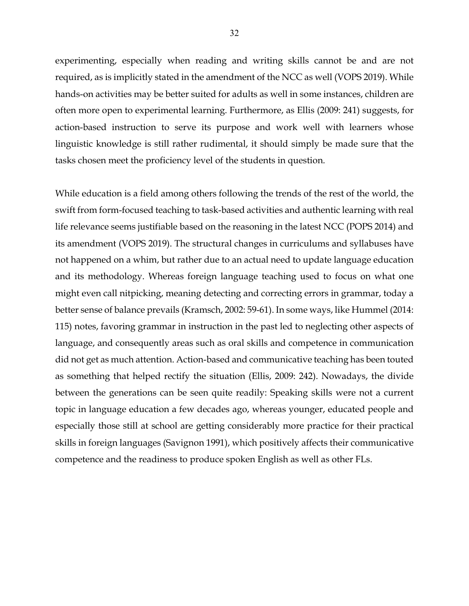experimenting, especially when reading and writing skills cannot be and are not required, as is implicitly stated in the amendment of the NCC as well (VOPS 2019). While hands-on activities may be better suited for adults as well in some instances, children are often more open to experimental learning. Furthermore, as Ellis (2009: 241) suggests, for action-based instruction to serve its purpose and work well with learners whose linguistic knowledge is still rather rudimental, it should simply be made sure that the tasks chosen meet the proficiency level of the students in question.

While education is a field among others following the trends of the rest of the world, the swift from form-focused teaching to task-based activities and authentic learning with real life relevance seems justifiable based on the reasoning in the latest NCC (POPS 2014) and its amendment (VOPS 2019). The structural changes in curriculums and syllabuses have not happened on a whim, but rather due to an actual need to update language education and its methodology. Whereas foreign language teaching used to focus on what one might even call nitpicking, meaning detecting and correcting errors in grammar, today a better sense of balance prevails (Kramsch, 2002: 59-61). In some ways, like Hummel (2014: 115) notes, favoring grammar in instruction in the past led to neglecting other aspects of language, and consequently areas such as oral skills and competence in communication did not get as much attention. Action-based and communicative teaching has been touted as something that helped rectify the situation (Ellis, 2009: 242). Nowadays, the divide between the generations can be seen quite readily: Speaking skills were not a current topic in language education a few decades ago, whereas younger, educated people and especially those still at school are getting considerably more practice for their practical skills in foreign languages (Savignon 1991), which positively affects their communicative competence and the readiness to produce spoken English as well as other FLs.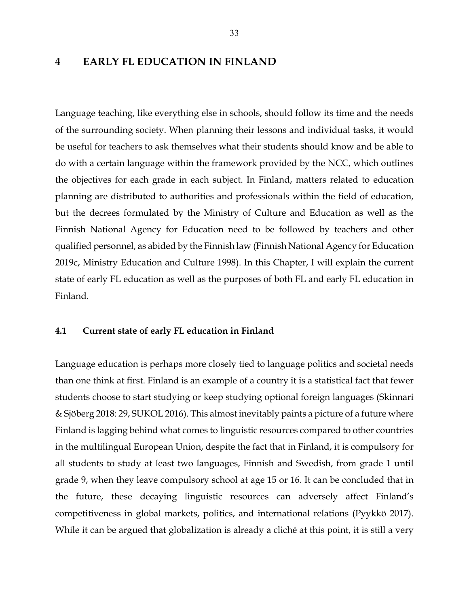#### **4 EARLY FL EDUCATION IN FINLAND**

Language teaching, like everything else in schools, should follow its time and the needs of the surrounding society. When planning their lessons and individual tasks, it would be useful for teachers to ask themselves what their students should know and be able to do with a certain language within the framework provided by the NCC, which outlines the objectives for each grade in each subject. In Finland, matters related to education planning are distributed to authorities and professionals within the field of education, but the decrees formulated by the Ministry of Culture and Education as well as the Finnish National Agency for Education need to be followed by teachers and other qualified personnel, as abided by the Finnish law (Finnish National Agency for Education 2019c, Ministry Education and Culture 1998). In this Chapter, I will explain the current state of early FL education as well as the purposes of both FL and early FL education in Finland.

#### **4.1 Current state of early FL education in Finland**

Language education is perhaps more closely tied to language politics and societal needs than one think at first. Finland is an example of a country it is a statistical fact that fewer students choose to start studying or keep studying optional foreign languages (Skinnari & Sjöberg 2018: 29, SUKOL 2016). This almost inevitably paints a picture of a future where Finland is lagging behind what comes to linguistic resources compared to other countries in the multilingual European Union, despite the fact that in Finland, it is compulsory for all students to study at least two languages, Finnish and Swedish, from grade 1 until grade 9, when they leave compulsory school at age 15 or 16. It can be concluded that in the future, these decaying linguistic resources can adversely affect Finland's competitiveness in global markets, politics, and international relations (Pyykkö 2017). While it can be argued that globalization is already a cliché at this point, it is still a very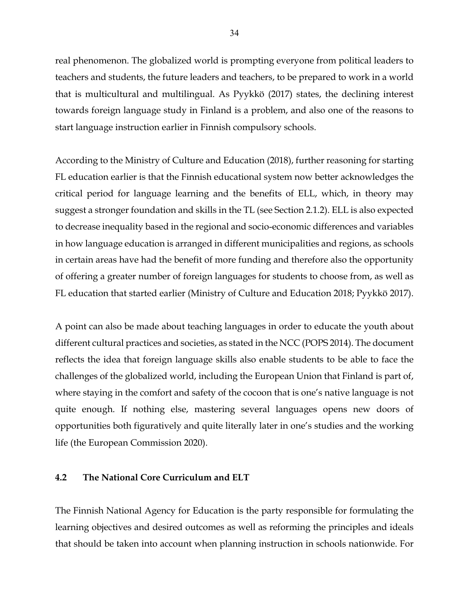real phenomenon. The globalized world is prompting everyone from political leaders to teachers and students, the future leaders and teachers, to be prepared to work in a world that is multicultural and multilingual. As Pyykkö (2017) states, the declining interest towards foreign language study in Finland is a problem, and also one of the reasons to start language instruction earlier in Finnish compulsory schools.

According to the Ministry of Culture and Education (2018), further reasoning for starting FL education earlier is that the Finnish educational system now better acknowledges the critical period for language learning and the benefits of ELL, which, in theory may suggest a stronger foundation and skills in the TL (see Section 2.1.2). ELL is also expected to decrease inequality based in the regional and socio-economic differences and variables in how language education is arranged in different municipalities and regions, as schools in certain areas have had the benefit of more funding and therefore also the opportunity of offering a greater number of foreign languages for students to choose from, as well as FL education that started earlier (Ministry of Culture and Education 2018; Pyykkö 2017).

A point can also be made about teaching languages in order to educate the youth about different cultural practices and societies, as stated in the NCC (POPS 2014). The document reflects the idea that foreign language skills also enable students to be able to face the challenges of the globalized world, including the European Union that Finland is part of, where staying in the comfort and safety of the cocoon that is one's native language is not quite enough. If nothing else, mastering several languages opens new doors of opportunities both figuratively and quite literally later in one's studies and the working life (the European Commission 2020).

#### **4.2 The National Core Curriculum and ELT**

The Finnish National Agency for Education is the party responsible for formulating the learning objectives and desired outcomes as well as reforming the principles and ideals that should be taken into account when planning instruction in schools nationwide. For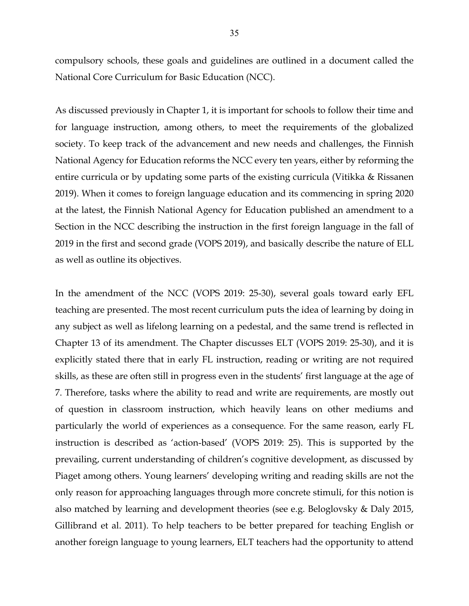compulsory schools, these goals and guidelines are outlined in a document called the National Core Curriculum for Basic Education (NCC).

As discussed previously in Chapter 1, it is important for schools to follow their time and for language instruction, among others, to meet the requirements of the globalized society. To keep track of the advancement and new needs and challenges, the Finnish National Agency for Education reforms the NCC every ten years, either by reforming the entire curricula or by updating some parts of the existing curricula (Vitikka & Rissanen 2019). When it comes to foreign language education and its commencing in spring 2020 at the latest, the Finnish National Agency for Education published an amendment to a Section in the NCC describing the instruction in the first foreign language in the fall of 2019 in the first and second grade (VOPS 2019), and basically describe the nature of ELL as well as outline its objectives.

In the amendment of the NCC (VOPS 2019: 25-30), several goals toward early EFL teaching are presented. The most recent curriculum puts the idea of learning by doing in any subject as well as lifelong learning on a pedestal, and the same trend is reflected in Chapter 13 of its amendment. The Chapter discusses ELT (VOPS 2019: 25-30), and it is explicitly stated there that in early FL instruction, reading or writing are not required skills, as these are often still in progress even in the students' first language at the age of 7. Therefore, tasks where the ability to read and write are requirements, are mostly out of question in classroom instruction, which heavily leans on other mediums and particularly the world of experiences as a consequence. For the same reason, early FL instruction is described as 'action-based' (VOPS 2019: 25). This is supported by the prevailing, current understanding of children's cognitive development, as discussed by Piaget among others. Young learners' developing writing and reading skills are not the only reason for approaching languages through more concrete stimuli, for this notion is also matched by learning and development theories (see e.g. Beloglovsky & Daly 2015, Gillibrand et al. 2011). To help teachers to be better prepared for teaching English or another foreign language to young learners, ELT teachers had the opportunity to attend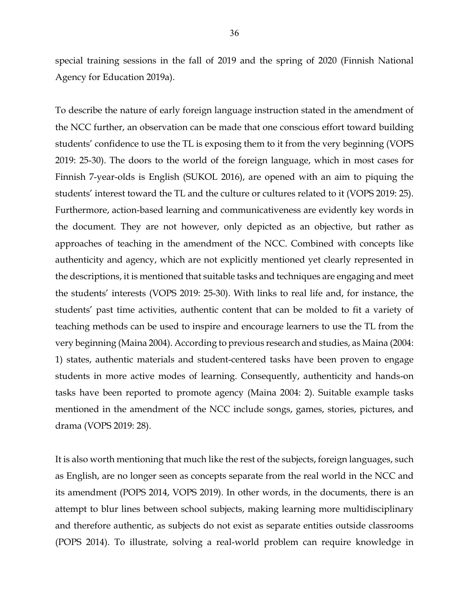special training sessions in the fall of 2019 and the spring of 2020 (Finnish National Agency for Education 2019a).

To describe the nature of early foreign language instruction stated in the amendment of the NCC further, an observation can be made that one conscious effort toward building students' confidence to use the TL is exposing them to it from the very beginning (VOPS 2019: 25-30). The doors to the world of the foreign language, which in most cases for Finnish 7-year-olds is English (SUKOL 2016), are opened with an aim to piquing the students' interest toward the TL and the culture or cultures related to it (VOPS 2019: 25). Furthermore, action-based learning and communicativeness are evidently key words in the document. They are not however, only depicted as an objective, but rather as approaches of teaching in the amendment of the NCC. Combined with concepts like authenticity and agency, which are not explicitly mentioned yet clearly represented in the descriptions, it is mentioned that suitable tasks and techniques are engaging and meet the students' interests (VOPS 2019: 25-30). With links to real life and, for instance, the students' past time activities, authentic content that can be molded to fit a variety of teaching methods can be used to inspire and encourage learners to use the TL from the very beginning (Maina 2004). According to previous research and studies, as Maina (2004: 1) states, authentic materials and student-centered tasks have been proven to engage students in more active modes of learning. Consequently, authenticity and hands-on tasks have been reported to promote agency (Maina 2004: 2). Suitable example tasks mentioned in the amendment of the NCC include songs, games, stories, pictures, and drama (VOPS 2019: 28).

It is also worth mentioning that much like the rest of the subjects, foreign languages, such as English, are no longer seen as concepts separate from the real world in the NCC and its amendment (POPS 2014, VOPS 2019). In other words, in the documents, there is an attempt to blur lines between school subjects, making learning more multidisciplinary and therefore authentic, as subjects do not exist as separate entities outside classrooms (POPS 2014). To illustrate, solving a real-world problem can require knowledge in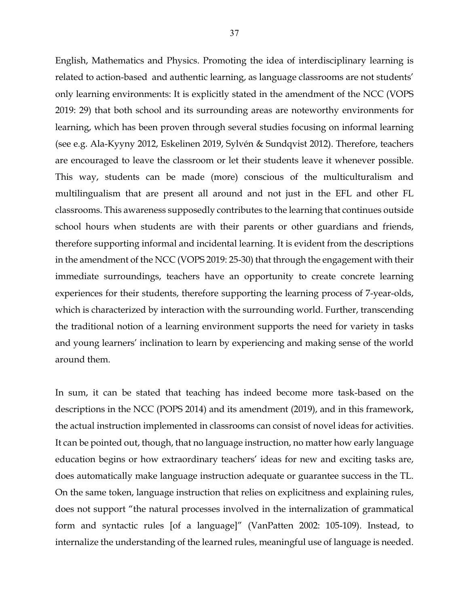English, Mathematics and Physics. Promoting the idea of interdisciplinary learning is related to action-based and authentic learning, as language classrooms are not students' only learning environments: It is explicitly stated in the amendment of the NCC (VOPS 2019: 29) that both school and its surrounding areas are noteworthy environments for learning, which has been proven through several studies focusing on informal learning (see e.g. Ala-Kyyny 2012, Eskelinen 2019, Sylvén & Sundqvist 2012). Therefore, teachers are encouraged to leave the classroom or let their students leave it whenever possible. This way, students can be made (more) conscious of the multiculturalism and multilingualism that are present all around and not just in the EFL and other FL classrooms. This awareness supposedly contributes to the learning that continues outside school hours when students are with their parents or other guardians and friends, therefore supporting informal and incidental learning. It is evident from the descriptions in the amendment of the NCC (VOPS 2019: 25-30) that through the engagement with their immediate surroundings, teachers have an opportunity to create concrete learning experiences for their students, therefore supporting the learning process of 7-year-olds, which is characterized by interaction with the surrounding world. Further, transcending the traditional notion of a learning environment supports the need for variety in tasks and young learners' inclination to learn by experiencing and making sense of the world around them.

In sum, it can be stated that teaching has indeed become more task-based on the descriptions in the NCC (POPS 2014) and its amendment (2019), and in this framework, the actual instruction implemented in classrooms can consist of novel ideas for activities. It can be pointed out, though, that no language instruction, no matter how early language education begins or how extraordinary teachers' ideas for new and exciting tasks are, does automatically make language instruction adequate or guarantee success in the TL. On the same token, language instruction that relies on explicitness and explaining rules, does not support "the natural processes involved in the internalization of grammatical form and syntactic rules [of a language]" (VanPatten 2002: 105-109). Instead, to internalize the understanding of the learned rules, meaningful use of language is needed.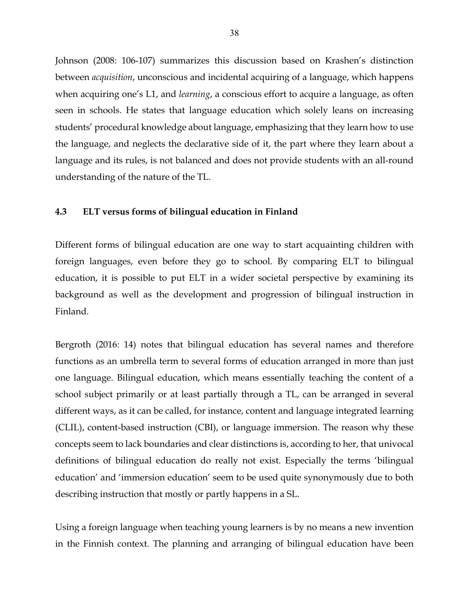Johnson (2008: 106-107) summarizes this discussion based on Krashen's distinction between *acquisition*, unconscious and incidental acquiring of a language, which happens when acquiring one's L1, and *learning*, a conscious effort to acquire a language, as often seen in schools. He states that language education which solely leans on increasing students' procedural knowledge about language, emphasizing that they learn how to use the language, and neglects the declarative side of it, the part where they learn about a language and its rules, is not balanced and does not provide students with an all-round understanding of the nature of the TL.

# **4.3 ELT versus forms of bilingual education in Finland**

Different forms of bilingual education are one way to start acquainting children with foreign languages, even before they go to school. By comparing ELT to bilingual education, it is possible to put ELT in a wider societal perspective by examining its background as well as the development and progression of bilingual instruction in Finland.

Bergroth (2016: 14) notes that bilingual education has several names and therefore functions as an umbrella term to several forms of education arranged in more than just one language. Bilingual education, which means essentially teaching the content of a school subject primarily or at least partially through a TL, can be arranged in several different ways, as it can be called, for instance, content and language integrated learning (CLIL), content-based instruction (CBI), or language immersion. The reason why these concepts seem to lack boundaries and clear distinctions is, according to her, that univocal definitions of bilingual education do really not exist. Especially the terms 'bilingual education' and 'immersion education' seem to be used quite synonymously due to both describing instruction that mostly or partly happens in a SL.

Using a foreign language when teaching young learners is by no means a new invention in the Finnish context. The planning and arranging of bilingual education have been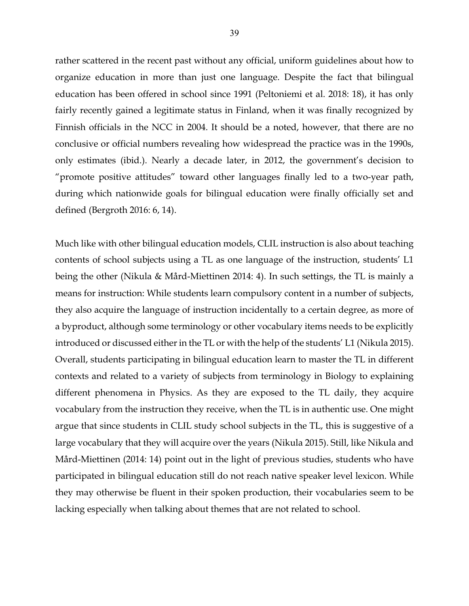rather scattered in the recent past without any official, uniform guidelines about how to organize education in more than just one language. Despite the fact that bilingual education has been offered in school since 1991 (Peltoniemi et al. 2018: 18), it has only fairly recently gained a legitimate status in Finland, when it was finally recognized by Finnish officials in the NCC in 2004. It should be a noted, however, that there are no conclusive or official numbers revealing how widespread the practice was in the 1990s, only estimates (ibid.). Nearly a decade later, in 2012, the government's decision to "promote positive attitudes" toward other languages finally led to a two-year path, during which nationwide goals for bilingual education were finally officially set and defined (Bergroth 2016: 6, 14).

Much like with other bilingual education models, CLIL instruction is also about teaching contents of school subjects using a TL as one language of the instruction, students' L1 being the other (Nikula & Mård-Miettinen 2014: 4). In such settings, the TL is mainly a means for instruction: While students learn compulsory content in a number of subjects, they also acquire the language of instruction incidentally to a certain degree, as more of a byproduct, although some terminology or other vocabulary items needs to be explicitly introduced or discussed either in the TL or with the help of the students' L1 (Nikula 2015). Overall, students participating in bilingual education learn to master the TL in different contexts and related to a variety of subjects from terminology in Biology to explaining different phenomena in Physics. As they are exposed to the TL daily, they acquire vocabulary from the instruction they receive, when the TL is in authentic use. One might argue that since students in CLIL study school subjects in the TL, this is suggestive of a large vocabulary that they will acquire over the years (Nikula 2015). Still, like Nikula and Mård-Miettinen (2014: 14) point out in the light of previous studies, students who have participated in bilingual education still do not reach native speaker level lexicon. While they may otherwise be fluent in their spoken production, their vocabularies seem to be lacking especially when talking about themes that are not related to school.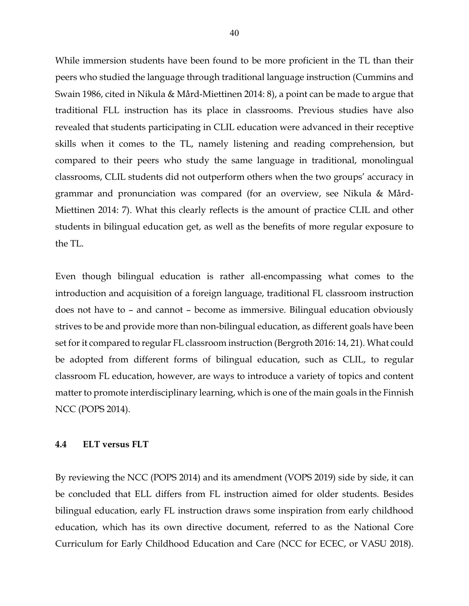While immersion students have been found to be more proficient in the TL than their peers who studied the language through traditional language instruction (Cummins and Swain 1986, cited in Nikula & Mård-Miettinen 2014: 8), a point can be made to argue that traditional FLL instruction has its place in classrooms. Previous studies have also revealed that students participating in CLIL education were advanced in their receptive skills when it comes to the TL, namely listening and reading comprehension, but compared to their peers who study the same language in traditional, monolingual classrooms, CLIL students did not outperform others when the two groups' accuracy in grammar and pronunciation was compared (for an overview, see Nikula & Mård-Miettinen 2014: 7). What this clearly reflects is the amount of practice CLIL and other students in bilingual education get, as well as the benefits of more regular exposure to the TL.

Even though bilingual education is rather all-encompassing what comes to the introduction and acquisition of a foreign language, traditional FL classroom instruction does not have to – and cannot – become as immersive. Bilingual education obviously strives to be and provide more than non-bilingual education, as different goals have been set for it compared to regular FL classroom instruction (Bergroth 2016: 14, 21). What could be adopted from different forms of bilingual education, such as CLIL, to regular classroom FL education, however, are ways to introduce a variety of topics and content matter to promote interdisciplinary learning, which is one of the main goals in the Finnish NCC (POPS 2014).

#### **4.4 ELT versus FLT**

By reviewing the NCC (POPS 2014) and its amendment (VOPS 2019) side by side, it can be concluded that ELL differs from FL instruction aimed for older students. Besides bilingual education, early FL instruction draws some inspiration from early childhood education, which has its own directive document, referred to as the National Core Curriculum for Early Childhood Education and Care (NCC for ECEC, or VASU 2018).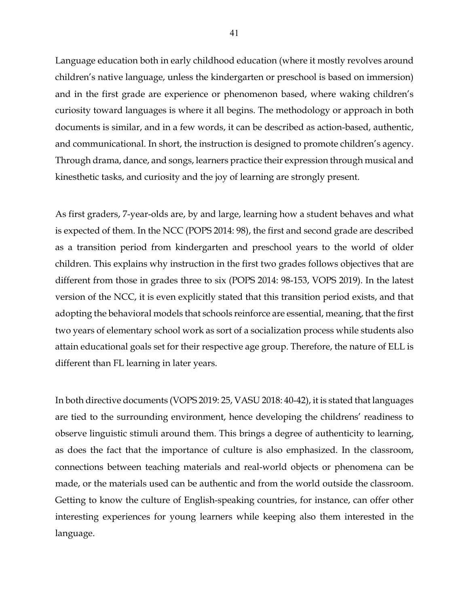Language education both in early childhood education (where it mostly revolves around children's native language, unless the kindergarten or preschool is based on immersion) and in the first grade are experience or phenomenon based, where waking children's curiosity toward languages is where it all begins. The methodology or approach in both documents is similar, and in a few words, it can be described as action-based, authentic, and communicational. In short, the instruction is designed to promote children's agency. Through drama, dance, and songs, learners practice their expression through musical and kinesthetic tasks, and curiosity and the joy of learning are strongly present.

As first graders, 7-year-olds are, by and large, learning how a student behaves and what is expected of them. In the NCC (POPS 2014: 98), the first and second grade are described as a transition period from kindergarten and preschool years to the world of older children. This explains why instruction in the first two grades follows objectives that are different from those in grades three to six (POPS 2014: 98-153, VOPS 2019). In the latest version of the NCC, it is even explicitly stated that this transition period exists, and that adopting the behavioral models that schools reinforce are essential, meaning, that the first two years of elementary school work as sort of a socialization process while students also attain educational goals set for their respective age group. Therefore, the nature of ELL is different than FL learning in later years.

In both directive documents (VOPS 2019: 25, VASU 2018: 40-42), it is stated that languages are tied to the surrounding environment, hence developing the childrens' readiness to observe linguistic stimuli around them. This brings a degree of authenticity to learning, as does the fact that the importance of culture is also emphasized. In the classroom, connections between teaching materials and real-world objects or phenomena can be made, or the materials used can be authentic and from the world outside the classroom. Getting to know the culture of English-speaking countries, for instance, can offer other interesting experiences for young learners while keeping also them interested in the language.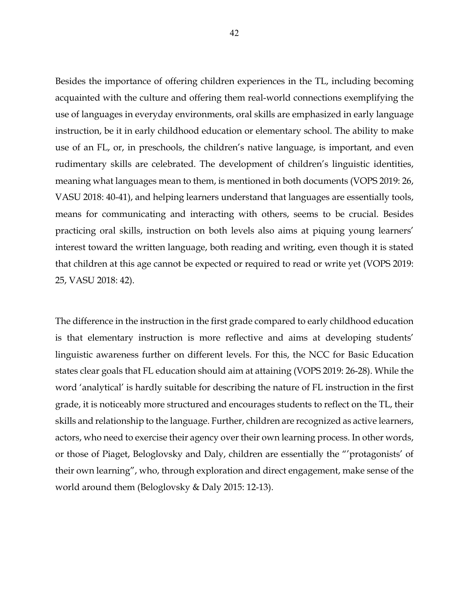Besides the importance of offering children experiences in the TL, including becoming acquainted with the culture and offering them real-world connections exemplifying the use of languages in everyday environments, oral skills are emphasized in early language instruction, be it in early childhood education or elementary school. The ability to make use of an FL, or, in preschools, the children's native language, is important, and even rudimentary skills are celebrated. The development of children's linguistic identities, meaning what languages mean to them, is mentioned in both documents (VOPS 2019: 26, VASU 2018: 40-41), and helping learners understand that languages are essentially tools, means for communicating and interacting with others, seems to be crucial. Besides practicing oral skills, instruction on both levels also aims at piquing young learners' interest toward the written language, both reading and writing, even though it is stated that children at this age cannot be expected or required to read or write yet (VOPS 2019: 25, VASU 2018: 42).

The difference in the instruction in the first grade compared to early childhood education is that elementary instruction is more reflective and aims at developing students' linguistic awareness further on different levels. For this, the NCC for Basic Education states clear goals that FL education should aim at attaining (VOPS 2019: 26-28). While the word 'analytical' is hardly suitable for describing the nature of FL instruction in the first grade, it is noticeably more structured and encourages students to reflect on the TL, their skills and relationship to the language. Further, children are recognized as active learners, actors, who need to exercise their agency over their own learning process. In other words, or those of Piaget, Beloglovsky and Daly, children are essentially the "'protagonists' of their own learning", who, through exploration and direct engagement, make sense of the world around them (Beloglovsky & Daly 2015: 12-13).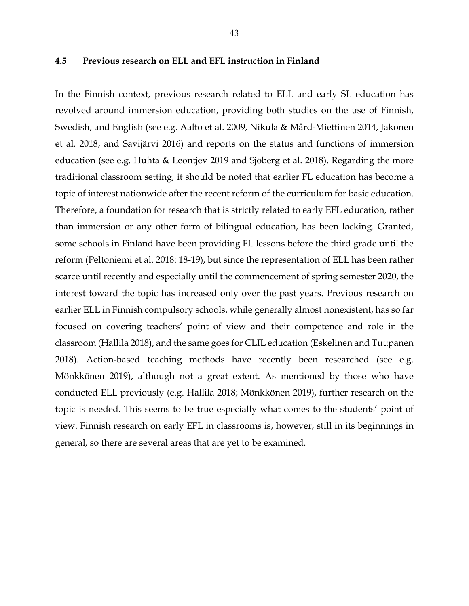### **4.5 Previous research on ELL and EFL instruction in Finland**

In the Finnish context, previous research related to ELL and early SL education has revolved around immersion education, providing both studies on the use of Finnish, Swedish, and English (see e.g. Aalto et al. 2009, Nikula & Mård-Miettinen 2014, Jakonen et al. 2018, and Savijärvi 2016) and reports on the status and functions of immersion education (see e.g. Huhta & Leontjev 2019 and Sjöberg et al. 2018). Regarding the more traditional classroom setting, it should be noted that earlier FL education has become a topic of interest nationwide after the recent reform of the curriculum for basic education. Therefore, a foundation for research that is strictly related to early EFL education, rather than immersion or any other form of bilingual education, has been lacking. Granted, some schools in Finland have been providing FL lessons before the third grade until the reform (Peltoniemi et al. 2018: 18-19), but since the representation of ELL has been rather scarce until recently and especially until the commencement of spring semester 2020, the interest toward the topic has increased only over the past years. Previous research on earlier ELL in Finnish compulsory schools, while generally almost nonexistent, has so far focused on covering teachers' point of view and their competence and role in the classroom (Hallila 2018), and the same goes for CLIL education (Eskelinen and Tuupanen 2018). Action-based teaching methods have recently been researched (see e.g. Mönkkönen 2019), although not a great extent. As mentioned by those who have conducted ELL previously (e.g. Hallila 2018; Mönkkönen 2019), further research on the topic is needed. This seems to be true especially what comes to the students' point of view. Finnish research on early EFL in classrooms is, however, still in its beginnings in general, so there are several areas that are yet to be examined.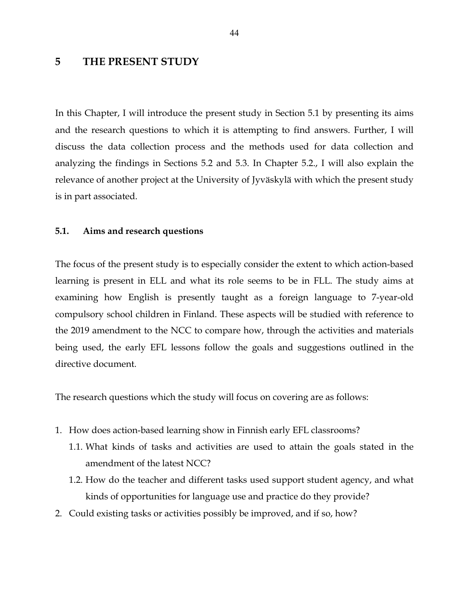# **5 THE PRESENT STUDY**

In this Chapter, I will introduce the present study in Section 5.1 by presenting its aims and the research questions to which it is attempting to find answers. Further, I will discuss the data collection process and the methods used for data collection and analyzing the findings in Sections 5.2 and 5.3. In Chapter 5.2., I will also explain the relevance of another project at the University of Jyväskylä with which the present study is in part associated.

### **5.1. Aims and research questions**

The focus of the present study is to especially consider the extent to which action-based learning is present in ELL and what its role seems to be in FLL. The study aims at examining how English is presently taught as a foreign language to 7-year-old compulsory school children in Finland. These aspects will be studied with reference to the 2019 amendment to the NCC to compare how, through the activities and materials being used, the early EFL lessons follow the goals and suggestions outlined in the directive document.

The research questions which the study will focus on covering are as follows:

- 1. How does action-based learning show in Finnish early EFL classrooms?
	- 1.1. What kinds of tasks and activities are used to attain the goals stated in the amendment of the latest NCC?
	- 1.2. How do the teacher and different tasks used support student agency, and what kinds of opportunities for language use and practice do they provide?
- 2. Could existing tasks or activities possibly be improved, and if so, how?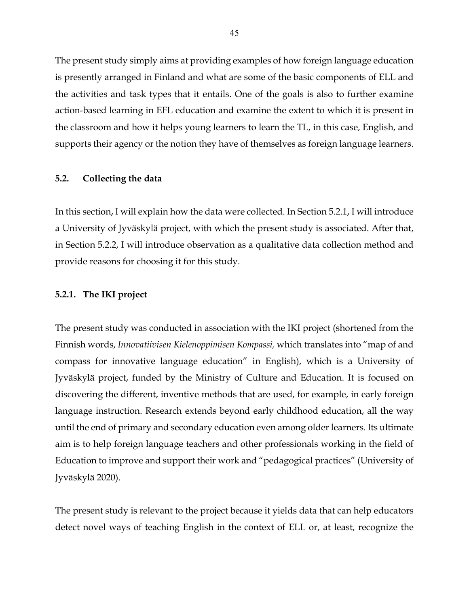The present study simply aims at providing examples of how foreign language education is presently arranged in Finland and what are some of the basic components of ELL and the activities and task types that it entails. One of the goals is also to further examine action-based learning in EFL education and examine the extent to which it is present in the classroom and how it helps young learners to learn the TL, in this case, English, and supports their agency or the notion they have of themselves as foreign language learners.

# **5.2. Collecting the data**

In this section, I will explain how the data were collected. In Section 5.2.1, I will introduce a University of Jyväskylä project, with which the present study is associated. After that, in Section 5.2.2, I will introduce observation as a qualitative data collection method and provide reasons for choosing it for this study.

### **5.2.1. The IKI project**

The present study was conducted in association with the IKI project (shortened from the Finnish words, *Innovatiivisen Kielenoppimisen Kompassi,* which translates into "map of and compass for innovative language education" in English), which is a University of Jyväskylä project, funded by the Ministry of Culture and Education. It is focused on discovering the different, inventive methods that are used, for example, in early foreign language instruction. Research extends beyond early childhood education, all the way until the end of primary and secondary education even among older learners. Its ultimate aim is to help foreign language teachers and other professionals working in the field of Education to improve and support their work and "pedagogical practices" (University of Jyväskylä 2020).

The present study is relevant to the project because it yields data that can help educators detect novel ways of teaching English in the context of ELL or, at least, recognize the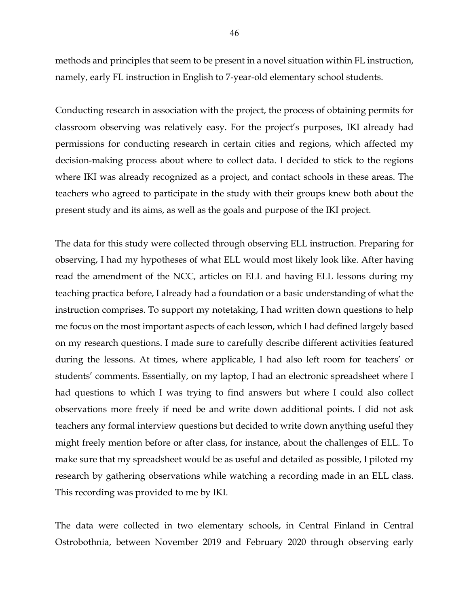methods and principles that seem to be present in a novel situation within FL instruction, namely, early FL instruction in English to 7-year-old elementary school students.

Conducting research in association with the project, the process of obtaining permits for classroom observing was relatively easy. For the project's purposes, IKI already had permissions for conducting research in certain cities and regions, which affected my decision-making process about where to collect data. I decided to stick to the regions where IKI was already recognized as a project, and contact schools in these areas. The teachers who agreed to participate in the study with their groups knew both about the present study and its aims, as well as the goals and purpose of the IKI project.

The data for this study were collected through observing ELL instruction. Preparing for observing, I had my hypotheses of what ELL would most likely look like. After having read the amendment of the NCC, articles on ELL and having ELL lessons during my teaching practica before, I already had a foundation or a basic understanding of what the instruction comprises. To support my notetaking, I had written down questions to help me focus on the most important aspects of each lesson, which I had defined largely based on my research questions. I made sure to carefully describe different activities featured during the lessons. At times, where applicable, I had also left room for teachers' or students' comments. Essentially, on my laptop, I had an electronic spreadsheet where I had questions to which I was trying to find answers but where I could also collect observations more freely if need be and write down additional points. I did not ask teachers any formal interview questions but decided to write down anything useful they might freely mention before or after class, for instance, about the challenges of ELL. To make sure that my spreadsheet would be as useful and detailed as possible, I piloted my research by gathering observations while watching a recording made in an ELL class. This recording was provided to me by IKI.

The data were collected in two elementary schools, in Central Finland in Central Ostrobothnia, between November 2019 and February 2020 through observing early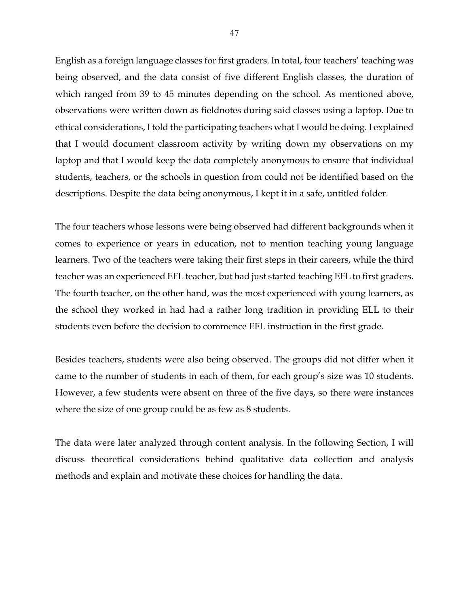English as a foreign language classes for first graders. In total, four teachers' teaching was being observed, and the data consist of five different English classes, the duration of which ranged from 39 to 45 minutes depending on the school. As mentioned above, observations were written down as fieldnotes during said classes using a laptop. Due to ethical considerations, I told the participating teachers what I would be doing. I explained that I would document classroom activity by writing down my observations on my laptop and that I would keep the data completely anonymous to ensure that individual students, teachers, or the schools in question from could not be identified based on the descriptions. Despite the data being anonymous, I kept it in a safe, untitled folder.

The four teachers whose lessons were being observed had different backgrounds when it comes to experience or years in education, not to mention teaching young language learners. Two of the teachers were taking their first steps in their careers, while the third teacher was an experienced EFL teacher, but had just started teaching EFL to first graders. The fourth teacher, on the other hand, was the most experienced with young learners, as the school they worked in had had a rather long tradition in providing ELL to their students even before the decision to commence EFL instruction in the first grade.

Besides teachers, students were also being observed. The groups did not differ when it came to the number of students in each of them, for each group's size was 10 students. However, a few students were absent on three of the five days, so there were instances where the size of one group could be as few as 8 students.

The data were later analyzed through content analysis. In the following Section, I will discuss theoretical considerations behind qualitative data collection and analysis methods and explain and motivate these choices for handling the data.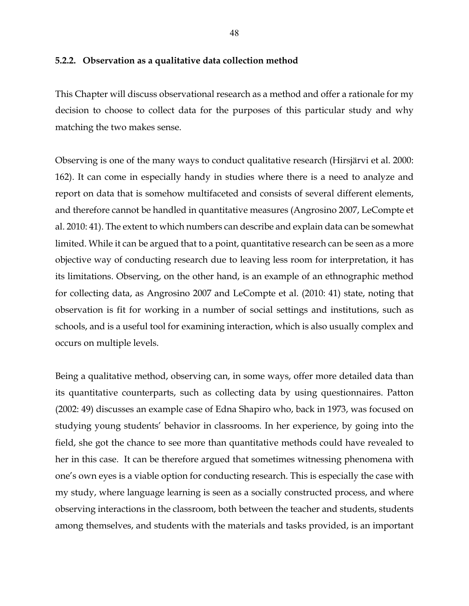# **5.2.2. Observation as a qualitative data collection method**

This Chapter will discuss observational research as a method and offer a rationale for my decision to choose to collect data for the purposes of this particular study and why matching the two makes sense.

Observing is one of the many ways to conduct qualitative research (Hirsjärvi et al. 2000: 162). It can come in especially handy in studies where there is a need to analyze and report on data that is somehow multifaceted and consists of several different elements, and therefore cannot be handled in quantitative measures (Angrosino 2007, LeCompte et al. 2010: 41). The extent to which numbers can describe and explain data can be somewhat limited. While it can be argued that to a point, quantitative research can be seen as a more objective way of conducting research due to leaving less room for interpretation, it has its limitations. Observing, on the other hand, is an example of an ethnographic method for collecting data, as Angrosino 2007 and LeCompte et al. (2010: 41) state, noting that observation is fit for working in a number of social settings and institutions, such as schools, and is a useful tool for examining interaction, which is also usually complex and occurs on multiple levels.

Being a qualitative method, observing can, in some ways, offer more detailed data than its quantitative counterparts, such as collecting data by using questionnaires. Patton (2002: 49) discusses an example case of Edna Shapiro who, back in 1973, was focused on studying young students' behavior in classrooms. In her experience, by going into the field, she got the chance to see more than quantitative methods could have revealed to her in this case. It can be therefore argued that sometimes witnessing phenomena with one's own eyes is a viable option for conducting research. This is especially the case with my study, where language learning is seen as a socially constructed process, and where observing interactions in the classroom, both between the teacher and students, students among themselves, and students with the materials and tasks provided, is an important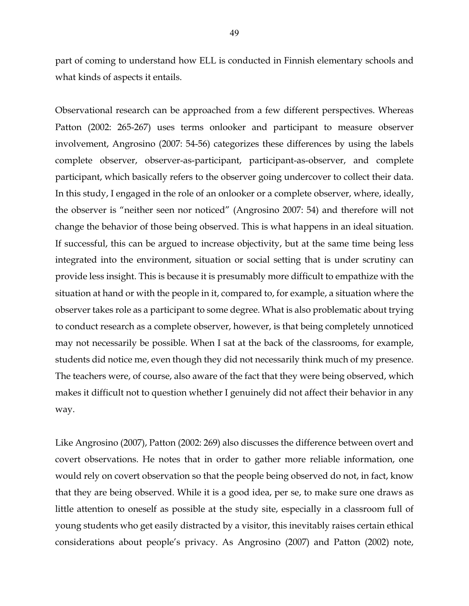part of coming to understand how ELL is conducted in Finnish elementary schools and what kinds of aspects it entails.

Observational research can be approached from a few different perspectives. Whereas Patton (2002: 265-267) uses terms onlooker and participant to measure observer involvement, Angrosino (2007: 54-56) categorizes these differences by using the labels complete observer, observer-as-participant, participant-as-observer, and complete participant, which basically refers to the observer going undercover to collect their data. In this study, I engaged in the role of an onlooker or a complete observer, where, ideally, the observer is "neither seen nor noticed" (Angrosino 2007: 54) and therefore will not change the behavior of those being observed. This is what happens in an ideal situation. If successful, this can be argued to increase objectivity, but at the same time being less integrated into the environment, situation or social setting that is under scrutiny can provide less insight. This is because it is presumably more difficult to empathize with the situation at hand or with the people in it, compared to, for example, a situation where the observer takes role as a participant to some degree. What is also problematic about trying to conduct research as a complete observer, however, is that being completely unnoticed may not necessarily be possible. When I sat at the back of the classrooms, for example, students did notice me, even though they did not necessarily think much of my presence. The teachers were, of course, also aware of the fact that they were being observed, which makes it difficult not to question whether I genuinely did not affect their behavior in any way.

Like Angrosino (2007), Patton (2002: 269) also discusses the difference between overt and covert observations. He notes that in order to gather more reliable information, one would rely on covert observation so that the people being observed do not, in fact, know that they are being observed. While it is a good idea, per se, to make sure one draws as little attention to oneself as possible at the study site, especially in a classroom full of young students who get easily distracted by a visitor, this inevitably raises certain ethical considerations about people's privacy. As Angrosino (2007) and Patton (2002) note,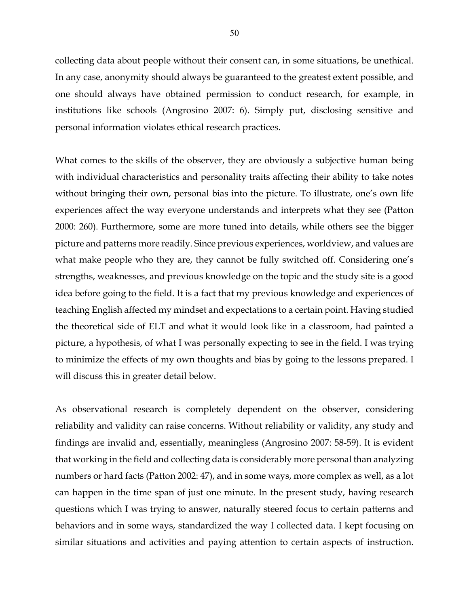collecting data about people without their consent can, in some situations, be unethical. In any case, anonymity should always be guaranteed to the greatest extent possible, and one should always have obtained permission to conduct research, for example, in institutions like schools (Angrosino 2007: 6). Simply put, disclosing sensitive and personal information violates ethical research practices.

What comes to the skills of the observer, they are obviously a subjective human being with individual characteristics and personality traits affecting their ability to take notes without bringing their own, personal bias into the picture. To illustrate, one's own life experiences affect the way everyone understands and interprets what they see (Patton 2000: 260). Furthermore, some are more tuned into details, while others see the bigger picture and patterns more readily. Since previous experiences, worldview, and values are what make people who they are, they cannot be fully switched off. Considering one's strengths, weaknesses, and previous knowledge on the topic and the study site is a good idea before going to the field. It is a fact that my previous knowledge and experiences of teaching English affected my mindset and expectations to a certain point. Having studied the theoretical side of ELT and what it would look like in a classroom, had painted a picture, a hypothesis, of what I was personally expecting to see in the field. I was trying to minimize the effects of my own thoughts and bias by going to the lessons prepared. I will discuss this in greater detail below.

As observational research is completely dependent on the observer, considering reliability and validity can raise concerns. Without reliability or validity, any study and findings are invalid and, essentially, meaningless (Angrosino 2007: 58-59). It is evident that working in the field and collecting data is considerably more personal than analyzing numbers or hard facts (Patton 2002: 47), and in some ways, more complex as well, as a lot can happen in the time span of just one minute. In the present study, having research questions which I was trying to answer, naturally steered focus to certain patterns and behaviors and in some ways, standardized the way I collected data. I kept focusing on similar situations and activities and paying attention to certain aspects of instruction.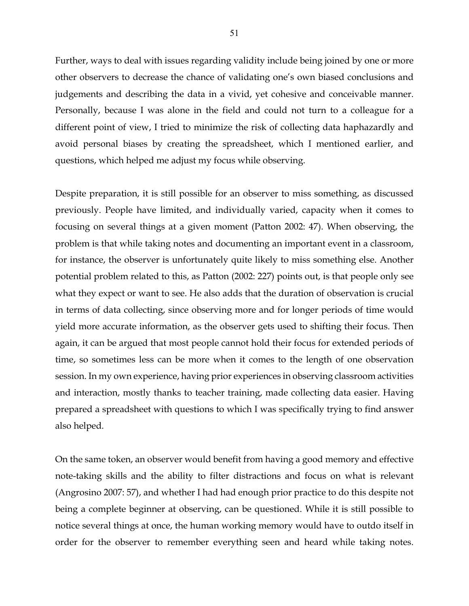Further, ways to deal with issues regarding validity include being joined by one or more other observers to decrease the chance of validating one's own biased conclusions and judgements and describing the data in a vivid, yet cohesive and conceivable manner. Personally, because I was alone in the field and could not turn to a colleague for a different point of view, I tried to minimize the risk of collecting data haphazardly and avoid personal biases by creating the spreadsheet, which I mentioned earlier, and questions, which helped me adjust my focus while observing.

Despite preparation, it is still possible for an observer to miss something, as discussed previously. People have limited, and individually varied, capacity when it comes to focusing on several things at a given moment (Patton 2002: 47). When observing, the problem is that while taking notes and documenting an important event in a classroom, for instance, the observer is unfortunately quite likely to miss something else. Another potential problem related to this, as Patton (2002: 227) points out, is that people only see what they expect or want to see. He also adds that the duration of observation is crucial in terms of data collecting, since observing more and for longer periods of time would yield more accurate information, as the observer gets used to shifting their focus. Then again, it can be argued that most people cannot hold their focus for extended periods of time, so sometimes less can be more when it comes to the length of one observation session. In my own experience, having prior experiences in observing classroom activities and interaction, mostly thanks to teacher training, made collecting data easier. Having prepared a spreadsheet with questions to which I was specifically trying to find answer also helped.

On the same token, an observer would benefit from having a good memory and effective note-taking skills and the ability to filter distractions and focus on what is relevant (Angrosino 2007: 57), and whether I had had enough prior practice to do this despite not being a complete beginner at observing, can be questioned. While it is still possible to notice several things at once, the human working memory would have to outdo itself in order for the observer to remember everything seen and heard while taking notes.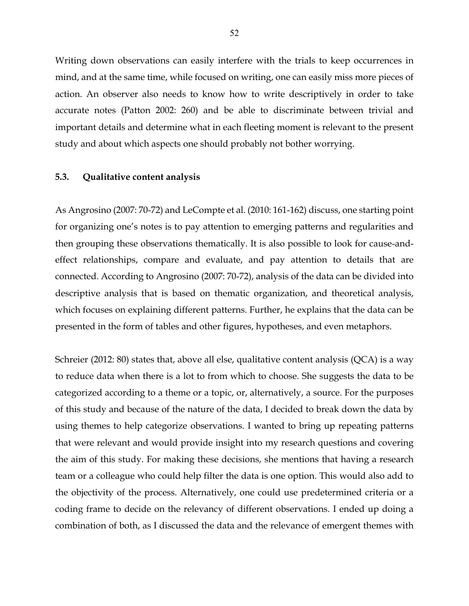Writing down observations can easily interfere with the trials to keep occurrences in mind, and at the same time, while focused on writing, one can easily miss more pieces of action. An observer also needs to know how to write descriptively in order to take accurate notes (Patton 2002: 260) and be able to discriminate between trivial and important details and determine what in each fleeting moment is relevant to the present study and about which aspects one should probably not bother worrying.

# **5.3. Qualitative content analysis**

As Angrosino (2007: 70-72) and LeCompte et al. (2010: 161-162) discuss, one starting point for organizing one's notes is to pay attention to emerging patterns and regularities and then grouping these observations thematically. It is also possible to look for cause-andeffect relationships, compare and evaluate, and pay attention to details that are connected. According to Angrosino (2007: 70-72), analysis of the data can be divided into descriptive analysis that is based on thematic organization, and theoretical analysis, which focuses on explaining different patterns. Further, he explains that the data can be presented in the form of tables and other figures, hypotheses, and even metaphors.

Schreier (2012: 80) states that, above all else, qualitative content analysis (QCA) is a way to reduce data when there is a lot to from which to choose. She suggests the data to be categorized according to a theme or a topic, or, alternatively, a source. For the purposes of this study and because of the nature of the data, I decided to break down the data by using themes to help categorize observations. I wanted to bring up repeating patterns that were relevant and would provide insight into my research questions and covering the aim of this study. For making these decisions, she mentions that having a research team or a colleague who could help filter the data is one option. This would also add to the objectivity of the process. Alternatively, one could use predetermined criteria or a coding frame to decide on the relevancy of different observations. I ended up doing a combination of both, as I discussed the data and the relevance of emergent themes with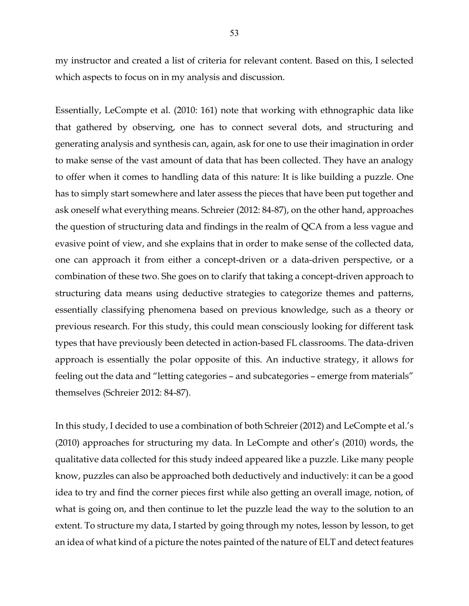my instructor and created a list of criteria for relevant content. Based on this, I selected which aspects to focus on in my analysis and discussion.

Essentially, LeCompte et al. (2010: 161) note that working with ethnographic data like that gathered by observing, one has to connect several dots, and structuring and generating analysis and synthesis can, again, ask for one to use their imagination in order to make sense of the vast amount of data that has been collected. They have an analogy to offer when it comes to handling data of this nature: It is like building a puzzle. One has to simply start somewhere and later assess the pieces that have been put together and ask oneself what everything means. Schreier (2012: 84-87), on the other hand, approaches the question of structuring data and findings in the realm of QCA from a less vague and evasive point of view, and she explains that in order to make sense of the collected data, one can approach it from either a concept-driven or a data-driven perspective, or a combination of these two. She goes on to clarify that taking a concept-driven approach to structuring data means using deductive strategies to categorize themes and patterns, essentially classifying phenomena based on previous knowledge, such as a theory or previous research. For this study, this could mean consciously looking for different task types that have previously been detected in action-based FL classrooms. The data-driven approach is essentially the polar opposite of this. An inductive strategy, it allows for feeling out the data and "letting categories – and subcategories – emerge from materials" themselves (Schreier 2012: 84-87).

In this study, I decided to use a combination of both Schreier (2012) and LeCompte et al.'s (2010) approaches for structuring my data. In LeCompte and other's (2010) words, the qualitative data collected for this study indeed appeared like a puzzle. Like many people know, puzzles can also be approached both deductively and inductively: it can be a good idea to try and find the corner pieces first while also getting an overall image, notion, of what is going on, and then continue to let the puzzle lead the way to the solution to an extent. To structure my data, I started by going through my notes, lesson by lesson, to get an idea of what kind of a picture the notes painted of the nature of ELT and detect features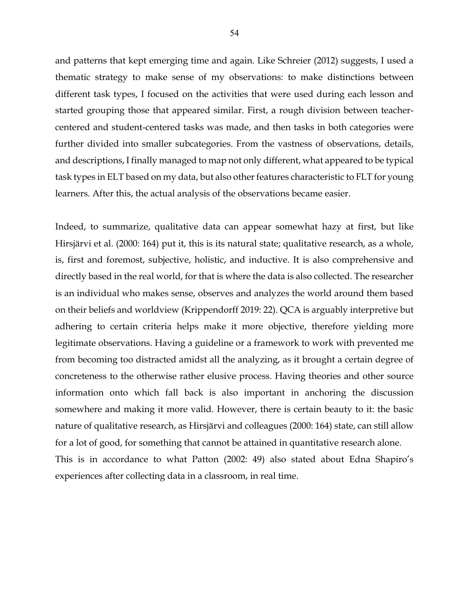and patterns that kept emerging time and again. Like Schreier (2012) suggests, I used a thematic strategy to make sense of my observations: to make distinctions between different task types, I focused on the activities that were used during each lesson and started grouping those that appeared similar. First, a rough division between teachercentered and student-centered tasks was made, and then tasks in both categories were further divided into smaller subcategories. From the vastness of observations, details, and descriptions, I finally managed to map not only different, what appeared to be typical task types in ELT based on my data, but also other features characteristic to FLT for young learners. After this, the actual analysis of the observations became easier.

Indeed, to summarize, qualitative data can appear somewhat hazy at first, but like Hirsjärvi et al. (2000: 164) put it, this is its natural state; qualitative research, as a whole, is, first and foremost, subjective, holistic, and inductive. It is also comprehensive and directly based in the real world, for that is where the data is also collected. The researcher is an individual who makes sense, observes and analyzes the world around them based on their beliefs and worldview (Krippendorff 2019: 22). QCA is arguably interpretive but adhering to certain criteria helps make it more objective, therefore yielding more legitimate observations. Having a guideline or a framework to work with prevented me from becoming too distracted amidst all the analyzing, as it brought a certain degree of concreteness to the otherwise rather elusive process. Having theories and other source information onto which fall back is also important in anchoring the discussion somewhere and making it more valid. However, there is certain beauty to it: the basic nature of qualitative research, as Hirsjärvi and colleagues (2000: 164) state, can still allow for a lot of good, for something that cannot be attained in quantitative research alone. This is in accordance to what Patton (2002: 49) also stated about Edna Shapiro's experiences after collecting data in a classroom, in real time.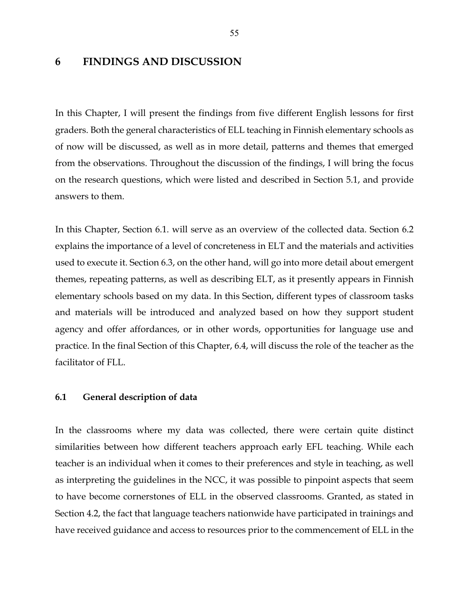# **6 FINDINGS AND DISCUSSION**

In this Chapter, I will present the findings from five different English lessons for first graders. Both the general characteristics of ELL teaching in Finnish elementary schools as of now will be discussed, as well as in more detail, patterns and themes that emerged from the observations. Throughout the discussion of the findings, I will bring the focus on the research questions, which were listed and described in Section 5.1, and provide answers to them.

In this Chapter, Section 6.1. will serve as an overview of the collected data. Section 6.2 explains the importance of a level of concreteness in ELT and the materials and activities used to execute it. Section 6.3, on the other hand, will go into more detail about emergent themes, repeating patterns, as well as describing ELT, as it presently appears in Finnish elementary schools based on my data. In this Section, different types of classroom tasks and materials will be introduced and analyzed based on how they support student agency and offer affordances, or in other words, opportunities for language use and practice. In the final Section of this Chapter, 6.4, will discuss the role of the teacher as the facilitator of FLL.

### **6.1 General description of data**

In the classrooms where my data was collected, there were certain quite distinct similarities between how different teachers approach early EFL teaching. While each teacher is an individual when it comes to their preferences and style in teaching, as well as interpreting the guidelines in the NCC, it was possible to pinpoint aspects that seem to have become cornerstones of ELL in the observed classrooms. Granted, as stated in Section 4.2, the fact that language teachers nationwide have participated in trainings and have received guidance and access to resources prior to the commencement of ELL in the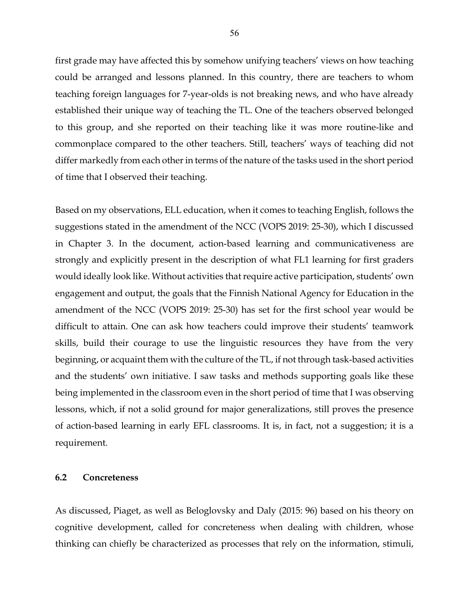first grade may have affected this by somehow unifying teachers' views on how teaching could be arranged and lessons planned. In this country, there are teachers to whom teaching foreign languages for 7-year-olds is not breaking news, and who have already established their unique way of teaching the TL. One of the teachers observed belonged to this group, and she reported on their teaching like it was more routine-like and commonplace compared to the other teachers. Still, teachers' ways of teaching did not differ markedly from each other in terms of the nature of the tasks used in the short period of time that I observed their teaching.

Based on my observations, ELL education, when it comes to teaching English, follows the suggestions stated in the amendment of the NCC (VOPS 2019: 25-30), which I discussed in Chapter 3. In the document, action-based learning and communicativeness are strongly and explicitly present in the description of what FL1 learning for first graders would ideally look like. Without activities that require active participation, students' own engagement and output, the goals that the Finnish National Agency for Education in the amendment of the NCC (VOPS 2019: 25-30) has set for the first school year would be difficult to attain. One can ask how teachers could improve their students' teamwork skills, build their courage to use the linguistic resources they have from the very beginning, or acquaint them with the culture of the TL, if not through task-based activities and the students' own initiative. I saw tasks and methods supporting goals like these being implemented in the classroom even in the short period of time that I was observing lessons, which, if not a solid ground for major generalizations, still proves the presence of action-based learning in early EFL classrooms. It is, in fact, not a suggestion; it is a requirement.

### **6.2 Concreteness**

As discussed, Piaget, as well as Beloglovsky and Daly (2015: 96) based on his theory on cognitive development, called for concreteness when dealing with children, whose thinking can chiefly be characterized as processes that rely on the information, stimuli,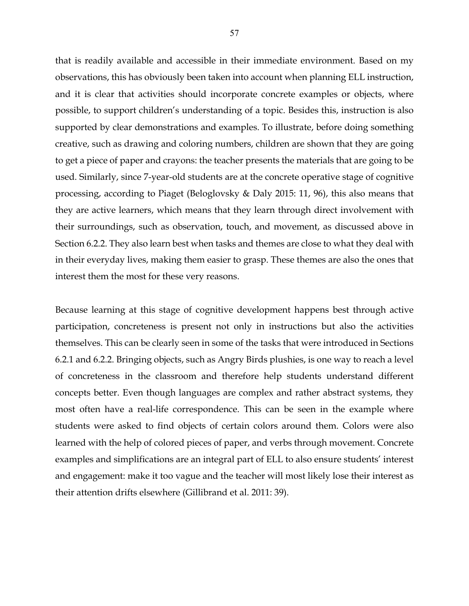that is readily available and accessible in their immediate environment. Based on my observations, this has obviously been taken into account when planning ELL instruction, and it is clear that activities should incorporate concrete examples or objects, where possible, to support children's understanding of a topic. Besides this, instruction is also supported by clear demonstrations and examples. To illustrate, before doing something creative, such as drawing and coloring numbers, children are shown that they are going to get a piece of paper and crayons: the teacher presents the materials that are going to be used. Similarly, since 7-year-old students are at the concrete operative stage of cognitive processing, according to Piaget (Beloglovsky & Daly 2015: 11, 96), this also means that they are active learners, which means that they learn through direct involvement with their surroundings, such as observation, touch, and movement, as discussed above in Section 6.2.2. They also learn best when tasks and themes are close to what they deal with in their everyday lives, making them easier to grasp. These themes are also the ones that interest them the most for these very reasons.

Because learning at this stage of cognitive development happens best through active participation, concreteness is present not only in instructions but also the activities themselves. This can be clearly seen in some of the tasks that were introduced in Sections 6.2.1 and 6.2.2. Bringing objects, such as Angry Birds plushies, is one way to reach a level of concreteness in the classroom and therefore help students understand different concepts better. Even though languages are complex and rather abstract systems, they most often have a real-life correspondence. This can be seen in the example where students were asked to find objects of certain colors around them. Colors were also learned with the help of colored pieces of paper, and verbs through movement. Concrete examples and simplifications are an integral part of ELL to also ensure students' interest and engagement: make it too vague and the teacher will most likely lose their interest as their attention drifts elsewhere (Gillibrand et al. 2011: 39).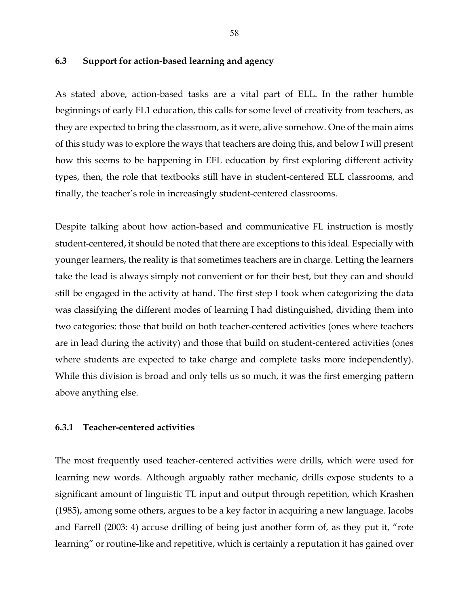## **6.3 Support for action-based learning and agency**

As stated above, action-based tasks are a vital part of ELL. In the rather humble beginnings of early FL1 education, this calls for some level of creativity from teachers, as they are expected to bring the classroom, as it were, alive somehow. One of the main aims of this study was to explore the ways that teachers are doing this, and below I will present how this seems to be happening in EFL education by first exploring different activity types, then, the role that textbooks still have in student-centered ELL classrooms, and finally, the teacher's role in increasingly student-centered classrooms.

Despite talking about how action-based and communicative FL instruction is mostly student-centered, it should be noted that there are exceptions to this ideal. Especially with younger learners, the reality is that sometimes teachers are in charge. Letting the learners take the lead is always simply not convenient or for their best, but they can and should still be engaged in the activity at hand. The first step I took when categorizing the data was classifying the different modes of learning I had distinguished, dividing them into two categories: those that build on both teacher-centered activities (ones where teachers are in lead during the activity) and those that build on student-centered activities (ones where students are expected to take charge and complete tasks more independently). While this division is broad and only tells us so much, it was the first emerging pattern above anything else.

### **6.3.1 Teacher-centered activities**

The most frequently used teacher-centered activities were drills, which were used for learning new words. Although arguably rather mechanic, drills expose students to a significant amount of linguistic TL input and output through repetition, which Krashen (1985), among some others, argues to be a key factor in acquiring a new language. Jacobs and Farrell (2003: 4) accuse drilling of being just another form of, as they put it, "rote learning" or routine-like and repetitive, which is certainly a reputation it has gained over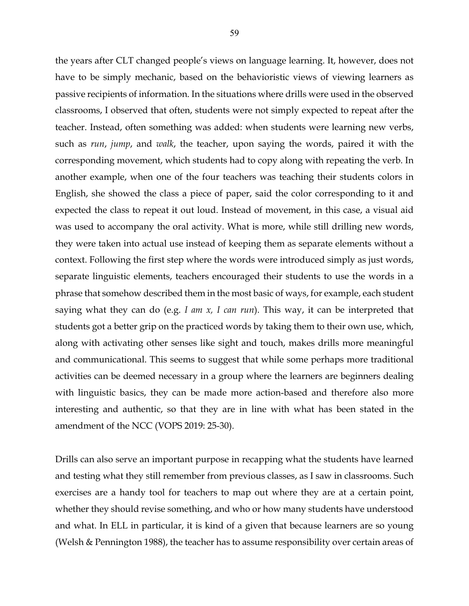the years after CLT changed people's views on language learning. It, however, does not have to be simply mechanic, based on the behavioristic views of viewing learners as passive recipients of information. In the situations where drills were used in the observed classrooms, I observed that often, students were not simply expected to repeat after the teacher. Instead, often something was added: when students were learning new verbs, such as *run*, *jump*, and *walk*, the teacher, upon saying the words, paired it with the corresponding movement, which students had to copy along with repeating the verb. In another example, when one of the four teachers was teaching their students colors in English, she showed the class a piece of paper, said the color corresponding to it and expected the class to repeat it out loud. Instead of movement, in this case, a visual aid was used to accompany the oral activity. What is more, while still drilling new words, they were taken into actual use instead of keeping them as separate elements without a context. Following the first step where the words were introduced simply as just words, separate linguistic elements, teachers encouraged their students to use the words in a phrase that somehow described them in the most basic of ways, for example, each student saying what they can do (e.g. *I am x, I can run*). This way, it can be interpreted that students got a better grip on the practiced words by taking them to their own use, which, along with activating other senses like sight and touch, makes drills more meaningful and communicational. This seems to suggest that while some perhaps more traditional activities can be deemed necessary in a group where the learners are beginners dealing with linguistic basics, they can be made more action-based and therefore also more interesting and authentic, so that they are in line with what has been stated in the amendment of the NCC (VOPS 2019: 25-30).

Drills can also serve an important purpose in recapping what the students have learned and testing what they still remember from previous classes, as I saw in classrooms. Such exercises are a handy tool for teachers to map out where they are at a certain point, whether they should revise something, and who or how many students have understood and what. In ELL in particular, it is kind of a given that because learners are so young (Welsh & Pennington 1988), the teacher has to assume responsibility over certain areas of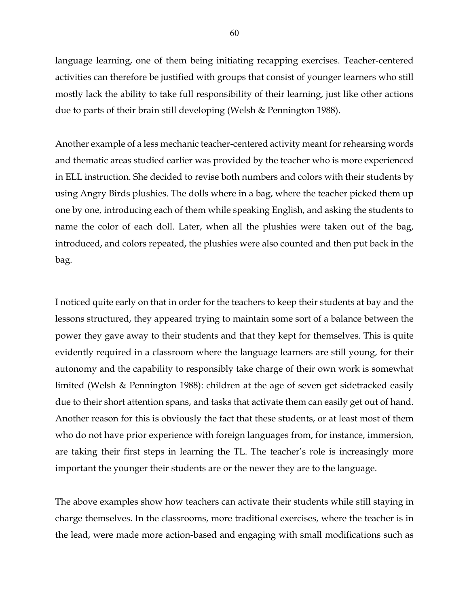language learning, one of them being initiating recapping exercises. Teacher-centered activities can therefore be justified with groups that consist of younger learners who still mostly lack the ability to take full responsibility of their learning, just like other actions due to parts of their brain still developing (Welsh & Pennington 1988).

Another example of a less mechanic teacher-centered activity meant for rehearsing words and thematic areas studied earlier was provided by the teacher who is more experienced in ELL instruction. She decided to revise both numbers and colors with their students by using Angry Birds plushies. The dolls where in a bag, where the teacher picked them up one by one, introducing each of them while speaking English, and asking the students to name the color of each doll. Later, when all the plushies were taken out of the bag, introduced, and colors repeated, the plushies were also counted and then put back in the bag.

I noticed quite early on that in order for the teachers to keep their students at bay and the lessons structured, they appeared trying to maintain some sort of a balance between the power they gave away to their students and that they kept for themselves. This is quite evidently required in a classroom where the language learners are still young, for their autonomy and the capability to responsibly take charge of their own work is somewhat limited (Welsh & Pennington 1988): children at the age of seven get sidetracked easily due to their short attention spans, and tasks that activate them can easily get out of hand. Another reason for this is obviously the fact that these students, or at least most of them who do not have prior experience with foreign languages from, for instance, immersion, are taking their first steps in learning the TL. The teacher's role is increasingly more important the younger their students are or the newer they are to the language.

The above examples show how teachers can activate their students while still staying in charge themselves. In the classrooms, more traditional exercises, where the teacher is in the lead, were made more action-based and engaging with small modifications such as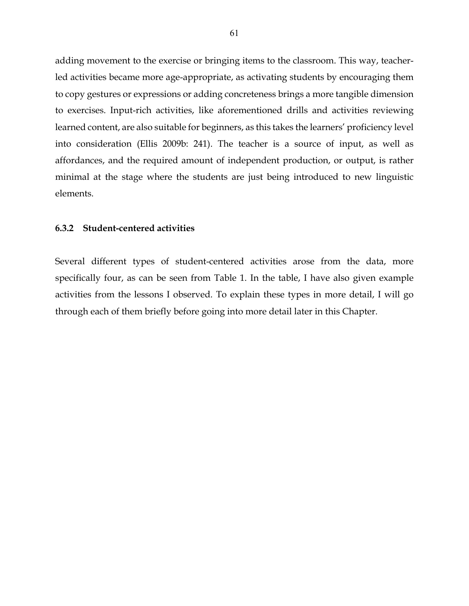adding movement to the exercise or bringing items to the classroom. This way, teacherled activities became more age-appropriate, as activating students by encouraging them to copy gestures or expressions or adding concreteness brings a more tangible dimension to exercises. Input-rich activities, like aforementioned drills and activities reviewing learned content, are also suitable for beginners, as this takes the learners' proficiency level into consideration (Ellis 2009b: 241). The teacher is a source of input, as well as affordances, and the required amount of independent production, or output, is rather minimal at the stage where the students are just being introduced to new linguistic elements.

#### **6.3.2 Student-centered activities**

Several different types of student-centered activities arose from the data, more specifically four, as can be seen from Table 1. In the table, I have also given example activities from the lessons I observed. To explain these types in more detail, I will go through each of them briefly before going into more detail later in this Chapter.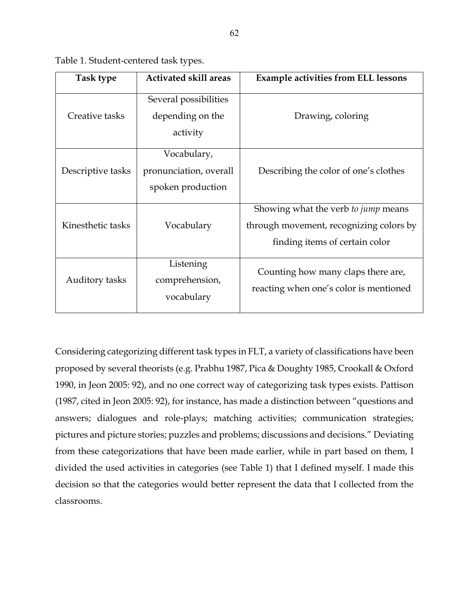| Task type         | <b>Activated skill areas</b>                               | <b>Example activities from ELL lessons</b>                                                                       |
|-------------------|------------------------------------------------------------|------------------------------------------------------------------------------------------------------------------|
| Creative tasks    | Several possibilities<br>depending on the<br>activity      | Drawing, coloring                                                                                                |
| Descriptive tasks | Vocabulary,<br>pronunciation, overall<br>spoken production | Describing the color of one's clothes                                                                            |
| Kinesthetic tasks | Vocabulary                                                 | Showing what the verb to jump means<br>through movement, recognizing colors by<br>finding items of certain color |
| Auditory tasks    | Listening<br>comprehension,<br>vocabulary                  | Counting how many claps there are,<br>reacting when one's color is mentioned                                     |

Table 1. Student-centered task types.

Considering categorizing different task types in FLT, a variety of classifications have been proposed by several theorists (e.g. Prabhu 1987, Pica & Doughty 1985, Crookall & Oxford 1990, in Jeon 2005: 92), and no one correct way of categorizing task types exists. Pattison (1987, cited in Jeon 2005: 92), for instance, has made a distinction between "questions and answers; dialogues and role-plays; matching activities; communication strategies; pictures and picture stories; puzzles and problems; discussions and decisions." Deviating from these categorizations that have been made earlier, while in part based on them, I divided the used activities in categories (see Table 1) that I defined myself. I made this decision so that the categories would better represent the data that I collected from the classrooms.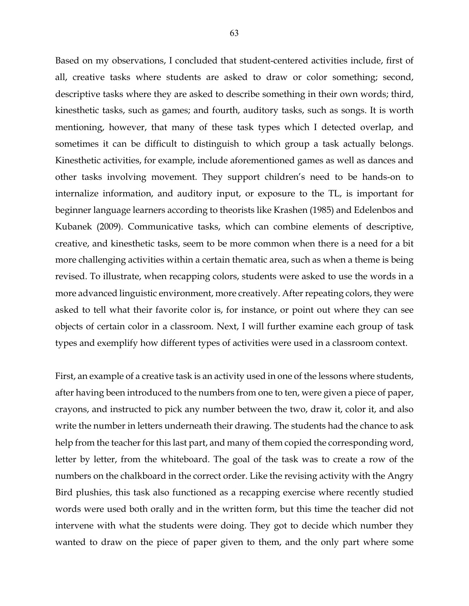Based on my observations, I concluded that student-centered activities include, first of all, creative tasks where students are asked to draw or color something; second, descriptive tasks where they are asked to describe something in their own words; third, kinesthetic tasks, such as games; and fourth, auditory tasks, such as songs. It is worth mentioning, however, that many of these task types which I detected overlap, and sometimes it can be difficult to distinguish to which group a task actually belongs. Kinesthetic activities, for example, include aforementioned games as well as dances and other tasks involving movement. They support children's need to be hands-on to internalize information, and auditory input, or exposure to the TL, is important for beginner language learners according to theorists like Krashen (1985) and Edelenbos and Kubanek (2009). Communicative tasks, which can combine elements of descriptive, creative, and kinesthetic tasks, seem to be more common when there is a need for a bit more challenging activities within a certain thematic area, such as when a theme is being revised. To illustrate, when recapping colors, students were asked to use the words in a more advanced linguistic environment, more creatively. After repeating colors, they were asked to tell what their favorite color is, for instance, or point out where they can see objects of certain color in a classroom. Next, I will further examine each group of task types and exemplify how different types of activities were used in a classroom context.

First, an example of a creative task is an activity used in one of the lessons where students, after having been introduced to the numbers from one to ten, were given a piece of paper, crayons, and instructed to pick any number between the two, draw it, color it, and also write the number in letters underneath their drawing. The students had the chance to ask help from the teacher for this last part, and many of them copied the corresponding word, letter by letter, from the whiteboard. The goal of the task was to create a row of the numbers on the chalkboard in the correct order. Like the revising activity with the Angry Bird plushies, this task also functioned as a recapping exercise where recently studied words were used both orally and in the written form, but this time the teacher did not intervene with what the students were doing. They got to decide which number they wanted to draw on the piece of paper given to them, and the only part where some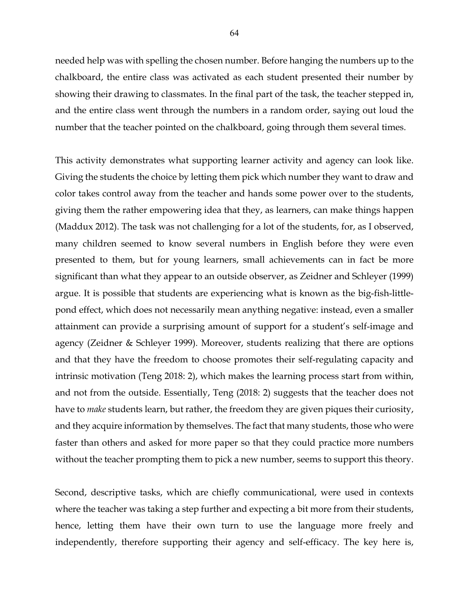needed help was with spelling the chosen number. Before hanging the numbers up to the chalkboard, the entire class was activated as each student presented their number by showing their drawing to classmates. In the final part of the task, the teacher stepped in, and the entire class went through the numbers in a random order, saying out loud the number that the teacher pointed on the chalkboard, going through them several times.

This activity demonstrates what supporting learner activity and agency can look like. Giving the students the choice by letting them pick which number they want to draw and color takes control away from the teacher and hands some power over to the students, giving them the rather empowering idea that they, as learners, can make things happen (Maddux 2012). The task was not challenging for a lot of the students, for, as I observed, many children seemed to know several numbers in English before they were even presented to them, but for young learners, small achievements can in fact be more significant than what they appear to an outside observer, as Zeidner and Schleyer (1999) argue. It is possible that students are experiencing what is known as the big-fish-littlepond effect, which does not necessarily mean anything negative: instead, even a smaller attainment can provide a surprising amount of support for a student's self-image and agency (Zeidner & Schleyer 1999). Moreover, students realizing that there are options and that they have the freedom to choose promotes their self-regulating capacity and intrinsic motivation (Teng 2018: 2), which makes the learning process start from within, and not from the outside. Essentially, Teng (2018: 2) suggests that the teacher does not have to *make* students learn, but rather, the freedom they are given piques their curiosity, and they acquire information by themselves. The fact that many students, those who were faster than others and asked for more paper so that they could practice more numbers without the teacher prompting them to pick a new number, seems to support this theory.

Second, descriptive tasks, which are chiefly communicational, were used in contexts where the teacher was taking a step further and expecting a bit more from their students, hence, letting them have their own turn to use the language more freely and independently, therefore supporting their agency and self-efficacy. The key here is,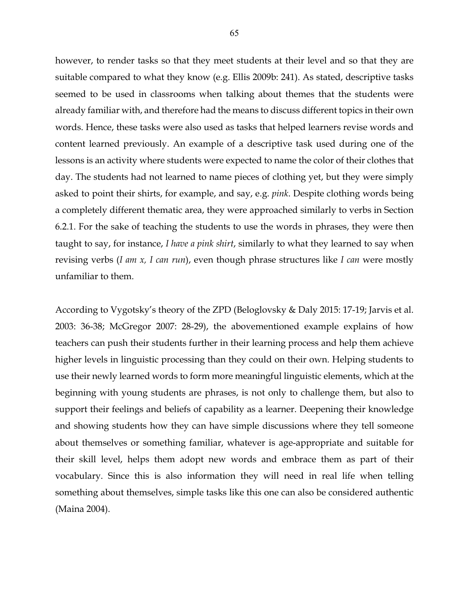however, to render tasks so that they meet students at their level and so that they are suitable compared to what they know (e.g. Ellis 2009b: 241). As stated, descriptive tasks seemed to be used in classrooms when talking about themes that the students were already familiar with, and therefore had the means to discuss different topics in their own words. Hence, these tasks were also used as tasks that helped learners revise words and content learned previously. An example of a descriptive task used during one of the lessons is an activity where students were expected to name the color of their clothes that day. The students had not learned to name pieces of clothing yet, but they were simply asked to point their shirts, for example, and say, e.g. *pink*. Despite clothing words being a completely different thematic area, they were approached similarly to verbs in Section 6.2.1. For the sake of teaching the students to use the words in phrases, they were then taught to say, for instance, *I have a pink shirt*, similarly to what they learned to say when revising verbs (*I am x, I can run*), even though phrase structures like *I can* were mostly unfamiliar to them.

According to Vygotsky's theory of the ZPD (Beloglovsky & Daly 2015: 17-19; Jarvis et al. 2003: 36-38; McGregor 2007: 28-29), the abovementioned example explains of how teachers can push their students further in their learning process and help them achieve higher levels in linguistic processing than they could on their own. Helping students to use their newly learned words to form more meaningful linguistic elements, which at the beginning with young students are phrases, is not only to challenge them, but also to support their feelings and beliefs of capability as a learner. Deepening their knowledge and showing students how they can have simple discussions where they tell someone about themselves or something familiar, whatever is age-appropriate and suitable for their skill level, helps them adopt new words and embrace them as part of their vocabulary. Since this is also information they will need in real life when telling something about themselves, simple tasks like this one can also be considered authentic (Maina 2004).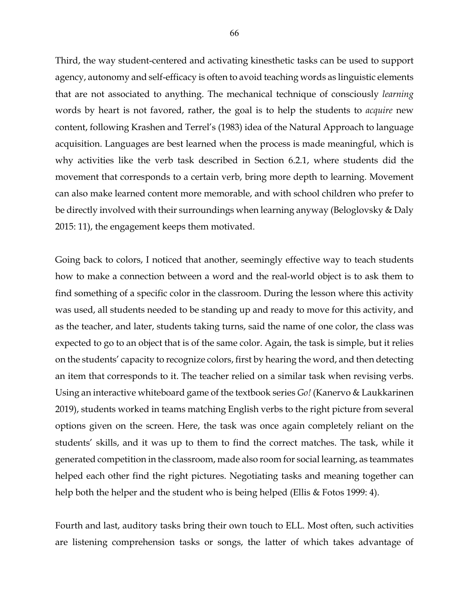Third, the way student-centered and activating kinesthetic tasks can be used to support agency, autonomy and self-efficacy is often to avoid teaching words as linguistic elements that are not associated to anything. The mechanical technique of consciously *learning*  words by heart is not favored, rather, the goal is to help the students to *acquire* new content, following Krashen and Terrel's (1983) idea of the Natural Approach to language acquisition. Languages are best learned when the process is made meaningful, which is why activities like the verb task described in Section 6.2.1, where students did the movement that corresponds to a certain verb, bring more depth to learning. Movement can also make learned content more memorable, and with school children who prefer to be directly involved with their surroundings when learning anyway (Beloglovsky & Daly 2015: 11), the engagement keeps them motivated.

Going back to colors, I noticed that another, seemingly effective way to teach students how to make a connection between a word and the real-world object is to ask them to find something of a specific color in the classroom. During the lesson where this activity was used, all students needed to be standing up and ready to move for this activity, and as the teacher, and later, students taking turns, said the name of one color, the class was expected to go to an object that is of the same color. Again, the task is simple, but it relies on the students' capacity to recognize colors, first by hearing the word, and then detecting an item that corresponds to it. The teacher relied on a similar task when revising verbs. Using an interactive whiteboard game of the textbook series *Go!* (Kanervo & Laukkarinen 2019), students worked in teams matching English verbs to the right picture from several options given on the screen. Here, the task was once again completely reliant on the students' skills, and it was up to them to find the correct matches. The task, while it generated competition in the classroom, made also room for social learning, as teammates helped each other find the right pictures. Negotiating tasks and meaning together can help both the helper and the student who is being helped (Ellis & Fotos 1999: 4).

Fourth and last, auditory tasks bring their own touch to ELL. Most often, such activities are listening comprehension tasks or songs, the latter of which takes advantage of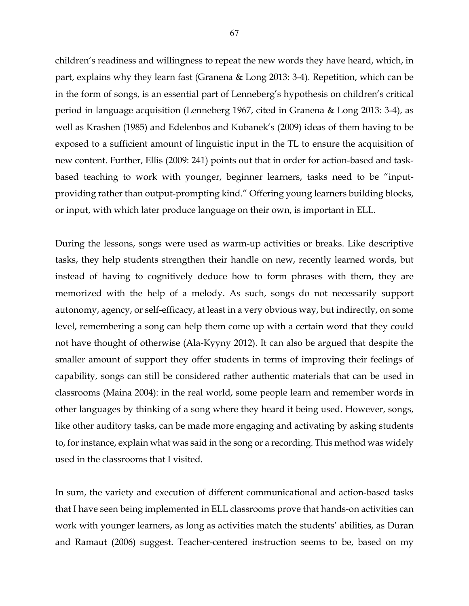children's readiness and willingness to repeat the new words they have heard, which, in part, explains why they learn fast (Granena & Long 2013: 3-4). Repetition, which can be in the form of songs, is an essential part of Lenneberg's hypothesis on children's critical period in language acquisition (Lenneberg 1967, cited in Granena & Long 2013: 3-4), as well as Krashen (1985) and Edelenbos and Kubanek's (2009) ideas of them having to be exposed to a sufficient amount of linguistic input in the TL to ensure the acquisition of new content. Further, Ellis (2009: 241) points out that in order for action-based and taskbased teaching to work with younger, beginner learners, tasks need to be "inputproviding rather than output-prompting kind." Offering young learners building blocks, or input, with which later produce language on their own, is important in ELL.

During the lessons, songs were used as warm-up activities or breaks. Like descriptive tasks, they help students strengthen their handle on new, recently learned words, but instead of having to cognitively deduce how to form phrases with them, they are memorized with the help of a melody. As such, songs do not necessarily support autonomy, agency, or self-efficacy, at least in a very obvious way, but indirectly, on some level, remembering a song can help them come up with a certain word that they could not have thought of otherwise (Ala-Kyyny 2012). It can also be argued that despite the smaller amount of support they offer students in terms of improving their feelings of capability, songs can still be considered rather authentic materials that can be used in classrooms (Maina 2004): in the real world, some people learn and remember words in other languages by thinking of a song where they heard it being used. However, songs, like other auditory tasks, can be made more engaging and activating by asking students to, for instance, explain what was said in the song or a recording. This method was widely used in the classrooms that I visited.

In sum, the variety and execution of different communicational and action-based tasks that I have seen being implemented in ELL classrooms prove that hands-on activities can work with younger learners, as long as activities match the students' abilities, as Duran and Ramaut (2006) suggest. Teacher-centered instruction seems to be, based on my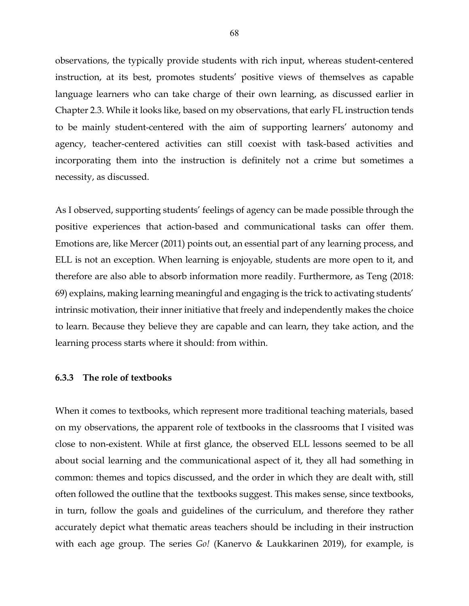observations, the typically provide students with rich input, whereas student-centered instruction, at its best, promotes students' positive views of themselves as capable language learners who can take charge of their own learning, as discussed earlier in Chapter 2.3. While it looks like, based on my observations, that early FL instruction tends to be mainly student-centered with the aim of supporting learners' autonomy and agency, teacher-centered activities can still coexist with task-based activities and incorporating them into the instruction is definitely not a crime but sometimes a necessity, as discussed.

As I observed, supporting students' feelings of agency can be made possible through the positive experiences that action-based and communicational tasks can offer them. Emotions are, like Mercer (2011) points out, an essential part of any learning process, and ELL is not an exception. When learning is enjoyable, students are more open to it, and therefore are also able to absorb information more readily. Furthermore, as Teng (2018: 69) explains, making learning meaningful and engaging is the trick to activating students' intrinsic motivation, their inner initiative that freely and independently makes the choice to learn. Because they believe they are capable and can learn, they take action, and the learning process starts where it should: from within.

### **6.3.3 The role of textbooks**

When it comes to textbooks, which represent more traditional teaching materials, based on my observations, the apparent role of textbooks in the classrooms that I visited was close to non-existent. While at first glance, the observed ELL lessons seemed to be all about social learning and the communicational aspect of it, they all had something in common: themes and topics discussed, and the order in which they are dealt with, still often followed the outline that the textbooks suggest. This makes sense, since textbooks, in turn, follow the goals and guidelines of the curriculum, and therefore they rather accurately depict what thematic areas teachers should be including in their instruction with each age group. The series *Go!* (Kanervo & Laukkarinen 2019), for example, is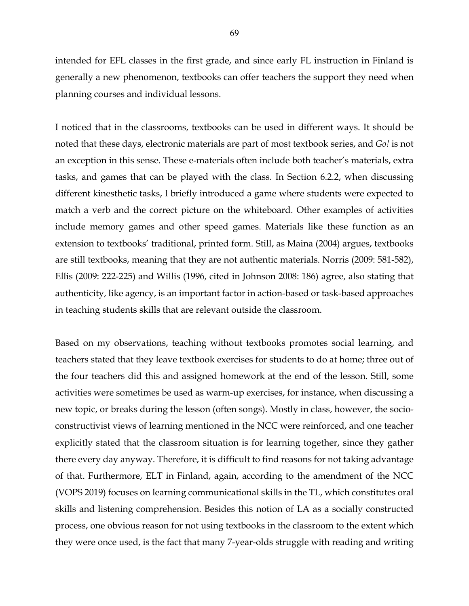intended for EFL classes in the first grade, and since early FL instruction in Finland is generally a new phenomenon, textbooks can offer teachers the support they need when planning courses and individual lessons.

I noticed that in the classrooms, textbooks can be used in different ways. It should be noted that these days, electronic materials are part of most textbook series, and *Go!* is not an exception in this sense. These e-materials often include both teacher's materials, extra tasks, and games that can be played with the class. In Section 6.2.2, when discussing different kinesthetic tasks, I briefly introduced a game where students were expected to match a verb and the correct picture on the whiteboard. Other examples of activities include memory games and other speed games. Materials like these function as an extension to textbooks' traditional, printed form. Still, as Maina (2004) argues, textbooks are still textbooks, meaning that they are not authentic materials. Norris (2009: 581-582), Ellis (2009: 222-225) and Willis (1996, cited in Johnson 2008: 186) agree, also stating that authenticity, like agency, is an important factor in action-based or task-based approaches in teaching students skills that are relevant outside the classroom.

Based on my observations, teaching without textbooks promotes social learning, and teachers stated that they leave textbook exercises for students to do at home; three out of the four teachers did this and assigned homework at the end of the lesson. Still, some activities were sometimes be used as warm-up exercises, for instance, when discussing a new topic, or breaks during the lesson (often songs). Mostly in class, however, the socioconstructivist views of learning mentioned in the NCC were reinforced, and one teacher explicitly stated that the classroom situation is for learning together, since they gather there every day anyway. Therefore, it is difficult to find reasons for not taking advantage of that. Furthermore, ELT in Finland, again, according to the amendment of the NCC (VOPS 2019) focuses on learning communicational skills in the TL, which constitutes oral skills and listening comprehension. Besides this notion of LA as a socially constructed process, one obvious reason for not using textbooks in the classroom to the extent which they were once used, is the fact that many 7-year-olds struggle with reading and writing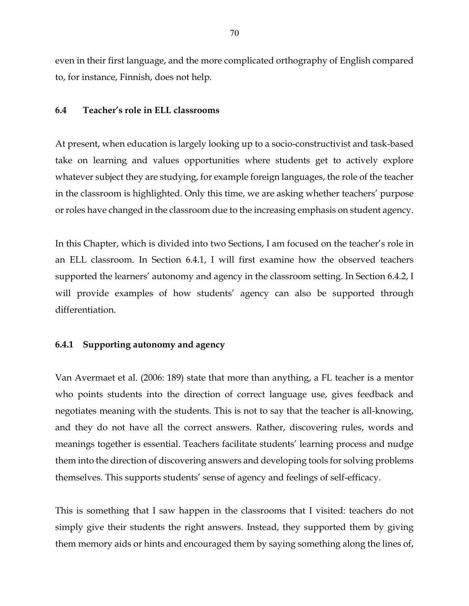even in their first language, and the more complicated orthography of English compared to, for instance, Finnish, does not help.

# **6.4 Teacher's role in ELL classrooms**

At present, when education is largely looking up to a socio-constructivist and task-based take on learning and values opportunities where students get to actively explore whatever subject they are studying, for example foreign languages, the role of the teacher in the classroom is highlighted. Only this time, we are asking whether teachers' purpose or roles have changed in the classroom due to the increasing emphasis on student agency.

In this Chapter, which is divided into two Sections, I am focused on the teacher's role in an ELL classroom. In Section 6.4.1, I will first examine how the observed teachers supported the learners' autonomy and agency in the classroom setting. In Section 6.4.2, I will provide examples of how students' agency can also be supported through differentiation.

# **6.4.1 Supporting autonomy and agency**

Van Avermaet et al. (2006: 189) state that more than anything, a FL teacher is a mentor who points students into the direction of correct language use, gives feedback and negotiates meaning with the students. This is not to say that the teacher is all-knowing, and they do not have all the correct answers. Rather, discovering rules, words and meanings together is essential. Teachers facilitate students' learning process and nudge them into the direction of discovering answers and developing tools for solving problems themselves. This supports students' sense of agency and feelings of self-efficacy.

This is something that I saw happen in the classrooms that I visited: teachers do not simply give their students the right answers. Instead, they supported them by giving them memory aids or hints and encouraged them by saying something along the lines of,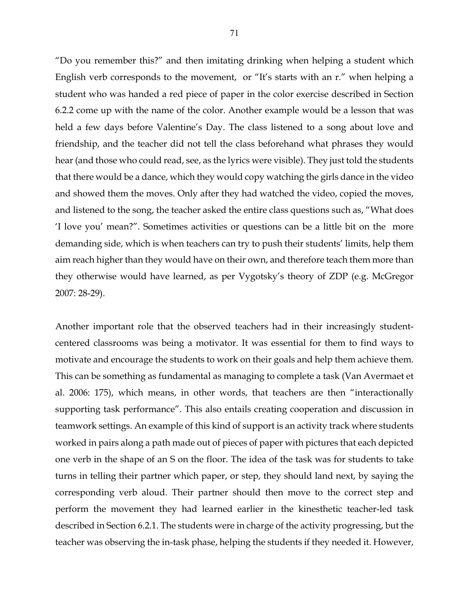"Do you remember this?" and then imitating drinking when helping a student which English verb corresponds to the movement, or "It's starts with an r." when helping a student who was handed a red piece of paper in the color exercise described in Section 6.2.2 come up with the name of the color. Another example would be a lesson that was held a few days before Valentine's Day. The class listened to a song about love and friendship, and the teacher did not tell the class beforehand what phrases they would hear (and those who could read, see, as the lyrics were visible). They just told the students that there would be a dance, which they would copy watching the girls dance in the video and showed them the moves. Only after they had watched the video, copied the moves, and listened to the song, the teacher asked the entire class questions such as, "What does 'I love you' mean?". Sometimes activities or questions can be a little bit on the more demanding side, which is when teachers can try to push their students' limits, help them aim reach higher than they would have on their own, and therefore teach them more than they otherwise would have learned, as per Vygotsky's theory of ZDP (e.g. McGregor 2007: 28-29).

Another important role that the observed teachers had in their increasingly studentcentered classrooms was being a motivator. It was essential for them to find ways to motivate and encourage the students to work on their goals and help them achieve them. This can be something as fundamental as managing to complete a task (Van Avermaet et al. 2006: 175), which means, in other words, that teachers are then "interactionally supporting task performance". This also entails creating cooperation and discussion in teamwork settings. An example of this kind of support is an activity track where students worked in pairs along a path made out of pieces of paper with pictures that each depicted one verb in the shape of an S on the floor. The idea of the task was for students to take turns in telling their partner which paper, or step, they should land next, by saying the corresponding verb aloud. Their partner should then move to the correct step and perform the movement they had learned earlier in the kinesthetic teacher-led task described in Section 6.2.1. The students were in charge of the activity progressing, but the teacher was observing the in-task phase, helping the students if they needed it. However,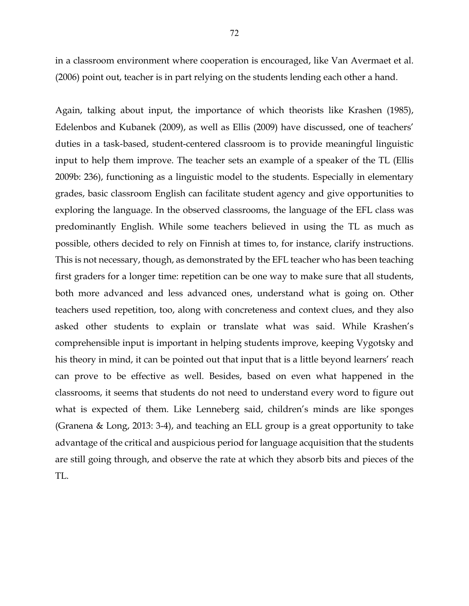in a classroom environment where cooperation is encouraged, like Van Avermaet et al. (2006) point out, teacher is in part relying on the students lending each other a hand.

Again, talking about input, the importance of which theorists like Krashen (1985), Edelenbos and Kubanek (2009), as well as Ellis (2009) have discussed, one of teachers' duties in a task-based, student-centered classroom is to provide meaningful linguistic input to help them improve. The teacher sets an example of a speaker of the TL (Ellis 2009b: 236), functioning as a linguistic model to the students. Especially in elementary grades, basic classroom English can facilitate student agency and give opportunities to exploring the language. In the observed classrooms, the language of the EFL class was predominantly English. While some teachers believed in using the TL as much as possible, others decided to rely on Finnish at times to, for instance, clarify instructions. This is not necessary, though, as demonstrated by the EFL teacher who has been teaching first graders for a longer time: repetition can be one way to make sure that all students, both more advanced and less advanced ones, understand what is going on. Other teachers used repetition, too, along with concreteness and context clues, and they also asked other students to explain or translate what was said. While Krashen's comprehensible input is important in helping students improve, keeping Vygotsky and his theory in mind, it can be pointed out that input that is a little beyond learners' reach can prove to be effective as well. Besides, based on even what happened in the classrooms, it seems that students do not need to understand every word to figure out what is expected of them. Like Lenneberg said, children's minds are like sponges (Granena & Long, 2013: 3-4), and teaching an ELL group is a great opportunity to take advantage of the critical and auspicious period for language acquisition that the students are still going through, and observe the rate at which they absorb bits and pieces of the TL.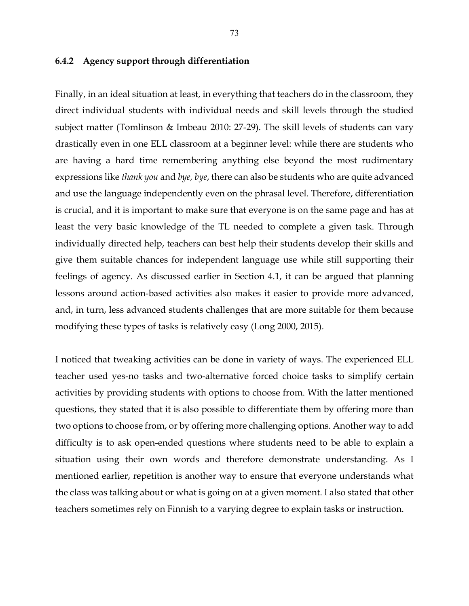## **6.4.2 Agency support through differentiation**

Finally, in an ideal situation at least, in everything that teachers do in the classroom, they direct individual students with individual needs and skill levels through the studied subject matter (Tomlinson & Imbeau 2010: 27-29). The skill levels of students can vary drastically even in one ELL classroom at a beginner level: while there are students who are having a hard time remembering anything else beyond the most rudimentary expressions like *thank you* and *bye, bye*, there can also be students who are quite advanced and use the language independently even on the phrasal level. Therefore, differentiation is crucial, and it is important to make sure that everyone is on the same page and has at least the very basic knowledge of the TL needed to complete a given task. Through individually directed help, teachers can best help their students develop their skills and give them suitable chances for independent language use while still supporting their feelings of agency. As discussed earlier in Section 4.1, it can be argued that planning lessons around action-based activities also makes it easier to provide more advanced, and, in turn, less advanced students challenges that are more suitable for them because modifying these types of tasks is relatively easy (Long 2000, 2015).

I noticed that tweaking activities can be done in variety of ways. The experienced ELL teacher used yes-no tasks and two-alternative forced choice tasks to simplify certain activities by providing students with options to choose from. With the latter mentioned questions, they stated that it is also possible to differentiate them by offering more than two options to choose from, or by offering more challenging options. Another way to add difficulty is to ask open-ended questions where students need to be able to explain a situation using their own words and therefore demonstrate understanding. As I mentioned earlier, repetition is another way to ensure that everyone understands what the class was talking about or what is going on at a given moment. I also stated that other teachers sometimes rely on Finnish to a varying degree to explain tasks or instruction.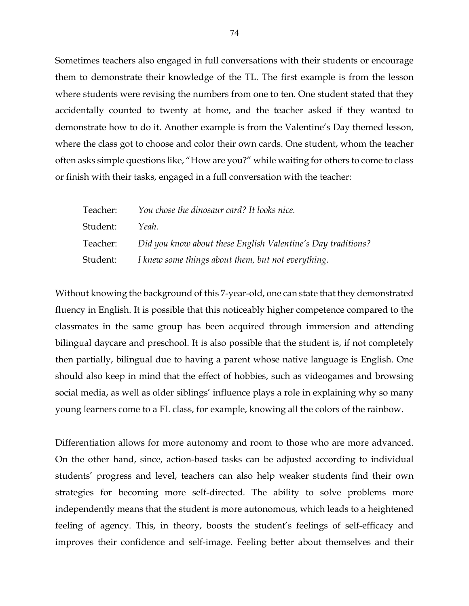Sometimes teachers also engaged in full conversations with their students or encourage them to demonstrate their knowledge of the TL. The first example is from the lesson where students were revising the numbers from one to ten. One student stated that they accidentally counted to twenty at home, and the teacher asked if they wanted to demonstrate how to do it. Another example is from the Valentine's Day themed lesson, where the class got to choose and color their own cards. One student, whom the teacher often asks simple questions like, "How are you?" while waiting for others to come to class or finish with their tasks, engaged in a full conversation with the teacher:

| Teacher: | You chose the dinosaur card? It looks nice.                  |
|----------|--------------------------------------------------------------|
| Student: | Yeah.                                                        |
| Teacher: | Did you know about these English Valentine's Day traditions? |
| Student: | I knew some things about them, but not everything.           |

Without knowing the background of this 7-year-old, one can state that they demonstrated fluency in English. It is possible that this noticeably higher competence compared to the classmates in the same group has been acquired through immersion and attending bilingual daycare and preschool. It is also possible that the student is, if not completely then partially, bilingual due to having a parent whose native language is English. One should also keep in mind that the effect of hobbies, such as videogames and browsing social media, as well as older siblings' influence plays a role in explaining why so many young learners come to a FL class, for example, knowing all the colors of the rainbow.

Differentiation allows for more autonomy and room to those who are more advanced. On the other hand, since, action-based tasks can be adjusted according to individual students' progress and level, teachers can also help weaker students find their own strategies for becoming more self-directed. The ability to solve problems more independently means that the student is more autonomous, which leads to a heightened feeling of agency. This, in theory, boosts the student's feelings of self-efficacy and improves their confidence and self-image. Feeling better about themselves and their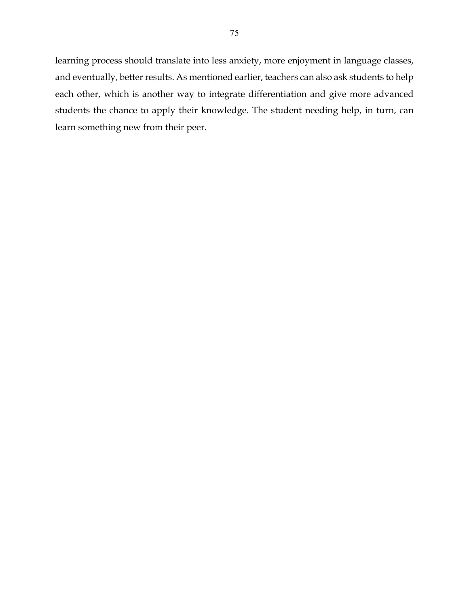learning process should translate into less anxiety, more enjoyment in language classes, and eventually, better results. As mentioned earlier, teachers can also ask students to help each other, which is another way to integrate differentiation and give more advanced students the chance to apply their knowledge. The student needing help, in turn, can learn something new from their peer.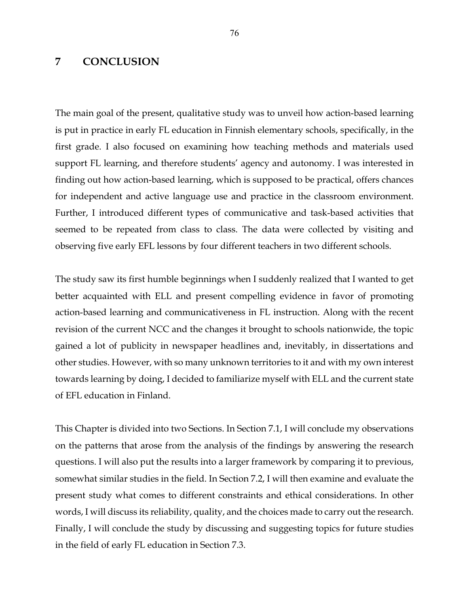# **7 CONCLUSION**

The main goal of the present, qualitative study was to unveil how action-based learning is put in practice in early FL education in Finnish elementary schools, specifically, in the first grade. I also focused on examining how teaching methods and materials used support FL learning, and therefore students' agency and autonomy. I was interested in finding out how action-based learning, which is supposed to be practical, offers chances for independent and active language use and practice in the classroom environment. Further, I introduced different types of communicative and task-based activities that seemed to be repeated from class to class. The data were collected by visiting and observing five early EFL lessons by four different teachers in two different schools.

The study saw its first humble beginnings when I suddenly realized that I wanted to get better acquainted with ELL and present compelling evidence in favor of promoting action-based learning and communicativeness in FL instruction. Along with the recent revision of the current NCC and the changes it brought to schools nationwide, the topic gained a lot of publicity in newspaper headlines and, inevitably, in dissertations and other studies. However, with so many unknown territories to it and with my own interest towards learning by doing, I decided to familiarize myself with ELL and the current state of EFL education in Finland.

This Chapter is divided into two Sections. In Section 7.1, I will conclude my observations on the patterns that arose from the analysis of the findings by answering the research questions. I will also put the results into a larger framework by comparing it to previous, somewhat similar studies in the field. In Section 7.2, I will then examine and evaluate the present study what comes to different constraints and ethical considerations. In other words, I will discuss its reliability, quality, and the choices made to carry out the research. Finally, I will conclude the study by discussing and suggesting topics for future studies in the field of early FL education in Section 7.3.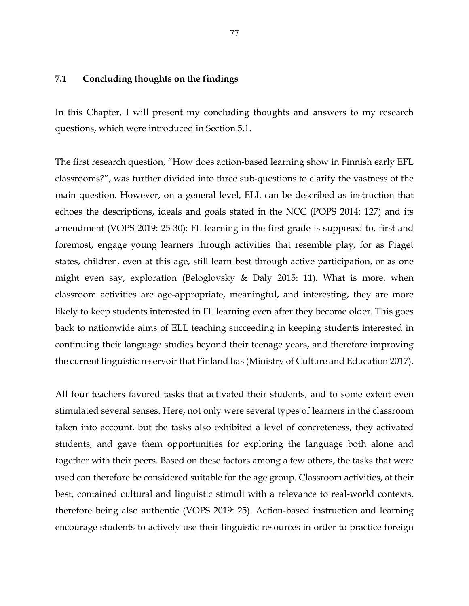## **7.1 Concluding thoughts on the findings**

In this Chapter, I will present my concluding thoughts and answers to my research questions, which were introduced in Section 5.1.

The first research question, "How does action-based learning show in Finnish early EFL classrooms?", was further divided into three sub-questions to clarify the vastness of the main question. However, on a general level, ELL can be described as instruction that echoes the descriptions, ideals and goals stated in the NCC (POPS 2014: 127) and its amendment (VOPS 2019: 25-30): FL learning in the first grade is supposed to, first and foremost, engage young learners through activities that resemble play, for as Piaget states, children, even at this age, still learn best through active participation, or as one might even say, exploration (Beloglovsky & Daly 2015: 11). What is more, when classroom activities are age-appropriate, meaningful, and interesting, they are more likely to keep students interested in FL learning even after they become older. This goes back to nationwide aims of ELL teaching succeeding in keeping students interested in continuing their language studies beyond their teenage years, and therefore improving the current linguistic reservoir that Finland has (Ministry of Culture and Education 2017).

All four teachers favored tasks that activated their students, and to some extent even stimulated several senses. Here, not only were several types of learners in the classroom taken into account, but the tasks also exhibited a level of concreteness, they activated students, and gave them opportunities for exploring the language both alone and together with their peers. Based on these factors among a few others, the tasks that were used can therefore be considered suitable for the age group. Classroom activities, at their best, contained cultural and linguistic stimuli with a relevance to real-world contexts, therefore being also authentic (VOPS 2019: 25). Action-based instruction and learning encourage students to actively use their linguistic resources in order to practice foreign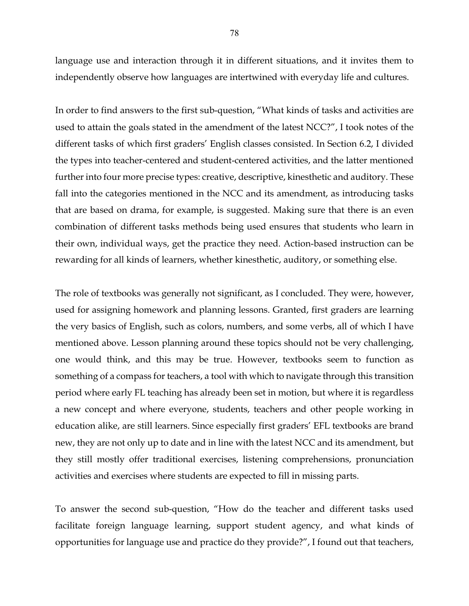language use and interaction through it in different situations, and it invites them to independently observe how languages are intertwined with everyday life and cultures.

In order to find answers to the first sub-question, "What kinds of tasks and activities are used to attain the goals stated in the amendment of the latest NCC?", I took notes of the different tasks of which first graders' English classes consisted. In Section 6.2, I divided the types into teacher-centered and student-centered activities, and the latter mentioned further into four more precise types: creative, descriptive, kinesthetic and auditory. These fall into the categories mentioned in the NCC and its amendment, as introducing tasks that are based on drama, for example, is suggested. Making sure that there is an even combination of different tasks methods being used ensures that students who learn in their own, individual ways, get the practice they need. Action-based instruction can be rewarding for all kinds of learners, whether kinesthetic, auditory, or something else.

The role of textbooks was generally not significant, as I concluded. They were, however, used for assigning homework and planning lessons. Granted, first graders are learning the very basics of English, such as colors, numbers, and some verbs, all of which I have mentioned above. Lesson planning around these topics should not be very challenging, one would think, and this may be true. However, textbooks seem to function as something of a compass for teachers, a tool with which to navigate through this transition period where early FL teaching has already been set in motion, but where it is regardless a new concept and where everyone, students, teachers and other people working in education alike, are still learners. Since especially first graders' EFL textbooks are brand new, they are not only up to date and in line with the latest NCC and its amendment, but they still mostly offer traditional exercises, listening comprehensions, pronunciation activities and exercises where students are expected to fill in missing parts.

To answer the second sub-question, "How do the teacher and different tasks used facilitate foreign language learning, support student agency, and what kinds of opportunities for language use and practice do they provide?", I found out that teachers,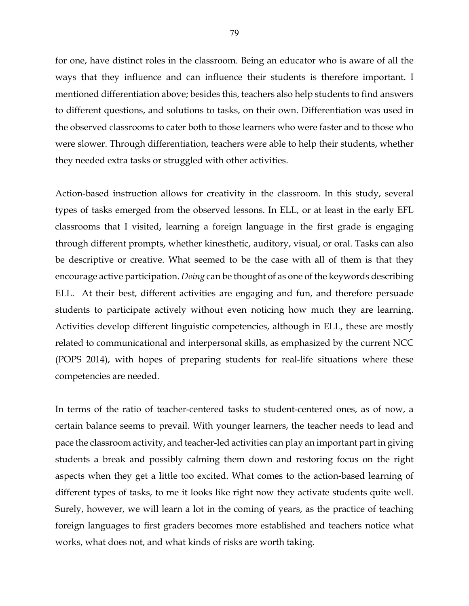for one, have distinct roles in the classroom. Being an educator who is aware of all the ways that they influence and can influence their students is therefore important. I mentioned differentiation above; besides this, teachers also help students to find answers to different questions, and solutions to tasks, on their own. Differentiation was used in the observed classrooms to cater both to those learners who were faster and to those who were slower. Through differentiation, teachers were able to help their students, whether they needed extra tasks or struggled with other activities.

Action-based instruction allows for creativity in the classroom. In this study, several types of tasks emerged from the observed lessons. In ELL, or at least in the early EFL classrooms that I visited, learning a foreign language in the first grade is engaging through different prompts, whether kinesthetic, auditory, visual, or oral. Tasks can also be descriptive or creative. What seemed to be the case with all of them is that they encourage active participation. *Doing* can be thought of as one of the keywords describing ELL. At their best, different activities are engaging and fun, and therefore persuade students to participate actively without even noticing how much they are learning. Activities develop different linguistic competencies, although in ELL, these are mostly related to communicational and interpersonal skills, as emphasized by the current NCC (POPS 2014), with hopes of preparing students for real-life situations where these competencies are needed.

In terms of the ratio of teacher-centered tasks to student-centered ones, as of now, a certain balance seems to prevail. With younger learners, the teacher needs to lead and pace the classroom activity, and teacher-led activities can play an important part in giving students a break and possibly calming them down and restoring focus on the right aspects when they get a little too excited. What comes to the action-based learning of different types of tasks, to me it looks like right now they activate students quite well. Surely, however, we will learn a lot in the coming of years, as the practice of teaching foreign languages to first graders becomes more established and teachers notice what works, what does not, and what kinds of risks are worth taking.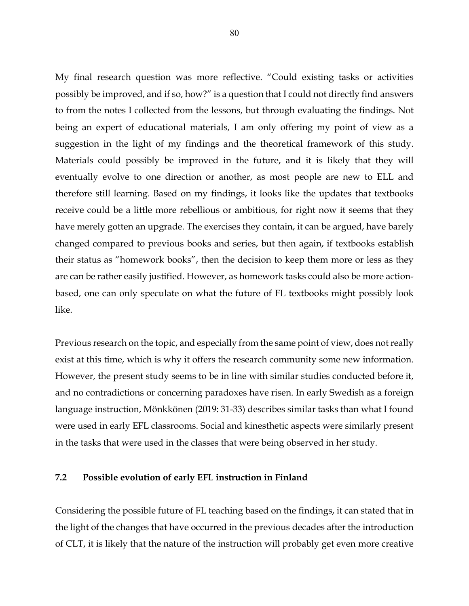My final research question was more reflective. "Could existing tasks or activities possibly be improved, and if so, how?" is a question that I could not directly find answers to from the notes I collected from the lessons, but through evaluating the findings. Not being an expert of educational materials, I am only offering my point of view as a suggestion in the light of my findings and the theoretical framework of this study. Materials could possibly be improved in the future, and it is likely that they will eventually evolve to one direction or another, as most people are new to ELL and therefore still learning. Based on my findings, it looks like the updates that textbooks receive could be a little more rebellious or ambitious, for right now it seems that they have merely gotten an upgrade. The exercises they contain, it can be argued, have barely changed compared to previous books and series, but then again, if textbooks establish their status as "homework books", then the decision to keep them more or less as they are can be rather easily justified. However, as homework tasks could also be more actionbased, one can only speculate on what the future of FL textbooks might possibly look like.

Previous research on the topic, and especially from the same point of view, does not really exist at this time, which is why it offers the research community some new information. However, the present study seems to be in line with similar studies conducted before it, and no contradictions or concerning paradoxes have risen. In early Swedish as a foreign language instruction, Mönkkönen (2019: 31-33) describes similar tasks than what I found were used in early EFL classrooms. Social and kinesthetic aspects were similarly present in the tasks that were used in the classes that were being observed in her study.

# **7.2 Possible evolution of early EFL instruction in Finland**

Considering the possible future of FL teaching based on the findings, it can stated that in the light of the changes that have occurred in the previous decades after the introduction of CLT, it is likely that the nature of the instruction will probably get even more creative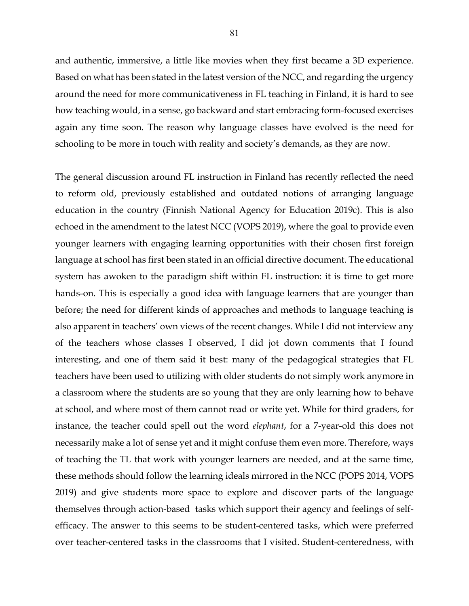and authentic, immersive, a little like movies when they first became a 3D experience. Based on what has been stated in the latest version of the NCC, and regarding the urgency around the need for more communicativeness in FL teaching in Finland, it is hard to see how teaching would, in a sense, go backward and start embracing form-focused exercises again any time soon. The reason why language classes have evolved is the need for schooling to be more in touch with reality and society's demands, as they are now.

The general discussion around FL instruction in Finland has recently reflected the need to reform old, previously established and outdated notions of arranging language education in the country (Finnish National Agency for Education 2019c). This is also echoed in the amendment to the latest NCC (VOPS 2019), where the goal to provide even younger learners with engaging learning opportunities with their chosen first foreign language at school has first been stated in an official directive document. The educational system has awoken to the paradigm shift within FL instruction: it is time to get more hands-on. This is especially a good idea with language learners that are younger than before; the need for different kinds of approaches and methods to language teaching is also apparent in teachers' own views of the recent changes. While I did not interview any of the teachers whose classes I observed, I did jot down comments that I found interesting, and one of them said it best: many of the pedagogical strategies that FL teachers have been used to utilizing with older students do not simply work anymore in a classroom where the students are so young that they are only learning how to behave at school, and where most of them cannot read or write yet. While for third graders, for instance, the teacher could spell out the word *elephant*, for a 7-year-old this does not necessarily make a lot of sense yet and it might confuse them even more. Therefore, ways of teaching the TL that work with younger learners are needed, and at the same time, these methods should follow the learning ideals mirrored in the NCC (POPS 2014, VOPS 2019) and give students more space to explore and discover parts of the language themselves through action-based tasks which support their agency and feelings of selfefficacy. The answer to this seems to be student-centered tasks, which were preferred over teacher-centered tasks in the classrooms that I visited. Student-centeredness, with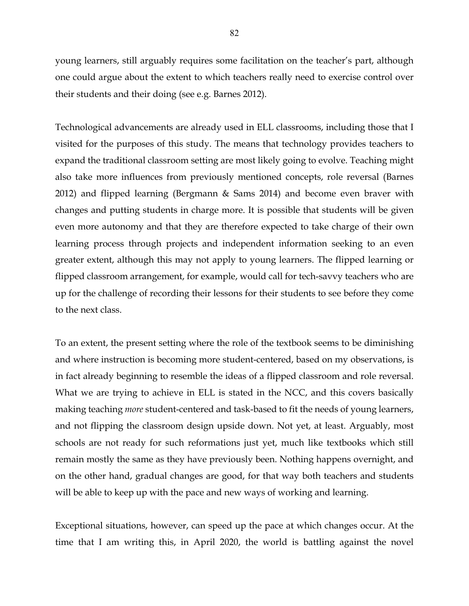young learners, still arguably requires some facilitation on the teacher's part, although one could argue about the extent to which teachers really need to exercise control over their students and their doing (see e.g. Barnes 2012).

Technological advancements are already used in ELL classrooms, including those that I visited for the purposes of this study. The means that technology provides teachers to expand the traditional classroom setting are most likely going to evolve. Teaching might also take more influences from previously mentioned concepts, role reversal (Barnes 2012) and flipped learning (Bergmann & Sams 2014) and become even braver with changes and putting students in charge more. It is possible that students will be given even more autonomy and that they are therefore expected to take charge of their own learning process through projects and independent information seeking to an even greater extent, although this may not apply to young learners. The flipped learning or flipped classroom arrangement, for example, would call for tech-savvy teachers who are up for the challenge of recording their lessons for their students to see before they come to the next class.

To an extent, the present setting where the role of the textbook seems to be diminishing and where instruction is becoming more student-centered, based on my observations, is in fact already beginning to resemble the ideas of a flipped classroom and role reversal. What we are trying to achieve in ELL is stated in the NCC, and this covers basically making teaching *more* student-centered and task-based to fit the needs of young learners, and not flipping the classroom design upside down. Not yet, at least. Arguably, most schools are not ready for such reformations just yet, much like textbooks which still remain mostly the same as they have previously been. Nothing happens overnight, and on the other hand, gradual changes are good, for that way both teachers and students will be able to keep up with the pace and new ways of working and learning.

Exceptional situations, however, can speed up the pace at which changes occur. At the time that I am writing this, in April 2020, the world is battling against the novel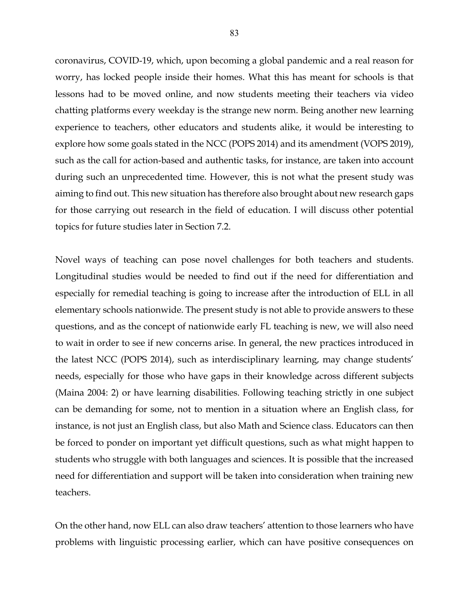coronavirus, COVID-19, which, upon becoming a global pandemic and a real reason for worry, has locked people inside their homes. What this has meant for schools is that lessons had to be moved online, and now students meeting their teachers via video chatting platforms every weekday is the strange new norm. Being another new learning experience to teachers, other educators and students alike, it would be interesting to explore how some goals stated in the NCC (POPS 2014) and its amendment (VOPS 2019), such as the call for action-based and authentic tasks, for instance, are taken into account during such an unprecedented time. However, this is not what the present study was aiming to find out. This new situation has therefore also brought about new research gaps for those carrying out research in the field of education. I will discuss other potential topics for future studies later in Section 7.2.

Novel ways of teaching can pose novel challenges for both teachers and students. Longitudinal studies would be needed to find out if the need for differentiation and especially for remedial teaching is going to increase after the introduction of ELL in all elementary schools nationwide. The present study is not able to provide answers to these questions, and as the concept of nationwide early FL teaching is new, we will also need to wait in order to see if new concerns arise. In general, the new practices introduced in the latest NCC (POPS 2014), such as interdisciplinary learning, may change students' needs, especially for those who have gaps in their knowledge across different subjects (Maina 2004: 2) or have learning disabilities. Following teaching strictly in one subject can be demanding for some, not to mention in a situation where an English class, for instance, is not just an English class, but also Math and Science class. Educators can then be forced to ponder on important yet difficult questions, such as what might happen to students who struggle with both languages and sciences. It is possible that the increased need for differentiation and support will be taken into consideration when training new teachers.

On the other hand, now ELL can also draw teachers' attention to those learners who have problems with linguistic processing earlier, which can have positive consequences on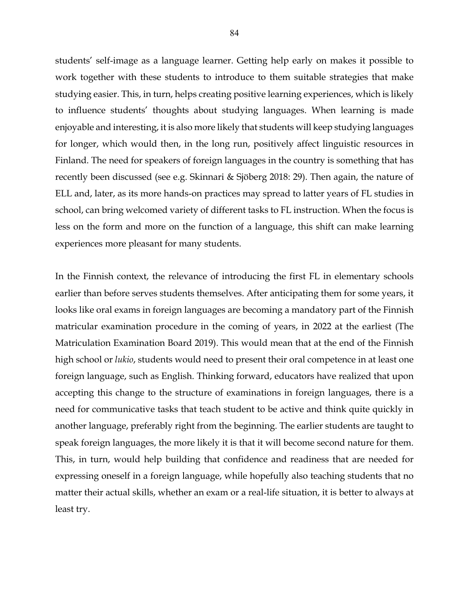students' self-image as a language learner. Getting help early on makes it possible to work together with these students to introduce to them suitable strategies that make studying easier. This, in turn, helps creating positive learning experiences, which is likely to influence students' thoughts about studying languages. When learning is made enjoyable and interesting, it is also more likely that students will keep studying languages for longer, which would then, in the long run, positively affect linguistic resources in Finland. The need for speakers of foreign languages in the country is something that has recently been discussed (see e.g. Skinnari & Sjöberg 2018: 29). Then again, the nature of ELL and, later, as its more hands-on practices may spread to latter years of FL studies in school, can bring welcomed variety of different tasks to FL instruction. When the focus is less on the form and more on the function of a language, this shift can make learning experiences more pleasant for many students.

In the Finnish context, the relevance of introducing the first FL in elementary schools earlier than before serves students themselves. After anticipating them for some years, it looks like oral exams in foreign languages are becoming a mandatory part of the Finnish matricular examination procedure in the coming of years, in 2022 at the earliest (The Matriculation Examination Board 2019). This would mean that at the end of the Finnish high school or *lukio*, students would need to present their oral competence in at least one foreign language, such as English. Thinking forward, educators have realized that upon accepting this change to the structure of examinations in foreign languages, there is a need for communicative tasks that teach student to be active and think quite quickly in another language, preferably right from the beginning. The earlier students are taught to speak foreign languages, the more likely it is that it will become second nature for them. This, in turn, would help building that confidence and readiness that are needed for expressing oneself in a foreign language, while hopefully also teaching students that no matter their actual skills, whether an exam or a real-life situation, it is better to always at least try.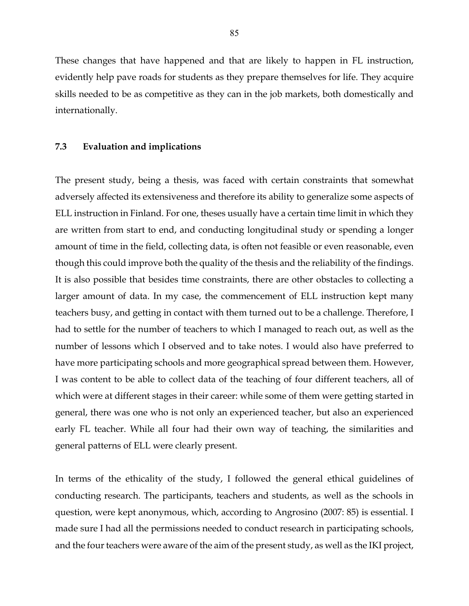These changes that have happened and that are likely to happen in FL instruction, evidently help pave roads for students as they prepare themselves for life. They acquire skills needed to be as competitive as they can in the job markets, both domestically and internationally.

### **7.3 Evaluation and implications**

The present study, being a thesis, was faced with certain constraints that somewhat adversely affected its extensiveness and therefore its ability to generalize some aspects of ELL instruction in Finland. For one, theses usually have a certain time limit in which they are written from start to end, and conducting longitudinal study or spending a longer amount of time in the field, collecting data, is often not feasible or even reasonable, even though this could improve both the quality of the thesis and the reliability of the findings. It is also possible that besides time constraints, there are other obstacles to collecting a larger amount of data. In my case, the commencement of ELL instruction kept many teachers busy, and getting in contact with them turned out to be a challenge. Therefore, I had to settle for the number of teachers to which I managed to reach out, as well as the number of lessons which I observed and to take notes. I would also have preferred to have more participating schools and more geographical spread between them. However, I was content to be able to collect data of the teaching of four different teachers, all of which were at different stages in their career: while some of them were getting started in general, there was one who is not only an experienced teacher, but also an experienced early FL teacher. While all four had their own way of teaching, the similarities and general patterns of ELL were clearly present.

In terms of the ethicality of the study, I followed the general ethical guidelines of conducting research. The participants, teachers and students, as well as the schools in question, were kept anonymous, which, according to Angrosino (2007: 85) is essential. I made sure I had all the permissions needed to conduct research in participating schools, and the four teachers were aware of the aim of the present study, as well as the IKI project,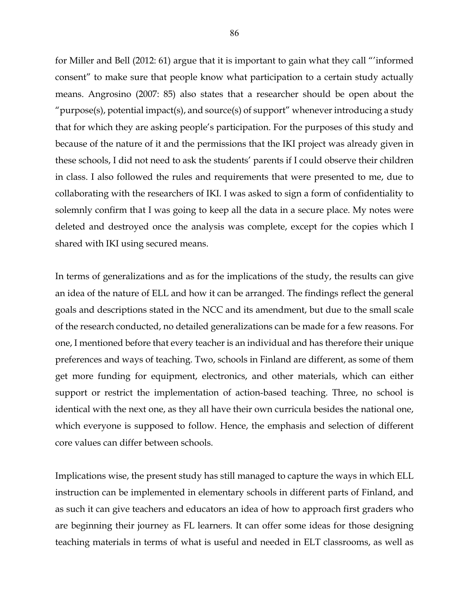for Miller and Bell (2012: 61) argue that it is important to gain what they call "'informed consent" to make sure that people know what participation to a certain study actually means. Angrosino (2007: 85) also states that a researcher should be open about the "purpose(s), potential impact(s), and source(s) of support" whenever introducing a study that for which they are asking people's participation. For the purposes of this study and because of the nature of it and the permissions that the IKI project was already given in these schools, I did not need to ask the students' parents if I could observe their children in class. I also followed the rules and requirements that were presented to me, due to collaborating with the researchers of IKI. I was asked to sign a form of confidentiality to solemnly confirm that I was going to keep all the data in a secure place. My notes were deleted and destroyed once the analysis was complete, except for the copies which I shared with IKI using secured means.

In terms of generalizations and as for the implications of the study, the results can give an idea of the nature of ELL and how it can be arranged. The findings reflect the general goals and descriptions stated in the NCC and its amendment, but due to the small scale of the research conducted, no detailed generalizations can be made for a few reasons. For one, I mentioned before that every teacher is an individual and has therefore their unique preferences and ways of teaching. Two, schools in Finland are different, as some of them get more funding for equipment, electronics, and other materials, which can either support or restrict the implementation of action-based teaching. Three, no school is identical with the next one, as they all have their own curricula besides the national one, which everyone is supposed to follow. Hence, the emphasis and selection of different core values can differ between schools.

Implications wise, the present study has still managed to capture the ways in which ELL instruction can be implemented in elementary schools in different parts of Finland, and as such it can give teachers and educators an idea of how to approach first graders who are beginning their journey as FL learners. It can offer some ideas for those designing teaching materials in terms of what is useful and needed in ELT classrooms, as well as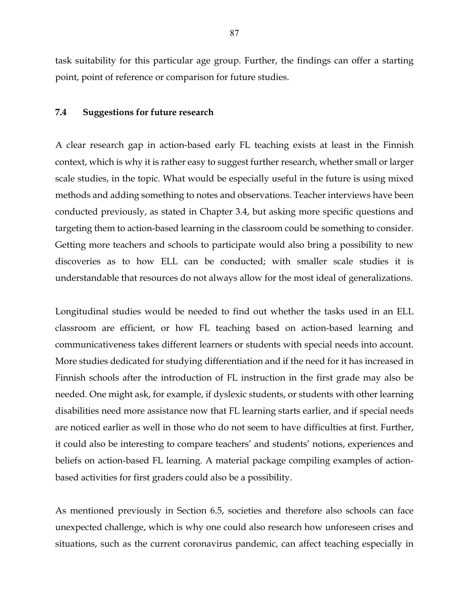task suitability for this particular age group. Further, the findings can offer a starting point, point of reference or comparison for future studies.

#### **7.4 Suggestions for future research**

A clear research gap in action-based early FL teaching exists at least in the Finnish context, which is why it is rather easy to suggest further research, whether small or larger scale studies, in the topic. What would be especially useful in the future is using mixed methods and adding something to notes and observations. Teacher interviews have been conducted previously, as stated in Chapter 3.4, but asking more specific questions and targeting them to action-based learning in the classroom could be something to consider. Getting more teachers and schools to participate would also bring a possibility to new discoveries as to how ELL can be conducted; with smaller scale studies it is understandable that resources do not always allow for the most ideal of generalizations.

Longitudinal studies would be needed to find out whether the tasks used in an ELL classroom are efficient, or how FL teaching based on action-based learning and communicativeness takes different learners or students with special needs into account. More studies dedicated for studying differentiation and if the need for it has increased in Finnish schools after the introduction of FL instruction in the first grade may also be needed. One might ask, for example, if dyslexic students, or students with other learning disabilities need more assistance now that FL learning starts earlier, and if special needs are noticed earlier as well in those who do not seem to have difficulties at first. Further, it could also be interesting to compare teachers' and students' notions, experiences and beliefs on action-based FL learning. A material package compiling examples of actionbased activities for first graders could also be a possibility.

As mentioned previously in Section 6.5, societies and therefore also schools can face unexpected challenge, which is why one could also research how unforeseen crises and situations, such as the current coronavirus pandemic, can affect teaching especially in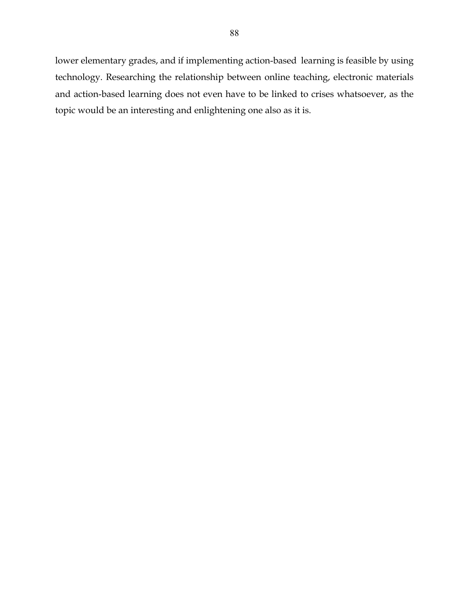lower elementary grades, and if implementing action-based learning is feasible by using technology. Researching the relationship between online teaching, electronic materials and action-based learning does not even have to be linked to crises whatsoever, as the topic would be an interesting and enlightening one also as it is.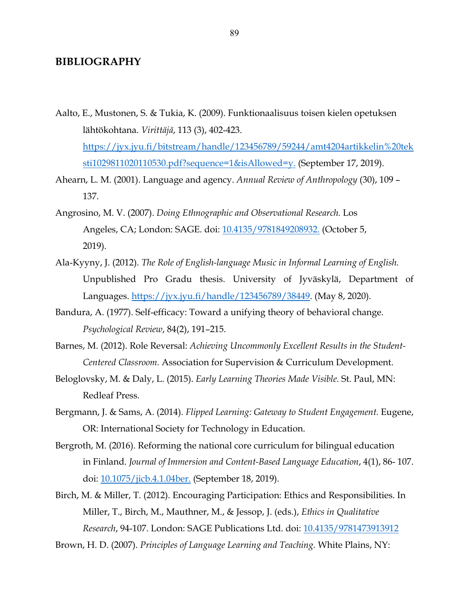# **BIBLIOGRAPHY**

- Aalto, E., Mustonen, S. & Tukia, K. (2009). Funktionaalisuus toisen kielen opetuksen lähtökohtana. *Virittäjä*, 113 (3), 402-423. https://jyx.jyu.fi/bitstream/handle/123456789/59244/amt4204artikkelin%20tek sti1029811020110530.pdf?sequence=1&isAllowed=y. (September 17, 2019).
- Ahearn, L. M. (2001). Language and agency. *Annual Review of Anthropology* (30), 109 137.
- Angrosino, M. V. (2007). *Doing Ethnographic and Observational Research.* Los Angeles, CA; London: SAGE. doi: 10.4135/9781849208932. (October 5, 2019).
- Ala-Kyyny, J. (2012). *The Role of English-language Music in Informal Learning of English.*  Unpublished Pro Gradu thesis. University of Jyväskylä, Department of Languages. https://jyx.jyu.fi/handle/123456789/38449. (May 8, 2020).
- Bandura, A. (1977). Self-efficacy: Toward a unifying theory of behavioral change. *Psychological Review*, 84(2), 191–215.
- Barnes, M. (2012). Role Reversal: *Achieving Uncommonly Excellent Results in the Student-Centered Classroom.* Association for Supervision & Curriculum Development.
- Beloglovsky, M. & Daly, L. (2015). *Early Learning Theories Made Visible.* St. Paul, MN: Redleaf Press.
- Bergmann, J. & Sams, A. (2014). *Flipped Learning: Gateway to Student Engagement.* Eugene, OR: International Society for Technology in Education.
- Bergroth, M. (2016). Reforming the national core curriculum for bilingual education in Finland. *Journal of Immersion and Content-Based Language Education*, 4(1), 86- 107. doi: 10.1075/jicb.4.1.04ber. (September 18, 2019).
- Birch, M. & Miller, T. (2012). Encouraging Participation: Ethics and Responsibilities. In Miller, T., Birch, M., Mauthner, M., & Jessop, J. (eds.), *Ethics in Qualitative Research*, 94-107. London: SAGE Publications Ltd. doi: 10.4135/9781473913912

Brown, H. D. (2007). *Principles of Language Learning and Teaching.* White Plains, NY: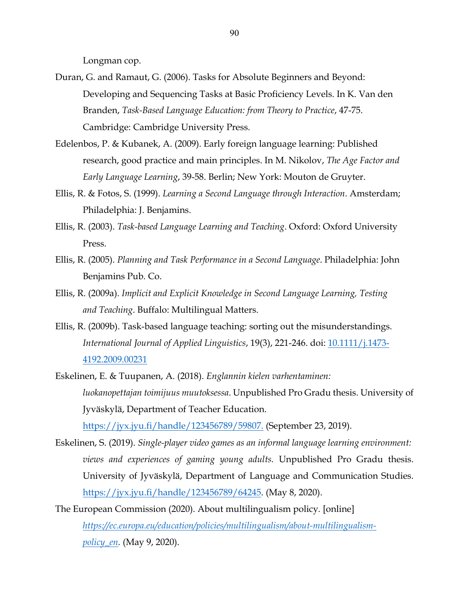Longman cop.

- Duran, G. and Ramaut, G. (2006). Tasks for Absolute Beginners and Beyond: Developing and Sequencing Tasks at Basic Proficiency Levels. In K. Van den Branden, *Task-Based Language Education: from Theory to Practice*, 47-75. Cambridge: Cambridge University Press.
- Edelenbos, P. & Kubanek, A. (2009). Early foreign language learning: Published research, good practice and main principles. In M. Nikolov, *The Age Factor and Early Language Learning*, 39-58. Berlin; New York: Mouton de Gruyter.
- Ellis, R. & Fotos, S. (1999). *Learning a Second Language through Interaction*. Amsterdam; Philadelphia: J. Benjamins.
- Ellis, R. (2003). *Task-based Language Learning and Teaching*. Oxford: Oxford University Press.
- Ellis, R. (2005). *Planning and Task Performance in a Second Language*. Philadelphia: John Benjamins Pub. Co.
- Ellis, R. (2009a). *Implicit and Explicit Knowledge in Second Language Learning, Testing and Teaching*. Buffalo: Multilingual Matters.
- Ellis, R. (2009b). Task-based language teaching: sorting out the misunderstandings. *International Journal of Applied Linguistics*, 19(3), 221-246. doi: 10.1111/j.1473- 4192.2009.00231
- Eskelinen, E. & Tuupanen, A. (2018). *Englannin kielen varhentaminen: luokanopettajan toimijuus muutoksessa*. Unpublished Pro Gradu thesis. University of Jyväskylä, Department of Teacher Education. https://jyx.jyu.fi/handle/123456789/59807. (September 23, 2019).

Eskelinen, S. (2019). *Single-player video games as an informal language learning environment: views and experiences of gaming young adults.* Unpublished Pro Gradu thesis.

University of Jyväskylä, Department of Language and Communication Studies. https://jyx.jyu.fi/handle/123456789/64245. (May 8, 2020).

The European Commission (2020). About multilingualism policy*.* [online] *https://ec.europa.eu/education/policies/multilingualism/about-multilingualismpolicy\_en.* (May 9, 2020).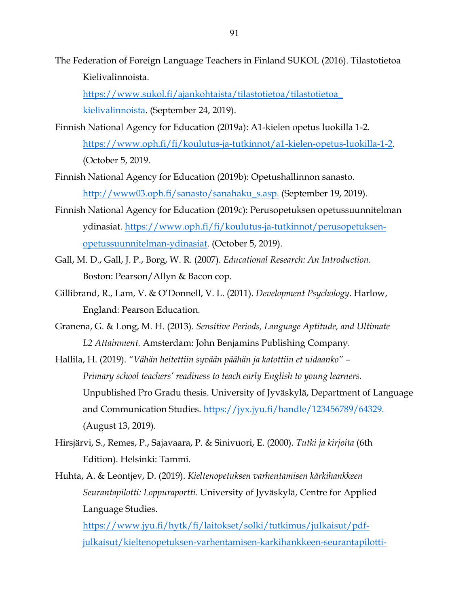The Federation of Foreign Language Teachers in Finland SUKOL (2016). Tilastotietoa Kielivalinnoista.

https://www.sukol.fi/ajankohtaista/tilastotietoa/tilastotietoa\_ kielivalinnoista. (September 24, 2019).

- Finnish National Agency for Education (2019a): A1-kielen opetus luokilla 1-2. https://www.oph.fi/fi/koulutus-ja-tutkinnot/a1-kielen-opetus-luokilla-1-2. (October 5, 2019.
- Finnish National Agency for Education (2019b): Opetushallinnon sanasto. http://www03.oph.fi/sanasto/sanahaku\_s.asp. (September 19, 2019).
- Finnish National Agency for Education (2019c): Perusopetuksen opetussuunnitelman ydinasiat. https://www.oph.fi/fi/koulutus-ja-tutkinnot/perusopetuksenopetussuunnitelman-ydinasiat. (October 5, 2019).
- Gall, M. D., Gall, J. P., Borg, W. R. (2007). *Educational Research: An Introduction.*  Boston: Pearson/Allyn & Bacon cop.
- Gillibrand, R., Lam, V. & O'Donnell, V. L. (2011). *Development Psychology*. Harlow, England: Pearson Education.
- Granena, G. & Long, M. H. (2013). *Sensitive Periods, Language Aptitude, and Ultimate L2 Attainment.* Amsterdam: John Benjamins Publishing Company.

Hallila, H. (2019). *"Vähän heitettiin syvään päähän ja katottiin et uidaanko" – Primary school teachers' readiness to teach early English to young learners.*  Unpublished Pro Gradu thesis. University of Jyväskylä, Department of Language and Communication Studies. https://jyx.jyu.fi/handle/123456789/64329. (August 13, 2019).

- Hirsjärvi, S., Remes, P., Sajavaara, P. & Sinivuori, E. (2000). *Tutki ja kirjoita* (6th Edition). Helsinki: Tammi.
- Huhta, A. & Leontjev, D. (2019). *Kieltenopetuksen varhentamisen kärkihankkeen Seurantapilotti: Loppuraportti.* University of Jyväskylä, Centre for Applied Language Studies.

https://www.jyu.fi/hytk/fi/laitokset/solki/tutkimus/julkaisut/pdfjulkaisut/kieltenopetuksen-varhentamisen-karkihankkeen-seurantapilotti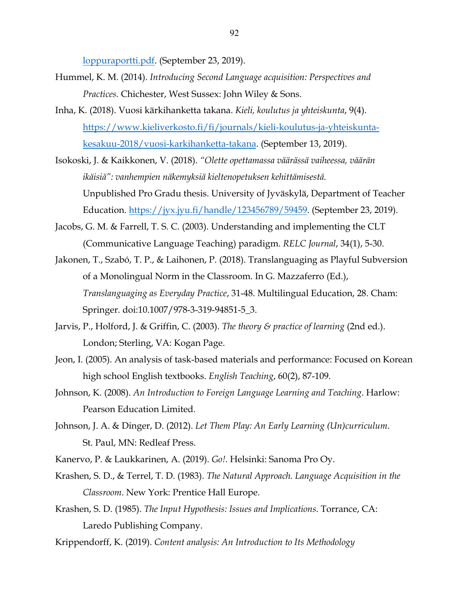loppuraportti.pdf. (September 23, 2019).

- Hummel, K. M. (2014). *Introducing Second Language acquisition: Perspectives and Practices.* Chichester, West Sussex: John Wiley & Sons.
- Inha, K. (2018). Vuosi kärkihanketta takana. *Kieli, koulutus ja yhteiskunta*, 9(4). https://www.kieliverkosto.fi/fi/journals/kieli-koulutus-ja-yhteiskuntakesakuu-2018/vuosi-karkihanketta-takana. (September 13, 2019).
- Isokoski, J. & Kaikkonen, V. (2018). *"Olette opettamassa väärässä vaiheessa, väärän ikäisiä": vanhempien näkemyksiä kieltenopetuksen kehittämisestä.*  Unpublished Pro Gradu thesis. University of Jyväskylä, Department of Teacher Education. https://jyx.jyu.fi/handle/123456789/59459. (September 23, 2019).
- Jacobs, G. M. & Farrell, T. S. C. (2003). Understanding and implementing the CLT (Communicative Language Teaching) paradigm. *RELC Journal*, 34(1), 5-30.
- Jakonen, T., Szabó, T. P., & Laihonen, P. (2018). Translanguaging as Playful Subversion of a Monolingual Norm in the Classroom. In G. Mazzaferro (Ed.), *Translanguaging as Everyday Practice*, 31-48. Multilingual Education, 28. Cham: Springer. doi:10.1007/978-3-319-94851-5\_3.
- Jarvis, P., Holford, J. & Griffin, C. (2003). *The theory & practice of learning* (2nd ed.). London; Sterling, VA: Kogan Page.
- Jeon, I. (2005). An analysis of task-based materials and performance: Focused on Korean high school English textbooks. *English Teaching*, 60(2), 87-109.
- Johnson, K. (2008). *An Introduction to Foreign Language Learning and Teaching*. Harlow: Pearson Education Limited.
- Johnson, J. A. & Dinger, D. (2012). *Let Them Play: An Early Learning (Un)curriculum*. St. Paul, MN: Redleaf Press.
- Kanervo, P. & Laukkarinen, A. (2019). *Go!.* Helsinki: Sanoma Pro Oy.
- Krashen, S. D., & Terrel, T. D. (1983). *The Natural Approach. Language Acquisition in the Classroom*. New York: Prentice Hall Europe.
- Krashen, S. D. (1985). *The Input Hypothesis: Issues and Implications*. Torrance, CA: Laredo Publishing Company.
- Krippendorff, K. (2019). *Content analysis: An Introduction to Its Methodology*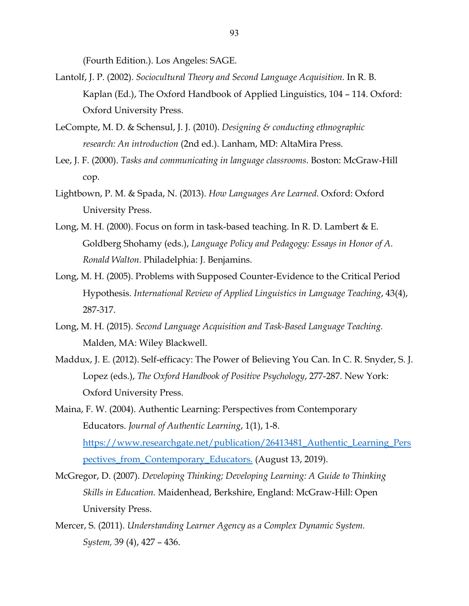(Fourth Edition.). Los Angeles: SAGE.

- Lantolf, J. P. (2002). *Sociocultural Theory and Second Language Acquisition.* In R. B. Kaplan (Ed.), The Oxford Handbook of Applied Linguistics, 104 – 114. Oxford: Oxford University Press.
- LeCompte, M. D. & Schensul, J. J. (2010). *Designing & conducting ethnographic research: An introduction* (2nd ed.). Lanham, MD: AltaMira Press.
- Lee, J. F. (2000). *Tasks and communicating in language classrooms*. Boston: McGraw-Hill cop.
- Lightbown, P. M. & Spada, N. (2013). *How Languages Are Learned*. Oxford: Oxford University Press.
- Long, M. H. (2000). Focus on form in task-based teaching. In R. D. Lambert & E. Goldberg Shohamy (eds.), *Language Policy and Pedagogy: Essays in Honor of A. Ronald Walton.* Philadelphia: J. Benjamins.
- Long, M. H. (2005). Problems with Supposed Counter-Evidence to the Critical Period Hypothesis. *International Review of Applied Linguistics in Language Teaching*, 43(4), 287-317.
- Long, M. H. (2015). *Second Language Acquisition and Task-Based Language Teaching.* Malden, MA: Wiley Blackwell.
- Maddux, J. E. (2012). Self-efficacy: The Power of Believing You Can. In C. R. Snyder, S. J. Lopez (eds.), *The Oxford Handbook of Positive Psychology*, 277-287. New York: Oxford University Press.
- Maina, F. W. (2004). Authentic Learning: Perspectives from Contemporary Educators. *Journal of Authentic Learning*, 1(1), 1-8. https://www.researchgate.net/publication/26413481\_Authentic\_Learning\_Pers pectives\_from\_Contemporary\_Educators. (August 13, 2019).
- McGregor, D. (2007). *Developing Thinking; Developing Learning: A Guide to Thinking Skills in Education.* Maidenhead, Berkshire, England: McGraw-Hill: Open University Press.
- Mercer, S. (2011). *Understanding Learner Agency as a Complex Dynamic System. System,* 39 (4), 427 – 436.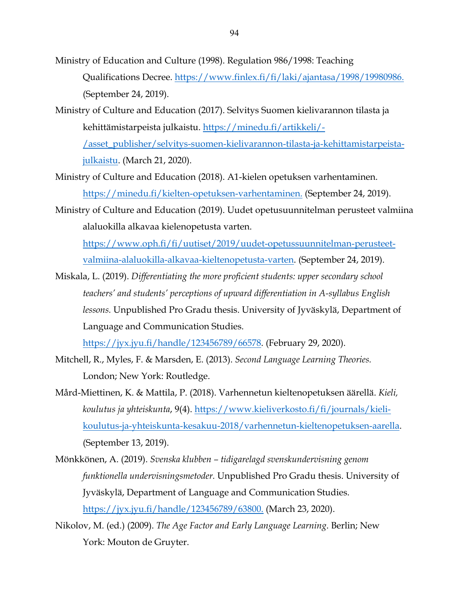- Ministry of Education and Culture (1998). Regulation 986/1998: Teaching Qualifications Decree. https://www.finlex.fi/fi/laki/ajantasa/1998/19980986. (September 24, 2019).
- Ministry of Culture and Education (2017). Selvitys Suomen kielivarannon tilasta ja kehittämistarpeista julkaistu. https://minedu.fi/artikkeli/- /asset\_publisher/selvitys-suomen-kielivarannon-tilasta-ja-kehittamistarpeista-

julkaistu. (March 21, 2020).

- Ministry of Culture and Education (2018). A1-kielen opetuksen varhentaminen. https://minedu.fi/kielten-opetuksen-varhentaminen. (September 24, 2019).
- Ministry of Culture and Education (2019). Uudet opetusuunnitelman perusteet valmiina alaluokilla alkavaa kielenopetusta varten.

https://www.oph.fi/fi/uutiset/2019/uudet-opetussuunnitelman-perusteetvalmiina-alaluokilla-alkavaa-kieltenopetusta-varten. (September 24, 2019).

Miskala, L. (2019). *Differentiating the more proficient students: upper secondary school teachers' and students' perceptions of upward differentiation in A-syllabus English lessons.* Unpublished Pro Gradu thesis. University of Jyväskylä, Department of Language and Communication Studies.

https://jyx.jyu.fi/handle/123456789/66578. (February 29, 2020).

- Mitchell, R., Myles, F. & Marsden, E. (2013). *Second Language Learning Theories.*  London; New York: Routledge.
- Mård-Miettinen, K. & Mattila, P. (2018). Varhennetun kieltenopetuksen äärellä. *Kieli, koulutus ja yhteiskunta*, 9(4). https://www.kieliverkosto.fi/fi/journals/kielikoulutus-ja-yhteiskunta-kesakuu-2018/varhennetun-kieltenopetuksen-aarella. (September 13, 2019).
- Mönkkönen, A. (2019). *Svenska klubben – tidigarelagd svenskundervisning genom funktionella undervisningsmetoder.* Unpublished Pro Gradu thesis. University of Jyväskylä, Department of Language and Communication Studies. https://jyx.jyu.fi/handle/123456789/63800. (March 23, 2020).
- Nikolov, M. (ed.) (2009). *The Age Factor and Early Language Learning*. Berlin; New York: Mouton de Gruyter.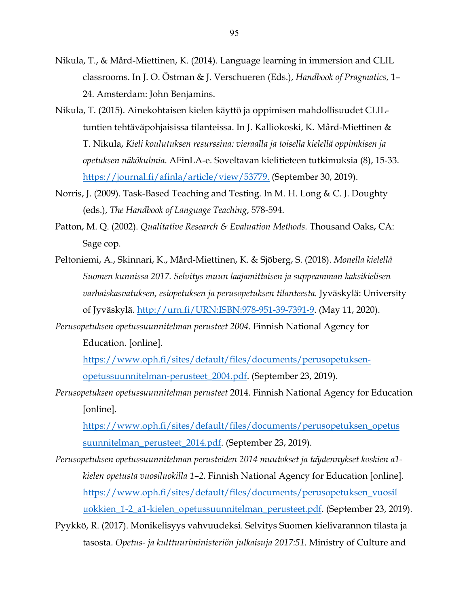- Nikula, T., & Mård-Miettinen, K. (2014). Language learning in immersion and CLIL classrooms. In J. O. Östman & J. Verschueren (Eds.), *Handbook of Pragmatics*, 1– 24. Amsterdam: John Benjamins.
- Nikula, T. (2015). Ainekohtaisen kielen käyttö ja oppimisen mahdollisuudet CLILtuntien tehtäväpohjaisissa tilanteissa. In J. Kalliokoski, K. Mård-Miettinen & T. Nikula, *Kieli koulutuksen resurssina: vieraalla ja toisella kielellä oppimkisen ja opetuksen näkökulmia*. AFinLA-e. Soveltavan kielitieteen tutkimuksia (8), 15-33. https://journal.fi/afinla/article/view/53779. (September 30, 2019).
- Norris, J. (2009). Task-Based Teaching and Testing. In M. H. Long & C. J. Doughty (eds.), *The Handbook of Language Teaching*, 578-594.
- Patton, M. Q. (2002). *Qualitative Research & Evaluation Methods.* Thousand Oaks, CA: Sage cop.
- Peltoniemi, A., Skinnari, K., Mård-Miettinen, K. & Sjöberg, S. (2018). *Monella kielellä Suomen kunnissa 2017. Selvitys muun laajamittaisen ja suppeamman kaksikielisen varhaiskasvatuksen, esiopetuksen ja perusopetuksen tilanteesta.* Jyväskylä: University of Jyväskylä. http://urn.fi/URN:ISBN:978-951-39-7391-9. (May 11, 2020).
- *Perusopetuksen opetussuunnitelman perusteet 2004*. Finnish National Agency for Education. [online].

https://www.oph.fi/sites/default/files/documents/perusopetuksenopetussuunnitelman-perusteet\_2004.pdf. (September 23, 2019).

*Perusopetuksen opetussuunnitelman perusteet* 2014*.* Finnish National Agency for Education [online].

https://www.oph.fi/sites/default/files/documents/perusopetuksen\_opetus suunnitelman\_perusteet\_2014.pdf. (September 23, 2019).

- *Perusopetuksen opetussuunnitelman perusteiden 2014 muutokset ja täydennykset koskien a1 kielen opetusta vuosiluokilla 1–2.* Finnish National Agency for Education [online]. https://www.oph.fi/sites/default/files/documents/perusopetuksen\_vuosil uokkien\_1-2\_a1-kielen\_opetussuunnitelman\_perusteet.pdf. (September 23, 2019).
- Pyykkö, R. (2017). Monikelisyys vahvuudeksi. Selvitys Suomen kielivarannon tilasta ja tasosta. *Opetus- ja kulttuuriministeriön julkaisuja 2017:51.* Ministry of Culture and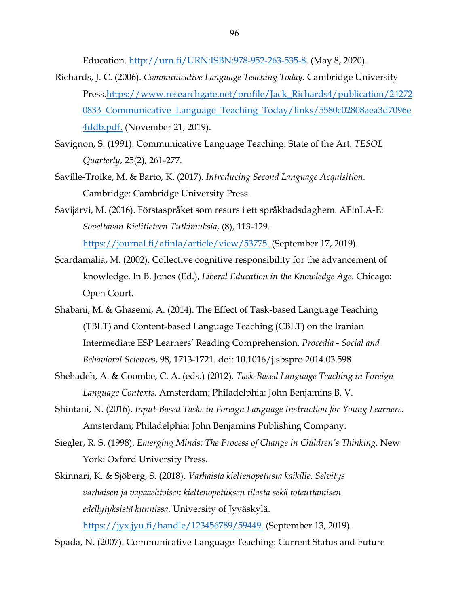Education. http://urn.fi/URN:ISBN:978-952-263-535-8. (May 8, 2020).

- Richards, J. C. (2006). *Communicative Language Teaching Today.* Cambridge University Press.https://www.researchgate.net/profile/Jack\_Richards4/publication/24272 0833\_Communicative\_Language\_Teaching\_Today/links/5580c02808aea3d7096e 4ddb.pdf. (November 21, 2019).
- Savignon, S. (1991). Communicative Language Teaching: State of the Art. *TESOL Quarterly*, 25(2), 261-277.
- Saville-Troike, M. & Barto, K. (2017). *Introducing Second Language Acquisition.* Cambridge: Cambridge University Press.
- Savijärvi, M. (2016). Förstaspråket som resurs i ett språkbadsdaghem. AFinLA-E: *Soveltavan Kielitieteen Tutkimuksia*, (8), 113-129. https://journal.fi/afinla/article/view/53775. (September 17, 2019).
- Scardamalia, M. (2002). Collective cognitive responsibility for the advancement of knowledge. In B. Jones (Ed.), *Liberal Education in the Knowledge Age*. Chicago: Open Court.
- Shabani, M. & Ghasemi, A. (2014). The Effect of Task-based Language Teaching (TBLT) and Content-based Language Teaching (CBLT) on the Iranian Intermediate ESP Learners' Reading Comprehension. *Procedia - Social and Behavioral Sciences*, 98, 1713-1721. doi: 10.1016/j.sbspro.2014.03.598
- Shehadeh, A. & Coombe, C. A. (eds.) (2012). *Task-Based Language Teaching in Foreign Language Contexts.* Amsterdam; Philadelphia: John Benjamins B. V.
- Shintani, N. (2016). *Input-Based Tasks in Foreign Language Instruction for Young Learners.*  Amsterdam; Philadelphia: John Benjamins Publishing Company.
- Siegler, R. S. (1998). *Emerging Minds: The Process of Change in Children's Thinking*. New York: Oxford University Press.
- Skinnari, K. & Sjöberg, S. (2018). *Varhaista kieltenopetusta kaikille. Selvitys varhaisen ja vapaaehtoisen kieltenopetuksen tilasta sekä toteuttamisen edellytyksistä kunnissa.* University of Jyväskylä.

https://jyx.jyu.fi/handle/123456789/59449. (September 13, 2019).

Spada, N. (2007). Communicative Language Teaching: Current Status and Future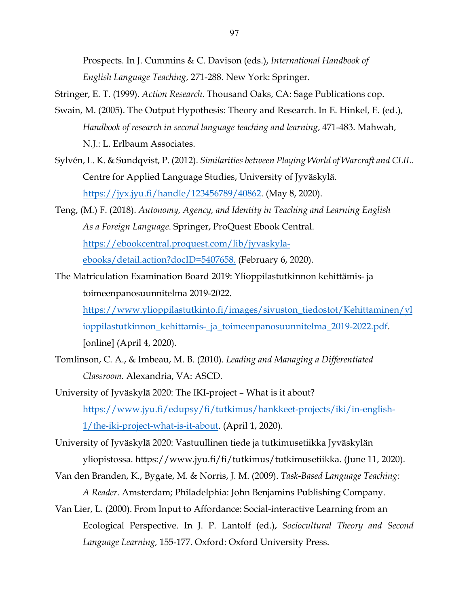Prospects. In J. Cummins & C. Davison (eds.), *International Handbook of English Language Teaching*, 271-288. New York: Springer.

- Stringer, E. T. (1999). *Action Research*. Thousand Oaks, CA: Sage Publications cop.
- Swain, M. (2005). The Output Hypothesis: Theory and Research. In E. Hinkel, E. (ed.), *Handbook of research in second language teaching and learning*, 471-483. Mahwah, N.J.: L. Erlbaum Associates.
- Sylvén, L. K. & Sundqvist, P. (2012). *Similarities between Playing World of Warcraft and CLIL.* Centre for Applied Language Studies, University of Jyväskylä. https://jyx.jyu.fi/handle/123456789/40862. (May 8, 2020).
- Teng, (M.) F. (2018). *Autonomy, Agency, and Identity in Teaching and Learning English As a Foreign Language*. Springer, ProQuest Ebook Central. https://ebookcentral.proquest.com/lib/jyvaskylaebooks/detail.action?docID=5407658. (February 6, 2020).
- The Matriculation Examination Board 2019: Ylioppilastutkinnon kehittämis- ja toimeenpanosuunnitelma 2019-2022.

https://www.ylioppilastutkinto.fi/images/sivuston\_tiedostot/Kehittaminen/yl ioppilastutkinnon\_kehittamis-\_ja\_toimeenpanosuunnitelma\_2019-2022.pdf. [online] (April 4, 2020).

- Tomlinson, C. A., & Imbeau, M. B. (2010). *Leading and Managing a Differentiated Classroom.* Alexandria, VA: ASCD.
- University of Jyväskylä 2020: The IKI-project What is it about? https://www.jyu.fi/edupsy/fi/tutkimus/hankkeet-projects/iki/in-english-1/the-iki-project-what-is-it-about. (April 1, 2020).
- University of Jyväskylä 2020: Vastuullinen tiede ja tutkimusetiikka Jyväskylän yliopistossa. https://www.jyu.fi/fi/tutkimus/tutkimusetiikka. (June 11, 2020).
- Van den Branden, K., Bygate, M. & Norris, J. M. (2009). *Task-Based Language Teaching: A Reader.* Amsterdam; Philadelphia: John Benjamins Publishing Company.
- Van Lier, L. (2000). From Input to Affordance: Social-interactive Learning from an Ecological Perspective. In J. P. Lantolf (ed.), *Sociocultural Theory and Second Language Learning,* 155-177. Oxford: Oxford University Press.